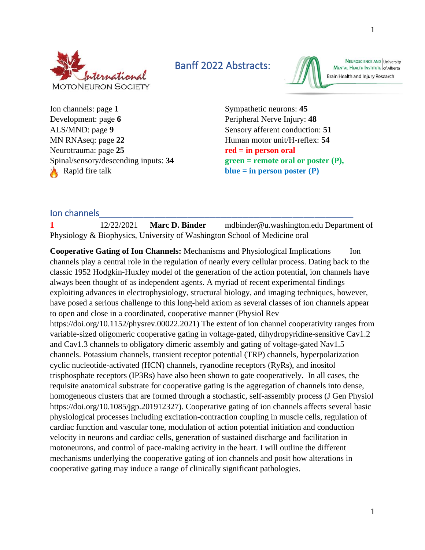

Banff 2022 Abstracts:



NEUROSCIENCE AND University MENTAL HEALTH INSTITUTE of Alberta Brain Health and Injury Research

Ion channels: page 1 Sympathetic neurons: 45 Development: page **6** Peripheral Nerve Injury: **48** ALS/MND: page 9 Sensory afferent conduction: 51 MN RNAseq: page 22 Human motor unit/H-reflex: 54 Neurotrauma: page **25 red = in person oral** Spinal/sensory/descending inputs: **34 green = remote oral or poster (P),**  Rapid fire talk **blue = in person poster (P)** 

### Ion channels

**1** 12/22/2021 **Marc D. Binder** mdbinder@u.washington.edu Department of Physiology & Biophysics, University of Washington School of Medicine oral

**Cooperative Gating of Ion Channels:** Mechanisms and Physiological Implications Ion channels play a central role in the regulation of nearly every cellular process. Dating back to the classic 1952 Hodgkin-Huxley model of the generation of the action potential, ion channels have always been thought of as independent agents. A myriad of recent experimental findings exploiting advances in electrophysiology, structural biology, and imaging techniques, however, have posed a serious challenge to this long-held axiom as several classes of ion channels appear to open and close in a coordinated, cooperative manner (Physiol Rev https://doi.org/10.1152/physrev.00022.2021) The extent of ion channel cooperativity ranges from variable-sized oligomeric cooperative gating in voltage-gated, dihydropyridine-sensitive Cav1.2 and Cav1.3 channels to obligatory dimeric assembly and gating of voltage-gated Nav1.5 channels. Potassium channels, transient receptor potential (TRP) channels, hyperpolarization cyclic nucleotide-activated (HCN) channels, ryanodine receptors (RyRs), and inositol trisphosphate receptors (IP3Rs) have also been shown to gate cooperatively. In all cases, the requisite anatomical substrate for cooperative gating is the aggregation of channels into dense, homogeneous clusters that are formed through a stochastic, self-assembly process (J Gen Physiol https://doi.org/10.1085/jgp.201912327). Cooperative gating of ion channels affects several basic physiological processes including excitation-contraction coupling in muscle cells, regulation of cardiac function and vascular tone, modulation of action potential initiation and conduction velocity in neurons and cardiac cells, generation of sustained discharge and facilitation in motoneurons, and control of pace-making activity in the heart. I will outline the different mechanisms underlying the cooperative gating of ion channels and posit how alterations in cooperative gating may induce a range of clinically significant pathologies.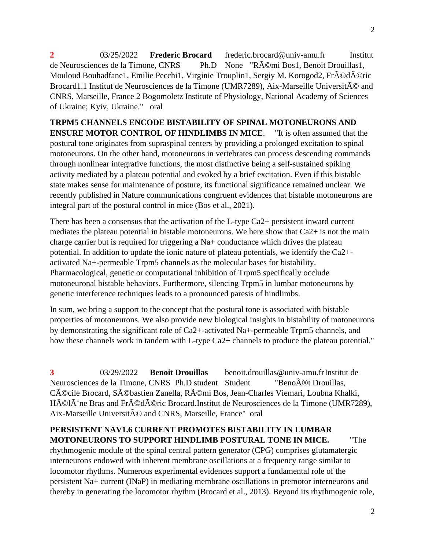**2** 03/25/2022 **Frederic Brocard** frederic.brocard@univ-amu.fr Institut de Neurosciences de la Timone, CNRS Ph.D None "Rémi Bos1, Benoit Drouillas1, Mouloud Bouhadfane1, Emilie Pecchi1, Virginie Trouplin1, Sergiy M. Korogod2, Fr $\hat{A}$ Od $\hat{A}$ Oric Brocard1.1 Institut de Neurosciences de la Timone (UMR7289), Aix-Marseille Universit $\tilde{A}$ © and CNRS, Marseille, France 2 Bogomoletz Institute of Physiology, National Academy of Sciences of Ukraine; Kyiv, Ukraine." oral

**TRPM5 CHANNELS ENCODE BISTABILITY OF SPINAL MOTONEURONS AND ENSURE MOTOR CONTROL OF HINDLIMBS IN MICE**. "It is often assumed that the postural tone originates from supraspinal centers by providing a prolonged excitation to spinal motoneurons. On the other hand, motoneurons in vertebrates can process descending commands through nonlinear integrative functions, the most distinctive being a self-sustained spiking activity mediated by a plateau potential and evoked by a brief excitation. Even if this bistable state makes sense for maintenance of posture, its functional significance remained unclear. We recently published in Nature communications congruent evidences that bistable motoneurons are integral part of the postural control in mice (Bos et al., 2021).

There has been a consensus that the activation of the L-type Ca2+ persistent inward current mediates the plateau potential in bistable motoneurons. We here show that Ca2+ is not the main charge carrier but is required for triggering a Na+ conductance which drives the plateau potential. In addition to update the ionic nature of plateau potentials, we identify the Ca2+ activated Na+-permeable Trpm5 channels as the molecular bases for bistability. Pharmacological, genetic or computational inhibition of Trpm5 specifically occlude motoneuronal bistable behaviors. Furthermore, silencing Trpm5 in lumbar motoneurons by genetic interference techniques leads to a pronounced paresis of hindlimbs.

In sum, we bring a support to the concept that the postural tone is associated with bistable properties of motoneurons. We also provide new biological insights in bistability of motoneurons by demonstrating the significant role of Ca2+-activated Na+-permeable Trpm5 channels, and how these channels work in tandem with L-type Ca2+ channels to produce the plateau potential."

**3** 03/29/2022 **Benoit Drouillas** benoit.drouillas@univ-amu.frInstitut de Neurosciences de la Timone, CNRS Ph.D student Student "Beno $\tilde{A}$ ®t Drouillas, Cécile Brocard, Sébastien Zanella, Rémi Bos, Jean-Charles Viemari, Loubna Khalki, HéIà ne Bras and Frédéric Brocard.Institut de Neurosciences de la Timone (UMR7289), Aix-Marseille Universit $\tilde{A}$ © and CNRS, Marseille, France" oral

# **PERSISTENT NAV1.6 CURRENT PROMOTES BISTABILITY IN LUMBAR MOTONEURONS TO SUPPORT HINDLIMB POSTURAL TONE IN MICE.** "The

rhythmogenic module of the spinal central pattern generator (CPG) comprises glutamatergic interneurons endowed with inherent membrane oscillations at a frequency range similar to locomotor rhythms. Numerous experimental evidences support a fundamental role of the persistent Na+ current (INaP) in mediating membrane oscillations in premotor interneurons and thereby in generating the locomotor rhythm (Brocard et al., 2013). Beyond its rhythmogenic role,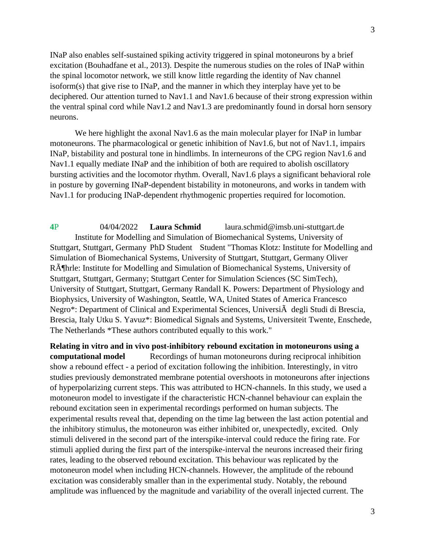INaP also enables self-sustained spiking activity triggered in spinal motoneurons by a brief excitation (Bouhadfane et al., 2013). Despite the numerous studies on the roles of INaP within the spinal locomotor network, we still know little regarding the identity of Nav channel isoform(s) that give rise to INaP, and the manner in which they interplay have yet to be deciphered. Our attention turned to Nav1.1 and Nav1.6 because of their strong expression within the ventral spinal cord while Nav1.2 and Nav1.3 are predominantly found in dorsal horn sensory neurons.

We here highlight the axonal Nav1.6 as the main molecular player for INaP in lumbar motoneurons. The pharmacological or genetic inhibition of Nav1.6, but not of Nav1.1, impairs INaP, bistability and postural tone in hindlimbs. In interneurons of the CPG region Nav1.6 and Nav1.1 equally mediate INaP and the inhibition of both are required to abolish oscillatory bursting activities and the locomotor rhythm. Overall, Nav1.6 plays a significant behavioral role in posture by governing INaP-dependent bistability in motoneurons, and works in tandem with Nav1.1 for producing INaP-dependent rhythmogenic properties required for locomotion.

**4**P 04/04/2022 **Laura Schmid** laura.schmid@imsb.uni-stuttgart.de Institute for Modelling and Simulation of Biomechanical Systems, University of Stuttgart, Stuttgart, Germany PhD Student Student "Thomas Klotz: Institute for Modelling and Simulation of Biomechanical Systems, University of Stuttgart, Stuttgart, Germany Oliver Röhrle: Institute for Modelling and Simulation of Biomechanical Systems, University of Stuttgart, Stuttgart, Germany; Stuttgart Center for Simulation Sciences (SC SimTech), University of Stuttgart, Stuttgart, Germany Randall K. Powers: Department of Physiology and Biophysics, University of Washington, Seattle, WA, United States of America Francesco Negro\*: Department of Clinical and Experimental Sciences, UniversiÃ degli Studi di Brescia, Brescia, Italy Utku S. Yavuz\*: Biomedical Signals and Systems, Universiteit Twente, Enschede, The Netherlands \*These authors contributed equally to this work."

**Relating in vitro and in vivo post-inhibitory rebound excitation in motoneurons using a computational model** Recordings of human motoneurons during reciprocal inhibition show a rebound effect - a period of excitation following the inhibition. Interestingly, in vitro studies previously demonstrated membrane potential overshoots in motoneurons after injections of hyperpolarizing current steps. This was attributed to HCN-channels. In this study, we used a motoneuron model to investigate if the characteristic HCN-channel behaviour can explain the rebound excitation seen in experimental recordings performed on human subjects. The experimental results reveal that, depending on the time lag between the last action potential and the inhibitory stimulus, the motoneuron was either inhibited or, unexpectedly, excited. Only stimuli delivered in the second part of the interspike-interval could reduce the firing rate. For stimuli applied during the first part of the interspike-interval the neurons increased their firing rates, leading to the observed rebound excitation. This behaviour was replicated by the motoneuron model when including HCN-channels. However, the amplitude of the rebound excitation was considerably smaller than in the experimental study. Notably, the rebound amplitude was influenced by the magnitude and variability of the overall injected current. The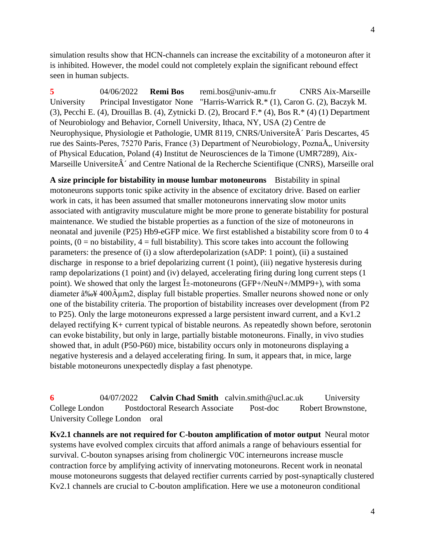simulation results show that HCN-channels can increase the excitability of a motoneuron after it is inhibited. However, the model could not completely explain the significant rebound effect seen in human subjects.

**5** 04/06/2022 **Remi Bos** remi.bos@univ-amu.fr CNRS Aix-Marseille University Principal Investigator None "Harris-Warrick R.\* (1), Caron G. (2), Baczyk M. (3), Pecchi E. (4), Drouillas B. (4), Zytnicki D. (2), Brocard F.\* (4), Bos R.\* (4) (1) Department of Neurobiology and Behavior, Cornell University, Ithaca, NY, USA (2) Centre de Neurophysique, Physiologie et Pathologie, UMR 8119, CNRS/Universite $\hat{A}$  Paris Descartes, 45 rue des Saints-Peres, 75270 Paris, France (3) Department of Neurobiology, PoznaÅ,, University of Physical Education, Poland (4) Institut de Neurosciences de la Timone (UMR7289), Aix-Marseille Universite $\hat{A}$  and Centre National de la Recherche Scientifique (CNRS), Marseille oral

**A size principle for bistability in mouse lumbar motoneurons** Bistability in spinal motoneurons supports tonic spike activity in the absence of excitatory drive. Based on earlier work in cats, it has been assumed that smaller motoneurons innervating slow motor units associated with antigravity musculature might be more prone to generate bistability for postural maintenance. We studied the bistable properties as a function of the size of motoneurons in neonatal and juvenile (P25) Hb9-eGFP mice. We first established a bistability score from 0 to 4 points,  $(0 = no$  bistability,  $4 = full$  bistability). This score takes into account the following parameters: the presence of (i) a slow afterdepolarization (sADP: 1 point), (ii) a sustained discharge in response to a brief depolarizing current (1 point), (iii) negative hysteresis during ramp depolarizations (1 point) and (iv) delayed, accelerating firing during long current steps (1 point). We showed that only the largest  $\hat{I}$  -motoneurons (GFP+/NeuN+/MMP9+), with soma diameter  $\hat{a}$ ‰¥ 400 $\hat{A}$ µm2, display full bistable properties. Smaller neurons showed none or only one of the bistability criteria. The proportion of bistability increases over development (from P2 to P25). Only the large motoneurons expressed a large persistent inward current, and a Kv1.2 delayed rectifying K+ current typical of bistable neurons. As repeatedly shown before, serotonin can evoke bistability, but only in large, partially bistable motoneurons. Finally, in vivo studies showed that, in adult (P50-P60) mice, bistability occurs only in motoneurons displaying a negative hysteresis and a delayed accelerating firing. In sum, it appears that, in mice, large bistable motoneurons unexpectedly display a fast phenotype.

**6** 04/07/2022 **Calvin Chad Smith** calvin.smith@ucl.ac.uk University College London Postdoctoral Research Associate Post-doc Robert Brownstone, University College London oral

**Kv2.1 channels are not required for C-bouton amplification of motor output** Neural motor systems have evolved complex circuits that afford animals a range of behaviours essential for survival. C-bouton synapses arising from cholinergic V0C interneurons increase muscle contraction force by amplifying activity of innervating motoneurons. Recent work in neonatal mouse motoneurons suggests that delayed rectifier currents carried by post-synaptically clustered Kv2.1 channels are crucial to C-bouton amplification. Here we use a motoneuron conditional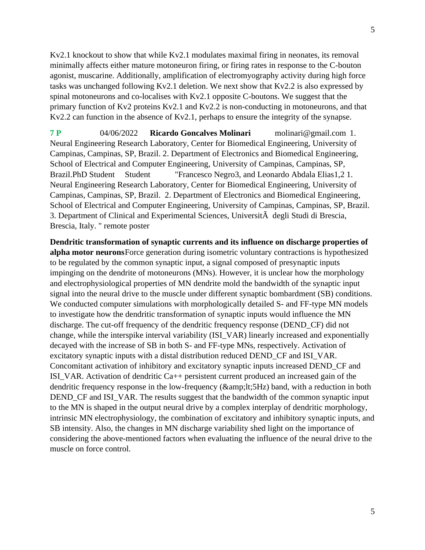Kv2.1 knockout to show that while Kv2.1 modulates maximal firing in neonates, its removal minimally affects either mature motoneuron firing, or firing rates in response to the C-bouton agonist, muscarine. Additionally, amplification of electromyography activity during high force tasks was unchanged following Kv2.1 deletion. We next show that Kv2.2 is also expressed by spinal motoneurons and co-localises with Kv2.1 opposite C-boutons. We suggest that the primary function of Kv2 proteins Kv2.1 and Kv2.2 is non-conducting in motoneurons, and that Kv2.2 can function in the absence of Kv2.1, perhaps to ensure the integrity of the synapse.

**7 P** 04/06/2022 **Ricardo Goncalves Molinari** molinari@gmail.com 1. Neural Engineering Research Laboratory, Center for Biomedical Engineering, University of Campinas, Campinas, SP, Brazil. 2. Department of Electronics and Biomedical Engineering, School of Electrical and Computer Engineering, University of Campinas, Campinas, SP, Brazil.PhD Student Student "Francesco Negro3, and Leonardo Abdala Elias1,2 1. Neural Engineering Research Laboratory, Center for Biomedical Engineering, University of Campinas, Campinas, SP, Brazil. 2. Department of Electronics and Biomedical Engineering, School of Electrical and Computer Engineering, University of Campinas, Campinas, SP, Brazil. 3. Department of Clinical and Experimental Sciences, UniversitÃ degli Studi di Brescia, Brescia, Italy. " remote poster

**Dendritic transformation of synaptic currents and its influence on discharge properties of alpha motor neurons**Force generation during isometric voluntary contractions is hypothesized to be regulated by the common synaptic input, a signal composed of presynaptic inputs impinging on the dendrite of motoneurons (MNs). However, it is unclear how the morphology and electrophysiological properties of MN dendrite mold the bandwidth of the synaptic input signal into the neural drive to the muscle under different synaptic bombardment (SB) conditions. We conducted computer simulations with morphologically detailed S- and FF-type MN models to investigate how the dendritic transformation of synaptic inputs would influence the MN discharge. The cut-off frequency of the dendritic frequency response (DEND\_CF) did not change, while the interspike interval variability (ISI\_VAR) linearly increased and exponentially decayed with the increase of SB in both S- and FF-type MNs, respectively. Activation of excitatory synaptic inputs with a distal distribution reduced DEND\_CF and ISI\_VAR. Concomitant activation of inhibitory and excitatory synaptic inputs increased DEND\_CF and ISI\_VAR. Activation of dendritic Ca++ persistent current produced an increased gain of the dendritic frequency response in the low-frequency ( $\&;lt;;5Hz$ ) band, with a reduction in both DEND\_CF and ISI\_VAR. The results suggest that the bandwidth of the common synaptic input to the MN is shaped in the output neural drive by a complex interplay of dendritic morphology, intrinsic MN electrophysiology, the combination of excitatory and inhibitory synaptic inputs, and SB intensity. Also, the changes in MN discharge variability shed light on the importance of considering the above-mentioned factors when evaluating the influence of the neural drive to the muscle on force control.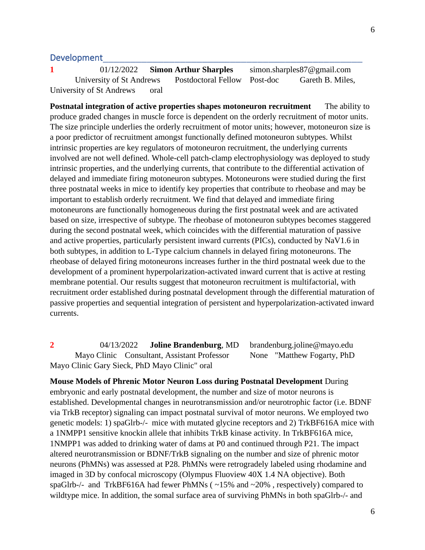### Development

**1** 01/12/2022 **Simon Arthur Sharples** simon.sharples87@gmail.com University of St Andrews Postdoctoral Fellow Post-doc Gareth B. Miles, University of St Andrews oral

**Postnatal integration of active properties shapes motoneuron recruitment** The ability to produce graded changes in muscle force is dependent on the orderly recruitment of motor units. The size principle underlies the orderly recruitment of motor units; however, motoneuron size is a poor predictor of recruitment amongst functionally defined motoneuron subtypes. Whilst intrinsic properties are key regulators of motoneuron recruitment, the underlying currents involved are not well defined. Whole-cell patch-clamp electrophysiology was deployed to study intrinsic properties, and the underlying currents, that contribute to the differential activation of delayed and immediate firing motoneuron subtypes. Motoneurons were studied during the first three postnatal weeks in mice to identify key properties that contribute to rheobase and may be important to establish orderly recruitment. We find that delayed and immediate firing motoneurons are functionally homogeneous during the first postnatal week and are activated based on size, irrespective of subtype. The rheobase of motoneuron subtypes becomes staggered during the second postnatal week, which coincides with the differential maturation of passive and active properties, particularly persistent inward currents (PICs), conducted by NaV1.6 in both subtypes, in addition to L-Type calcium channels in delayed firing motoneurons. The rheobase of delayed firing motoneurons increases further in the third postnatal week due to the development of a prominent hyperpolarization-activated inward current that is active at resting membrane potential. Our results suggest that motoneuron recruitment is multifactorial, with recruitment order established during postnatal development through the differential maturation of passive properties and sequential integration of persistent and hyperpolarization-activated inward currents.

**2** 04/13/2022 **Joline Brandenburg**, MD brandenburg.joline@mayo.edu Mayo Clinic Consultant, Assistant Professor None "Matthew Fogarty, PhD Mayo Clinic Gary Sieck, PhD Mayo Clinic" oral

**Mouse Models of Phrenic Motor Neuron Loss during Postnatal Development** During embryonic and early postnatal development, the number and size of motor neurons is established. Developmental changes in neurotransmission and/or neurotrophic factor (i.e. BDNF via TrkB receptor) signaling can impact postnatal survival of motor neurons. We employed two genetic models: 1) spaGlrb-/- mice with mutated glycine receptors and 2) TrkBF616A mice with a 1NMPP1 sensitive knockin allele that inhibits TrkB kinase activity. In TrkBF616A mice, 1NMPP1 was added to drinking water of dams at P0 and continued through P21. The impact altered neurotransmission or BDNF/TrkB signaling on the number and size of phrenic motor neurons (PhMNs) was assessed at P28. PhMNs were retrogradely labeled using rhodamine and imaged in 3D by confocal microscopy (Olympus Fluoview 40X 1.4 NA objective). Both spaGlrb-/- and TrkBF616A had fewer PhMNs ( ~15% and ~20% , respectively) compared to wildtype mice. In addition, the somal surface area of surviving PhMNs in both spaGlrb-/- and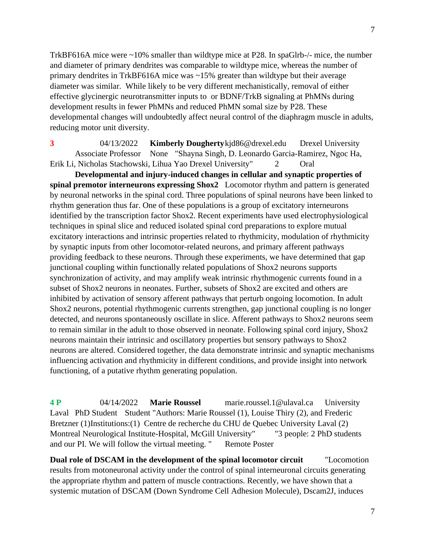TrkBF616A mice were ~10% smaller than wildtype mice at P28. In spaGlrb-/- mice, the number and diameter of primary dendrites was comparable to wildtype mice, whereas the number of primary dendrites in TrkBF616A mice was ~15% greater than wildtype but their average diameter was similar. While likely to be very different mechanistically, removal of either effective glycinergic neurotransmitter inputs to or BDNF/TrkB signaling at PhMNs during development results in fewer PhMNs and reduced PhMN somal size by P28. These developmental changes will undoubtedly affect neural control of the diaphragm muscle in adults, reducing motor unit diversity.

**3** 04/13/2022 **Kimberly Dougherty**kjd86@drexel.edu Drexel University Associate Professor None "Shayna Singh, D. Leonardo Garcia-Ramirez, Ngoc Ha, Erik Li, Nicholas Stachowski, Lihua Yao Drexel University" 2 Oral

**Developmental and injury-induced changes in cellular and synaptic properties of spinal premotor interneurons expressing Shox2** Locomotor rhythm and pattern is generated by neuronal networks in the spinal cord. Three populations of spinal neurons have been linked to rhythm generation thus far. One of these populations is a group of excitatory interneurons identified by the transcription factor Shox2. Recent experiments have used electrophysiological techniques in spinal slice and reduced isolated spinal cord preparations to explore mutual excitatory interactions and intrinsic properties related to rhythmicity, modulation of rhythmicity by synaptic inputs from other locomotor-related neurons, and primary afferent pathways providing feedback to these neurons. Through these experiments, we have determined that gap junctional coupling within functionally related populations of Shox2 neurons supports synchronization of activity, and may amplify weak intrinsic rhythmogenic currents found in a subset of Shox2 neurons in neonates. Further, subsets of Shox2 are excited and others are inhibited by activation of sensory afferent pathways that perturb ongoing locomotion. In adult Shox2 neurons, potential rhythmogenic currents strengthen, gap junctional coupling is no longer detected, and neurons spontaneously oscillate in slice. Afferent pathways to Shox2 neurons seem to remain similar in the adult to those observed in neonate. Following spinal cord injury, Shox2 neurons maintain their intrinsic and oscillatory properties but sensory pathways to Shox2 neurons are altered. Considered together, the data demonstrate intrinsic and synaptic mechanisms influencing activation and rhythmicity in different conditions, and provide insight into network functioning, of a putative rhythm generating population.

**4 P** 04/14/2022 **Marie Roussel** marie.roussel.1@ulaval.ca University Laval PhD Student Student "Authors: Marie Roussel (1), Louise Thiry (2), and Frederic Bretzner (1)Institutions:(1) Centre de recherche du CHU de Quebec University Laval (2) Montreal Neurological Institute-Hospital, McGill University" "3 people: 2 PhD students and our PI. We will follow the virtual meeting. " Remote Poster

**Dual role of DSCAM in the development of the spinal locomotor circuit** "Locomotion results from motoneuronal activity under the control of spinal interneuronal circuits generating the appropriate rhythm and pattern of muscle contractions. Recently, we have shown that a systemic mutation of DSCAM (Down Syndrome Cell Adhesion Molecule), Dscam2J, induces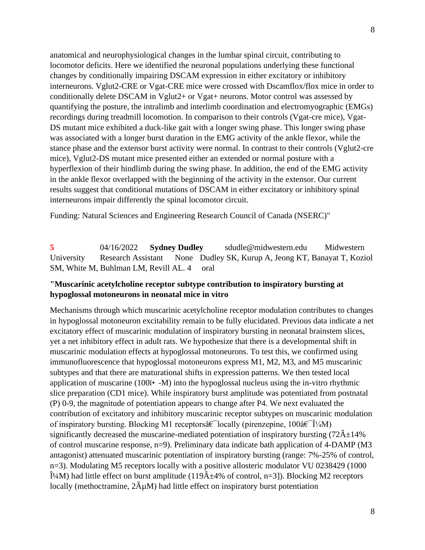anatomical and neurophysiological changes in the lumbar spinal circuit, contributing to locomotor deficits. Here we identified the neuronal populations underlying these functional changes by conditionally impairing DSCAM expression in either excitatory or inhibitory interneurons. Vglut2-CRE or Vgat-CRE mice were crossed with Dscamflox/flox mice in order to conditionally delete DSCAM in Vglut2+ or Vgat+ neurons. Motor control was assessed by quantifying the posture, the intralimb and interlimb coordination and electromyographic (EMGs) recordings during treadmill locomotion. In comparison to their controls (Vgat-cre mice), Vgat-DS mutant mice exhibited a duck-like gait with a longer swing phase. This longer swing phase was associated with a longer burst duration in the EMG activity of the ankle flexor, while the stance phase and the extensor burst activity were normal. In contrast to their controls (Vglut2-cre mice), Vglut2-DS mutant mice presented either an extended or normal posture with a hyperflexion of their hindlimb during the swing phase. In addition, the end of the EMG activity in the ankle flexor overlapped with the beginning of the activity in the extensor. Our current results suggest that conditional mutations of DSCAM in either excitatory or inhibitory spinal interneurons impair differently the spinal locomotor circuit.

Funding: Natural Sciences and Engineering Research Council of Canada (NSERC)"

**5** 04/16/2022 **Sydney Dudley** sdudle@midwestern.edu Midwestern University Research Assistant None Dudley SK, Kurup A, Jeong KT, Banayat T, Koziol SM, White M, Buhlman LM, Revill AL. 4 oral

### **"Muscarinic acetylcholine receptor subtype contribution to inspiratory bursting at hypoglossal motoneurons in neonatal mice in vitro**

Mechanisms through which muscarinic acetylcholine receptor modulation contributes to changes in hypoglossal motoneuron excitability remain to be fully elucidated. Previous data indicate a net excitatory effect of muscarinic modulation of inspiratory bursting in neonatal brainstem slices, yet a net inhibitory effect in adult rats. We hypothesize that there is a developmental shift in muscarinic modulation effects at hypoglossal motoneurons. To test this, we confirmed using immunofluorescence that hypoglossal motoneurons express M1, M2, M3, and M5 muscarinic subtypes and that there are maturational shifts in expression patterns. We then tested local application of muscarine (100 $\ddot{\textbf{i}}$  -M) into the hypoglossal nucleus using the in-vitro rhythmic slice preparation (CD1 mice). While inspiratory burst amplitude was potentiated from postnatal (P) 0-9, the magnitude of potentiation appears to change after P4. We next evaluated the contribution of excitatory and inhibitory muscarinic receptor subtypes on muscarinic modulation of inspiratory bursting. Blocking M1 receptors $\hat{a} \in \text{locally (prime, 100} \hat{a} \in \hat{I}^1/4M)$ significantly decreased the muscarine-mediated potentiation of inspiratory bursting  $(72\hat{A} \pm 14\%$ of control muscarine response, n=9). Preliminary data indicate bath application of 4-DAMP (M3 antagonist) attenuated muscarinic potentiation of inspiratory bursting (range: 7%-25% of control, n=3). Modulating M5 receptors locally with a positive allosteric modulator VU 0238429 (1000  $\hat{I}^{1/4}$ M) had little effect on burst amplitude (119 $\hat{A}$ ±4% of control, n=3]). Blocking M2 receptors locally (methoctramine,  $2\hat{A}\mu M$ ) had little effect on inspiratory burst potentiation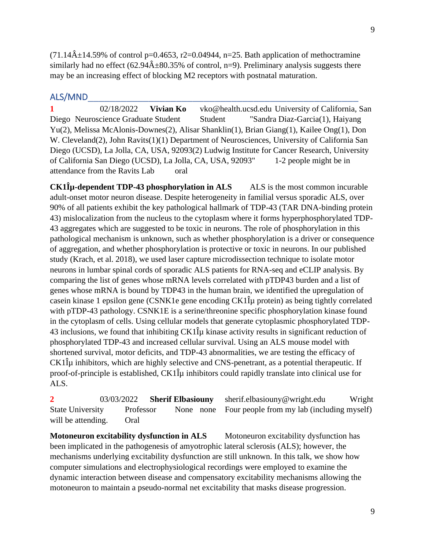$(71.14\hat{\mathrm{A}} \pm 14.59\%$  of control p=0.4653, r2=0.04944, n=25. Bath application of methoctramine similarly had no effect  $(62.94\text{\AA} \pm 80.35\%$  of control, n=9). Preliminary analysis suggests there may be an increasing effect of blocking M2 receptors with postnatal maturation.

# ALS/MND\_\_\_\_\_\_\_\_\_\_\_\_\_\_\_\_\_\_\_\_\_\_\_\_\_\_\_\_\_\_\_\_\_\_\_\_\_\_\_\_\_\_\_\_\_\_\_\_\_

**1** 02/18/2022 **Vivian Ko** vko@health.ucsd.edu University of California, San Diego Neuroscience Graduate Student Student "Sandra Diaz-Garcia(1), Haiyang Yu(2), Melissa McAlonis-Downes(2), Alisar Shanklin(1), Brian Giang(1), Kailee Ong(1), Don W. Cleveland(2), John Ravits(1)(1) Department of Neurosciences, University of California San Diego (UCSD), La Jolla, CA, USA, 92093(2) Ludwig Institute for Cancer Research, University of California San Diego (UCSD), La Jolla, CA, USA, 92093" 1-2 people might be in attendance from the Ravits Lab oral

**CK1Îμ-dependent TDP-43 phosphorylation in ALS** ALS is the most common incurable adult-onset motor neuron disease. Despite heterogeneity in familial versus sporadic ALS, over 90% of all patients exhibit the key pathological hallmark of TDP-43 (TAR DNA-binding protein 43) mislocalization from the nucleus to the cytoplasm where it forms hyperphosphorylated TDP-43 aggregates which are suggested to be toxic in neurons. The role of phosphorylation in this pathological mechanism is unknown, such as whether phosphorylation is a driver or consequence of aggregation, and whether phosphorylation is protective or toxic in neurons. In our published study (Krach, et al. 2018), we used laser capture microdissection technique to isolate motor neurons in lumbar spinal cords of sporadic ALS patients for RNA-seq and eCLIP analysis. By comparing the list of genes whose mRNA levels correlated with pTDP43 burden and a list of genes whose mRNA is bound by TDP43 in the human brain, we identified the upregulation of casein kinase 1 epsilon gene (CSNK1e gene encoding  $CK1\hat{\mu}$  protein) as being tightly correlated with pTDP-43 pathology. CSNK1E is a serine/threonine specific phosphorylation kinase found in the cytoplasm of cells. Using cellular models that generate cytoplasmic phosphorylated TDP-43 inclusions, we found that inhibiting  $CK1\hat{\mu}$  kinase activity results in significant reduction of phosphorylated TDP-43 and increased cellular survival. Using an ALS mouse model with shortened survival, motor deficits, and TDP-43 abnormalities, we are testing the efficacy of  $CK1\hat{\mu}$  inhibitors, which are highly selective and CNS-penetrant, as a potential therapeutic. If proof-of-principle is established, CK1Îμ inhibitors could rapidly translate into clinical use for ALS.

**2** 03/03/2022 **Sherif Elbasiouny** sherif.elbasiouny@wright.edu Wright State University Professor None none Four people from my lab (including myself) will be attending. Oral

**Motoneuron excitability dysfunction in ALS** Motoneuron excitability dysfunction has been implicated in the pathogenesis of amyotrophic lateral sclerosis (ALS); however, the mechanisms underlying excitability dysfunction are still unknown. In this talk, we show how computer simulations and electrophysiological recordings were employed to examine the dynamic interaction between disease and compensatory excitability mechanisms allowing the motoneuron to maintain a pseudo-normal net excitability that masks disease progression.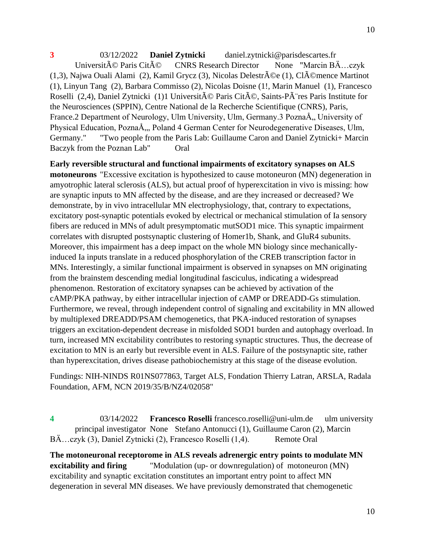**3** 03/12/2022 **Daniel Zytnicki** daniel.zytnicki@parisdescartes.fr Universit $\tilde{A}$ © Paris Cit $\tilde{A}$ © CNRS Research Director None "Marcin B $\ddot{A}$ ...czyk (1,3), Najwa Ouali Alami (2), Kamil Grycz (3), Nicolas Delestrée (1), Clémence Martinot (1), Linyun Tang (2), Barbara Commisso (2), Nicolas Doisne (1!, Marin Manuel (1), Francesco Roselli (2,4), Daniel Zytnicki (1)1 Université Paris Cité, Saints-PÃ res Paris Institute for the Neurosciences (SPPIN), Centre National de la Recherche Scientifique (CNRS), Paris, France.2 Department of Neurology, Ulm University, Ulm, Germany.3 PoznaÅ, University of Physical Education, PoznaÅ,,, Poland 4 German Center for Neurodegenerative Diseases, Ulm, Germany." "Two people from the Paris Lab: Guillaume Caron and Daniel Zytnicki+ Marcin Baczyk from the Poznan Lab" Oral

**Early reversible structural and functional impairments of excitatory synapses on ALS motoneurons** "Excessive excitation is hypothesized to cause motoneuron (MN) degeneration in amyotrophic lateral sclerosis (ALS), but actual proof of hyperexcitation in vivo is missing: how are synaptic inputs to MN affected by the disease, and are they increased or decreased? We demonstrate, by in vivo intracellular MN electrophysiology, that, contrary to expectations, excitatory post-synaptic potentials evoked by electrical or mechanical stimulation of Ia sensory fibers are reduced in MNs of adult presymptomatic mutSOD1 mice. This synaptic impairment correlates with disrupted postsynaptic clustering of Homer1b, Shank, and GluR4 subunits. Moreover, this impairment has a deep impact on the whole MN biology since mechanicallyinduced Ia inputs translate in a reduced phosphorylation of the CREB transcription factor in MNs. Interestingly, a similar functional impairment is observed in synapses on MN originating from the brainstem descending medial longitudinal fasciculus, indicating a widespread phenomenon. Restoration of excitatory synapses can be achieved by activation of the cAMP/PKA pathway, by either intracellular injection of cAMP or DREADD-Gs stimulation. Furthermore, we reveal, through independent control of signaling and excitability in MN allowed by multiplexed DREADD/PSAM chemogenetics, that PKA-induced restoration of synapses triggers an excitation-dependent decrease in misfolded SOD1 burden and autophagy overload. In turn, increased MN excitability contributes to restoring synaptic structures. Thus, the decrease of excitation to MN is an early but reversible event in ALS. Failure of the postsynaptic site, rather than hyperexcitation, drives disease pathobiochemistry at this stage of the disease evolution.

Fundings: NIH-NINDS R01NS077863, Target ALS, Fondation Thierry Latran, ARSLA, Radala Foundation, AFM, NCN 2019/35/B/NZ4/02058"

**4** 03/14/2022 **Francesco Roselli** francesco.roselli@uni-ulm.de ulm university principal investigator None Stefano Antonucci (1), Guillaume Caron (2), Marcin BÄ...czyk (3), Daniel Zytnicki (2), Francesco Roselli (1,4). Remote Oral

**The motoneuronal receptorome in ALS reveals adrenergic entry points to modulate MN excitability and firing** "Modulation (up- or downregulation) of motoneuron (MN) excitability and synaptic excitation constitutes an important entry point to affect MN degeneration in several MN diseases. We have previously demonstrated that chemogenetic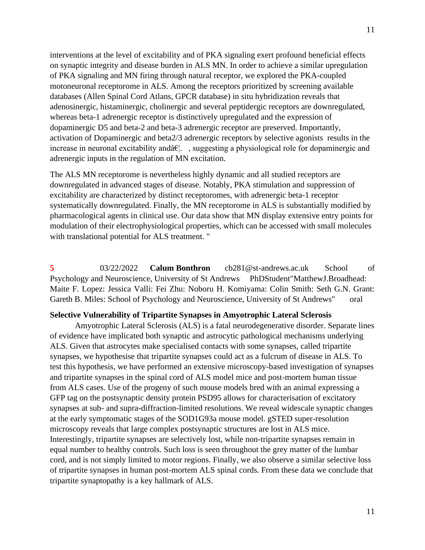interventions at the level of excitability and of PKA signaling exert profound beneficial effects on synaptic integrity and disease burden in ALS MN. In order to achieve a similar upregulation of PKA signaling and MN firing through natural receptor, we explored the PKA-coupled motoneuronal receptorome in ALS. Among the receptors prioritized by screening available databases (Allen Spinal Cord Atlans, GPCR database) in situ hybridization reveals that adenosinergic, histaminergic, cholinergic and several peptidergic receptors are downregulated, whereas beta-1 adrenergic receptor is distinctively upregulated and the expression of dopaminergic D5 and beta-2 and beta-3 adrenergic receptor are preserved. Importantly, activation of Dopaminergic and beta2/3 adrenergic receptors by selective agonists results in the increase in neuronal excitability and  $\hat{\alpha} \in \mathbb{R}^n$ . suggesting a physiological role for dopaminergic and adrenergic inputs in the regulation of MN excitation.

The ALS MN receptorome is nevertheless highly dynamic and all studied receptors are downregulated in advanced stages of disease. Notably, PKA stimulation and suppression of excitability are characterized by distinct receptoromes, with adrenergic beta-1 receptor systematically downregulated. Finally, the MN receptorome in ALS is substantially modified by pharmacological agents in clinical use. Our data show that MN display extensive entry points for modulation of their electrophysiological properties, which can be accessed with small molecules with translational potential for ALS treatment. "

**5** 03/22/2022 **Calum Bonthron** cb281@st-andrews.ac.uk School of Psychology and Neuroscience, University of St Andrews PhDStudent"MatthewJ.Broadhead: Maite F. Lopez: Jessica Valli: Fei Zhu: Noboru H. Komiyama: Colin Smith: Seth G.N. Grant: Gareth B. Miles: School of Psychology and Neuroscience, University of St Andrews" oral

#### **Selective Vulnerability of Tripartite Synapses in Amyotrophic Lateral Sclerosis**

Amyotrophic Lateral Sclerosis (ALS) is a fatal neurodegenerative disorder. Separate lines of evidence have implicated both synaptic and astrocytic pathological mechanisms underlying ALS. Given that astrocytes make specialised contacts with some synapses, called tripartite synapses, we hypothesise that tripartite synapses could act as a fulcrum of disease in ALS. To test this hypothesis, we have performed an extensive microscopy-based investigation of synapses and tripartite synapses in the spinal cord of ALS model mice and post-mortem human tissue from ALS cases. Use of the progeny of such mouse models bred with an animal expressing a GFP tag on the postsynaptic density protein PSD95 allows for characterisation of excitatory synapses at sub- and supra-diffraction-limited resolutions. We reveal widescale synaptic changes at the early symptomatic stages of the SOD1G93a mouse model. gSTED super-resolution microscopy reveals that large complex postsynaptic structures are lost in ALS mice. Interestingly, tripartite synapses are selectively lost, while non-tripartite synapses remain in equal number to healthy controls. Such loss is seen throughout the grey matter of the lumbar cord, and is not simply limited to motor regions. Finally, we also observe a similar selective loss of tripartite synapses in human post-mortem ALS spinal cords. From these data we conclude that tripartite synaptopathy is a key hallmark of ALS.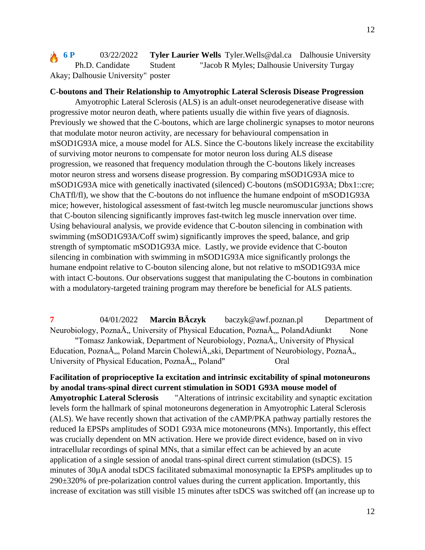**6 P** 03/22/2022 **Tyler Laurier Wells** Tyler. Wells @dal.ca Dalhousie University Ph.D. Candidate Student "Jacob R Myles; Dalhousie University Turgay Akay; Dalhousie University" poster

# **C-boutons and Their Relationship to Amyotrophic Lateral Sclerosis Disease Progression**

Amyotrophic Lateral Sclerosis (ALS) is an adult-onset neurodegenerative disease with progressive motor neuron death, where patients usually die within five years of diagnosis. Previously we showed that the C-boutons, which are large cholinergic synapses to motor neurons that modulate motor neuron activity, are necessary for behavioural compensation in mSOD1G93A mice, a mouse model for ALS. Since the C-boutons likely increase the excitability of surviving motor neurons to compensate for motor neuron loss during ALS disease progression, we reasoned that frequency modulation through the C-boutons likely increases motor neuron stress and worsens disease progression. By comparing mSOD1G93A mice to mSOD1G93A mice with genetically inactivated (silenced) C-boutons (mSOD1G93A; Dbx1::cre; ChATfl/fl), we show that the C-boutons do not influence the humane endpoint of mSOD1G93A mice; however, histological assessment of fast-twitch leg muscle neuromuscular junctions shows that C-bouton silencing significantly improves fast-twitch leg muscle innervation over time. Using behavioural analysis, we provide evidence that C-bouton silencing in combination with swimming (mSOD1G93A/Coff swim) significantly improves the speed, balance, and grip strength of symptomatic mSOD1G93A mice. Lastly, we provide evidence that C-bouton silencing in combination with swimming in mSOD1G93A mice significantly prolongs the humane endpoint relative to C-bouton silencing alone, but not relative to mSOD1G93A mice with intact C-boutons. Our observations suggest that manipulating the C-boutons in combination with a modulatory-targeted training program may therefore be beneficial for ALS patients.

**7** 04/01/2022 **Marcin BÄczyk** baczyk@awf.poznan.pl Department of Neurobiology, PoznaÅ, University of Physical Education, PoznaÅ, PolandAdiunkt None "Tomasz Jankowiak, Department of Neurobiology, PoznaÅ, University of Physical Education, PoznaÅ,, Poland Marcin CholewiÅ,,ski, Department of Neurobiology, PoznaÅ,, University of Physical Education, PoznaÅ,, Poland" Oral

**Facilitation of proprioceptive Ia excitation and intrinsic excitability of spinal motoneurons by anodal trans-spinal direct current stimulation in SOD1 G93A mouse model of Amyotrophic Lateral Sclerosis** "Alterations of intrinsic excitability and synaptic excitation levels form the hallmark of spinal motoneurons degeneration in Amyotrophic Lateral Sclerosis (ALS). We have recently shown that activation of the cAMP/PKA pathway partially restores the reduced Ia EPSPs amplitudes of SOD1 G93A mice motoneurons (MNs). Importantly, this effect was crucially dependent on MN activation. Here we provide direct evidence, based on in vivo intracellular recordings of spinal MNs, that a similar effect can be achieved by an acute application of a single session of anodal trans-spinal direct current stimulation (tsDCS). 15 minutes of 30µA anodal tsDCS facilitated submaximal monosynaptic Ia EPSPs amplitudes up to 290±320% of pre-polarization control values during the current application. Importantly, this increase of excitation was still visible 15 minutes after tsDCS was switched off (an increase up to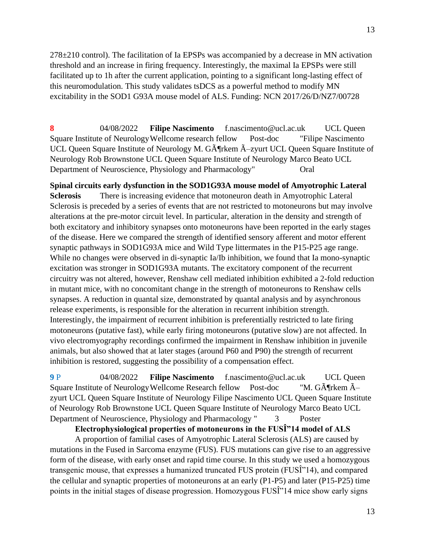278±210 control). The facilitation of Ia EPSPs was accompanied by a decrease in MN activation threshold and an increase in firing frequency. Interestingly, the maximal Ia EPSPs were still facilitated up to 1h after the current application, pointing to a significant long-lasting effect of this neuromodulation. This study validates tsDCS as a powerful method to modify MN excitability in the SOD1 G93A mouse model of ALS. Funding: NCN 2017/26/D/NZ7/00728

**8** 04/08/2022 **Filipe Nascimento** f.nascimento@ucl.ac.uk UCL Queen Square Institute of NeurologyWellcome research fellow Post-doc "Filipe Nascimento UCL Queen Square Institute of Neurology M. G $\tilde{A}$ ¶rkem  $\tilde{A}$ -zyurt UCL Queen Square Institute of Neurology Rob Brownstone UCL Queen Square Institute of Neurology Marco Beato UCL Department of Neuroscience, Physiology and Pharmacology" Oral

**Spinal circuits early dysfunction in the SOD1G93A mouse model of Amyotrophic Lateral Sclerosis** There is increasing evidence that motoneuron death in Amyotrophic Lateral Sclerosis is preceded by a series of events that are not restricted to motoneurons but may involve alterations at the pre-motor circuit level. In particular, alteration in the density and strength of both excitatory and inhibitory synapses onto motoneurons have been reported in the early stages of the disease. Here we compared the strength of identified sensory afferent and motor efferent synaptic pathways in SOD1G93A mice and Wild Type littermates in the P15-P25 age range. While no changes were observed in di-synaptic Ia/Ib inhibition, we found that Ia mono-synaptic excitation was stronger in SOD1G93A mutants. The excitatory component of the recurrent circuitry was not altered, however, Renshaw cell mediated inhibition exhibited a 2-fold reduction in mutant mice, with no concomitant change in the strength of motoneurons to Renshaw cells synapses. A reduction in quantal size, demonstrated by quantal analysis and by asynchronous release experiments, is responsible for the alteration in recurrent inhibition strength. Interestingly, the impairment of recurrent inhibition is preferentially restricted to late firing motoneurons (putative fast), while early firing motoneurons (putative slow) are not affected. In vivo electromyography recordings confirmed the impairment in Renshaw inhibition in juvenile animals, but also showed that at later stages (around P60 and P90) the strength of recurrent inhibition is restored, suggesting the possibility of a compensation effect.

**9** P 04/08/2022 **Filipe Nascimento** f.nascimento@ucl.ac.uk UCL Queen Square Institute of Neurology Wellcome Research fellow Post-doc "M.  $G\tilde{A}$ Trkem  $\tilde{A}$ zyurt UCL Queen Square Institute of Neurology Filipe Nascimento UCL Queen Square Institute of Neurology Rob Brownstone UCL Queen Square Institute of Neurology Marco Beato UCL Department of Neuroscience, Physiology and Pharmacology " 3 Poster

# **Electrophysiological properties of motoneurons in the FUSÎ"14 model of ALS**

A proportion of familial cases of Amyotrophic Lateral Sclerosis (ALS) are caused by mutations in the Fused in Sarcoma enzyme (FUS). FUS mutations can give rise to an aggressive form of the disease, with early onset and rapid time course. In this study we used a homozygous transgenic mouse, that expresses a humanized truncated FUS protein (FUS $\hat{I}$ <sup>\*</sup>14), and compared the cellular and synaptic properties of motoneurons at an early (P1-P5) and later (P15-P25) time points in the initial stages of disease progression. Homozygous FUSI<sup>9</sup> 14 mice show early signs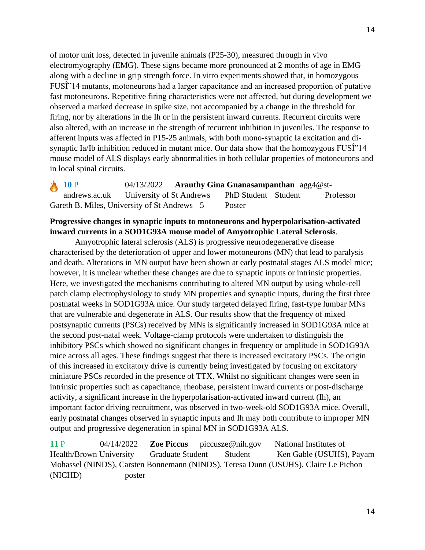of motor unit loss, detected in juvenile animals (P25-30), measured through in vivo electromyography (EMG). These signs became more pronounced at 2 months of age in EMG along with a decline in grip strength force. In vitro experiments showed that, in homozygous FUSÎ"14 mutants, motoneurons had a larger capacitance and an increased proportion of putative fast motoneurons. Repetitive firing characteristics were not affected, but during development we observed a marked decrease in spike size, not accompanied by a change in the threshold for firing, nor by alterations in the Ih or in the persistent inward currents. Recurrent circuits were also altered, with an increase in the strength of recurrent inhibition in juveniles. The response to afferent inputs was affected in P15-25 animals, with both mono-synaptic Ia excitation and disynaptic Ia/Ib inhibition reduced in mutant mice. Our data show that the homozygous  $FUSI^*14$ mouse model of ALS displays early abnormalities in both cellular properties of motoneurons and in local spinal circuits.

**10** P 04/13/2022 **Arauthy Gina Gnanasampanthan** agg4@standrews.ac.uk University of St Andrews PhD Student Student Professor Gareth B. Miles, University of St Andrews 5 Poster

# **Progressive changes in synaptic inputs to motoneurons and hyperpolarisation-activated inward currents in a SOD1G93A mouse model of Amyotrophic Lateral Sclerosis**.

Amyotrophic lateral sclerosis (ALS) is progressive neurodegenerative disease characterised by the deterioration of upper and lower motoneurons (MN) that lead to paralysis and death. Alterations in MN output have been shown at early postnatal stages ALS model mice; however, it is unclear whether these changes are due to synaptic inputs or intrinsic properties. Here, we investigated the mechanisms contributing to altered MN output by using whole-cell patch clamp electrophysiology to study MN properties and synaptic inputs, during the first three postnatal weeks in SOD1G93A mice. Our study targeted delayed firing, fast-type lumbar MNs that are vulnerable and degenerate in ALS. Our results show that the frequency of mixed postsynaptic currents (PSCs) received by MNs is significantly increased in SOD1G93A mice at the second post-natal week. Voltage-clamp protocols were undertaken to distinguish the inhibitory PSCs which showed no significant changes in frequency or amplitude in SOD1G93A mice across all ages. These findings suggest that there is increased excitatory PSCs. The origin of this increased in excitatory drive is currently being investigated by focusing on excitatory miniature PSCs recorded in the presence of TTX. Whilst no significant changes were seen in intrinsic properties such as capacitance, rheobase, persistent inward currents or post-discharge activity, a significant increase in the hyperpolarisation-activated inward current (Ih), an important factor driving recruitment, was observed in two-week-old SOD1G93A mice. Overall, early postnatal changes observed in synaptic inputs and Ih may both contribute to improper MN output and progressive degeneration in spinal MN in SOD1G93A ALS.

**11** P 04/14/2022 **Zoe Piccus** piccusze@nih.gov National Institutes of Health/Brown University Graduate Student Student Ken Gable (USUHS), Payam Mohassel (NINDS), Carsten Bonnemann (NINDS), Teresa Dunn (USUHS), Claire Le Pichon (NICHD) poster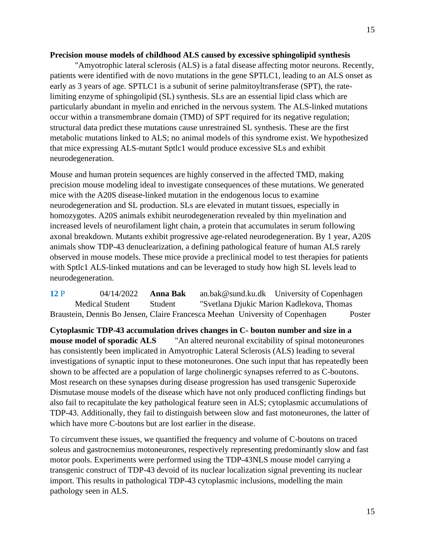#### **Precision mouse models of childhood ALS caused by excessive sphingolipid synthesis**

"Amyotrophic lateral sclerosis (ALS) is a fatal disease affecting motor neurons. Recently, patients were identified with de novo mutations in the gene SPTLC1, leading to an ALS onset as early as 3 years of age. SPTLC1 is a subunit of serine palmitoyltransferase (SPT), the ratelimiting enzyme of sphingolipid (SL) synthesis. SLs are an essential lipid class which are particularly abundant in myelin and enriched in the nervous system. The ALS-linked mutations occur within a transmembrane domain (TMD) of SPT required for its negative regulation; structural data predict these mutations cause unrestrained SL synthesis. These are the first metabolic mutations linked to ALS; no animal models of this syndrome exist. We hypothesized that mice expressing ALS-mutant Sptlc1 would produce excessive SLs and exhibit neurodegeneration.

Mouse and human protein sequences are highly conserved in the affected TMD, making precision mouse modeling ideal to investigate consequences of these mutations. We generated mice with the A20S disease-linked mutation in the endogenous locus to examine neurodegeneration and SL production. SLs are elevated in mutant tissues, especially in homozygotes. A20S animals exhibit neurodegeneration revealed by thin myelination and increased levels of neurofilament light chain, a protein that accumulates in serum following axonal breakdown. Mutants exhibit progressive age-related neurodegeneration. By 1 year, A20S animals show TDP-43 denuclearization, a defining pathological feature of human ALS rarely observed in mouse models. These mice provide a preclinical model to test therapies for patients with Sptlc1 ALS-linked mutations and can be leveraged to study how high SL levels lead to neurodegeneration.

**12** P 04/14/2022 **Anna Bak** an.bak@sund.ku.dk University of Copenhagen Medical Student Student "Svetlana Djukic Marion Kadlekova, Thomas Braustein, Dennis Bo Jensen, Claire Francesca Meehan University of Copenhagen Poster

**Cytoplasmic TDP-43 accumulation drives changes in C- bouton number and size in a mouse model of sporadic ALS** "An altered neuronal excitability of spinal motoneurones has consistently been implicated in Amyotrophic Lateral Sclerosis (ALS) leading to several investigations of synaptic input to these motoneurones. One such input that has repeatedly been shown to be affected are a population of large cholinergic synapses referred to as C-boutons. Most research on these synapses during disease progression has used transgenic Superoxide Dismutase mouse models of the disease which have not only produced conflicting findings but also fail to recapitulate the key pathological feature seen in ALS; cytoplasmic accumulations of TDP-43. Additionally, they fail to distinguish between slow and fast motoneurones, the latter of which have more C-boutons but are lost earlier in the disease.

To circumvent these issues, we quantified the frequency and volume of C-boutons on traced soleus and gastrocnemius motoneurones, respectively representing predominantly slow and fast motor pools. Experiments were performed using the TDP-43NLS mouse model carrying a transgenic construct of TDP-43 devoid of its nuclear localization signal preventing its nuclear import. This results in pathological TDP-43 cytoplasmic inclusions, modelling the main pathology seen in ALS.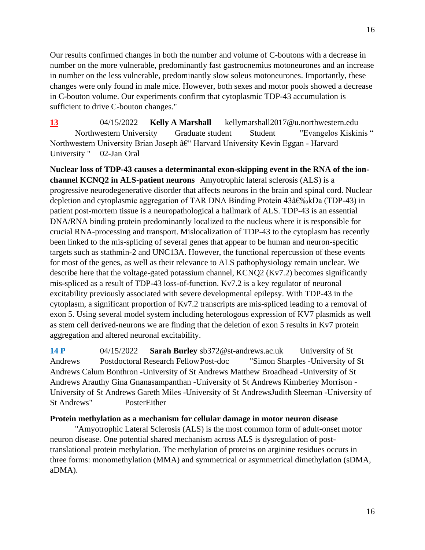Our results confirmed changes in both the number and volume of C-boutons with a decrease in number on the more vulnerable, predominantly fast gastrocnemius motoneurones and an increase in number on the less vulnerable, predominantly slow soleus motoneurones. Importantly, these changes were only found in male mice. However, both sexes and motor pools showed a decrease in C-bouton volume. Our experiments confirm that cytoplasmic TDP-43 accumulation is sufficient to drive C-bouton changes."

**13** 04/15/2022 **Kelly A Marshall** kellymarshall2017@u.northwestern.edu Northwestern University Graduate student Student "Evangelos Kiskinis " Northwestern University Brian Joseph – Harvard University Kevin Eggan - Harvard University " 02-Jan Oral

**Nuclear loss of TDP-43 causes a determinantal exon-skipping event in the RNA of the ionchannel KCNQ2 in ALS-patient neurons** Amyotrophic lateral sclerosis (ALS) is a progressive neurodegenerative disorder that affects neurons in the brain and spinal cord. Nuclear depletion and cytoplasmic aggregation of TAR DNA Binding Protein  $43âf\%$  kDa (TDP-43) in patient post-mortem tissue is a neuropathological a hallmark of ALS. TDP-43 is an essential DNA/RNA binding protein predominantly localized to the nucleus where it is responsible for crucial RNA-processing and transport. Mislocalization of TDP-43 to the cytoplasm has recently been linked to the mis-splicing of several genes that appear to be human and neuron-specific targets such as stathmin-2 and UNC13A. However, the functional repercussion of these events for most of the genes, as well as their relevance to ALS pathophysiology remain unclear. We describe here that the voltage-gated potassium channel, KCNQ2 (Kv7.2) becomes significantly mis-spliced as a result of TDP-43 loss-of-function. Kv7.2 is a key regulator of neuronal excitability previously associated with severe developmental epilepsy. With TDP-43 in the cytoplasm, a significant proportion of Kv7.2 transcripts are mis-spliced leading to a removal of exon 5. Using several model system including heterologous expression of KV7 plasmids as well as stem cell derived-neurons we are finding that the deletion of exon 5 results in Kv7 protein aggregation and altered neuronal excitability.

**14 P** 04/15/2022 **Sarah Burley** sb372@st-andrews.ac.uk University of St Andrews Postdoctoral Research FellowPost-doc "Simon Sharples -University of St Andrews Calum Bonthron -University of St Andrews Matthew Broadhead -University of St Andrews Arauthy Gina Gnanasampanthan -University of St Andrews Kimberley Morrison - University of St Andrews Gareth Miles -University of St AndrewsJudith Sleeman -University of St Andrews" PosterEither

#### **Protein methylation as a mechanism for cellular damage in motor neuron disease**

"Amyotrophic Lateral Sclerosis (ALS) is the most common form of adult-onset motor neuron disease. One potential shared mechanism across ALS is dysregulation of posttranslational protein methylation. The methylation of proteins on arginine residues occurs in three forms: monomethylation (MMA) and symmetrical or asymmetrical dimethylation (sDMA, aDMA).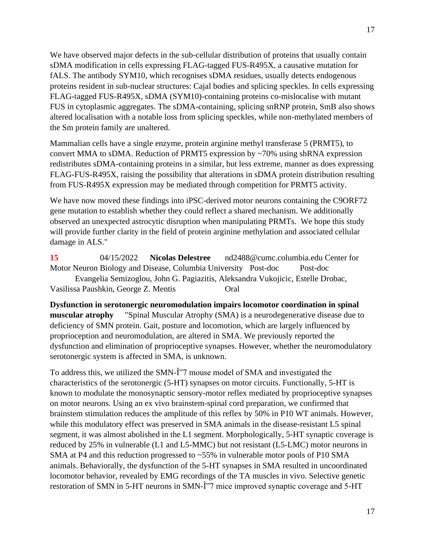We have observed major defects in the sub-cellular distribution of proteins that usually contain sDMA modification in cells expressing FLAG-tagged FUS-R495X, a causative mutation for fALS. The antibody SYM10, which recognises sDMA residues, usually detects endogenous proteins resident in sub-nuclear structures: Cajal bodies and splicing speckles. In cells expressing FLAG-tagged FUS-R495X, sDMA (SYM10)-containing proteins co-mislocalise with mutant FUS in cytoplasmic aggregates. The sDMA-containing, splicing snRNP protein, SmB also shows altered localisation with a notable loss from splicing speckles, while non-methylated members of the Sm protein family are unaltered.

Mammalian cells have a single enzyme, protein arginine methyl transferase 5 (PRMT5), to convert MMA to sDMA. Reduction of PRMT5 expression by ~70% using shRNA expression redistributes sDMA-containing proteins in a similar, but less extreme, manner as does expressing FLAG-FUS-R495X, raising the possibility that alterations in sDMA protein distribution resulting from FUS-R495X expression may be mediated through competition for PRMT5 activity.

We have now moved these findings into iPSC-derived motor neurons containing the C9ORF72 gene mutation to establish whether they could reflect a shared mechanism. We additionally observed an unexpected astrocytic disruption when manipulating PRMTs. We hope this study will provide further clarity in the field of protein arginine methylation and associated cellular damage in ALS."

**15** 04/15/2022 **Nicolas Delestree** nd2488@cumc.columbia.edu Center for Motor Neuron Biology and Disease, Columbia University Post-doc Post-doc

Evangelia Semizoglou, John G. Pagiazitis, Aleksandra Vukojicic, Estelle Drobac, Vasilissa Paushkin, George Z. Mentis Oral

**Dysfunction in serotonergic neuromodulation impairs locomotor coordination in spinal muscular atrophy** "Spinal Muscular Atrophy (SMA) is a neurodegenerative disease due to deficiency of SMN protein. Gait, posture and locomotion, which are largely influenced by proprioception and neuromodulation, are altered in SMA. We previously reported the dysfunction and elimination of proprioceptive synapses. However, whether the neuromodulatory serotonergic system is affected in SMA, is unknown.

To address this, we utilized the SMN- $\hat{I}$ "7 mouse model of SMA and investigated the characteristics of the serotonergic (5-HT) synapses on motor circuits. Functionally, 5-HT is known to modulate the monosynaptic sensory-motor reflex mediated by proprioceptive synapses on motor neurons. Using an ex vivo brainstem-spinal cord preparation, we confirmed that brainstem stimulation reduces the amplitude of this reflex by 50% in P10 WT animals. However, while this modulatory effect was preserved in SMA animals in the disease-resistant L5 spinal segment, it was almost abolished in the L1 segment. Morphologically, 5-HT synaptic coverage is reduced by 25% in vulnerable (L1 and L5-MMC) but not resistant (L5-LMC) motor neurons in SMA at P4 and this reduction progressed to ~55% in vulnerable motor pools of P10 SMA animals. Behaviorally, the dysfunction of the 5-HT synapses in SMA resulted in uncoordinated locomotor behavior, revealed by EMG recordings of the TA muscles in vivo. Selective genetic restoration of SMN in 5-HT neurons in SMN- $\hat{I}$ "7 mice improved synaptic coverage and 5-HT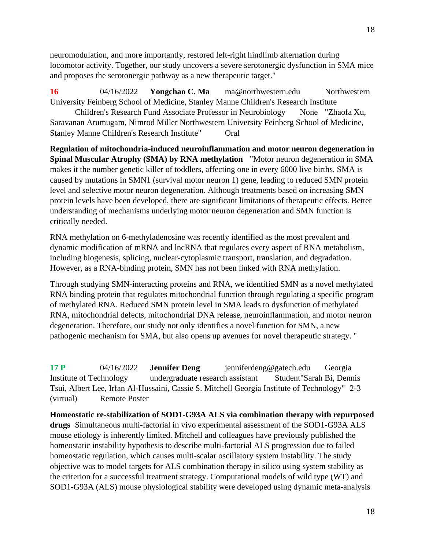neuromodulation, and more importantly, restored left-right hindlimb alternation during locomotor activity. Together, our study uncovers a severe serotonergic dysfunction in SMA mice and proposes the serotonergic pathway as a new therapeutic target."

**16** 04/16/2022 **Yongchao C. Ma** ma@northwestern.edu Northwestern University Feinberg School of Medicine, Stanley Manne Children's Research Institute

Children's Research Fund Associate Professor in Neurobiology None "Zhaofa Xu, Saravanan Arumugam, Nimrod Miller Northwestern University Feinberg School of Medicine, Stanley Manne Children's Research Institute" Oral

**Regulation of mitochondria-induced neuroinflammation and motor neuron degeneration in Spinal Muscular Atrophy (SMA) by RNA methylation** "Motor neuron degeneration in SMA makes it the number genetic killer of toddlers, affecting one in every 6000 live births. SMA is caused by mutations in SMN1 (survival motor neuron 1) gene, leading to reduced SMN protein level and selective motor neuron degeneration. Although treatments based on increasing SMN protein levels have been developed, there are significant limitations of therapeutic effects. Better understanding of mechanisms underlying motor neuron degeneration and SMN function is critically needed.

RNA methylation on 6-methyladenosine was recently identified as the most prevalent and dynamic modification of mRNA and lncRNA that regulates every aspect of RNA metabolism, including biogenesis, splicing, nuclear-cytoplasmic transport, translation, and degradation. However, as a RNA-binding protein, SMN has not been linked with RNA methylation.

Through studying SMN-interacting proteins and RNA, we identified SMN as a novel methylated RNA binding protein that regulates mitochondrial function through regulating a specific program of methylated RNA. Reduced SMN protein level in SMA leads to dysfunction of methylated RNA, mitochondrial defects, mitochondrial DNA release, neuroinflammation, and motor neuron degeneration. Therefore, our study not only identifies a novel function for SMN, a new pathogenic mechanism for SMA, but also opens up avenues for novel therapeutic strategy. "

**17 P** 04/16/2022 **Jennifer Deng** jenniferdeng@gatech.edu Georgia Institute of Technology undergraduate research assistant Student"Sarah Bi, Dennis Tsui, Albert Lee, Irfan Al-Hussaini, Cassie S. Mitchell Georgia Institute of Technology" 2-3 (virtual) Remote Poster

**Homeostatic re-stabilization of SOD1-G93A ALS via combination therapy with repurposed drugs** Simultaneous multi-factorial in vivo experimental assessment of the SOD1-G93A ALS mouse etiology is inherently limited. Mitchell and colleagues have previously published the homeostatic instability hypothesis to describe multi-factorial ALS progression due to failed homeostatic regulation, which causes multi-scalar oscillatory system instability. The study objective was to model targets for ALS combination therapy in silico using system stability as the criterion for a successful treatment strategy. Computational models of wild type (WT) and SOD1-G93A (ALS) mouse physiological stability were developed using dynamic meta-analysis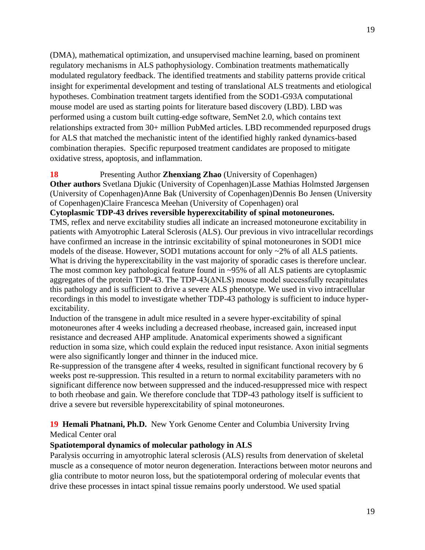(DMA), mathematical optimization, and unsupervised machine learning, based on prominent regulatory mechanisms in ALS pathophysiology. Combination treatments mathematically modulated regulatory feedback. The identified treatments and stability patterns provide critical insight for experimental development and testing of translational ALS treatments and etiological hypotheses. Combination treatment targets identified from the SOD1-G93A computational mouse model are used as starting points for literature based discovery (LBD). LBD was performed using a custom built cutting-edge software, SemNet 2.0, which contains text relationships extracted from 30+ million PubMed articles. LBD recommended repurposed drugs for ALS that matched the mechanistic intent of the identified highly ranked dynamics-based combination therapies. Specific repurposed treatment candidates are proposed to mitigate oxidative stress, apoptosis, and inflammation.

#### **18** Presenting Author **Zhenxiang Zhao** (University of Copenhagen)

**Other authors** Svetlana Djukic (University of Copenhagen)Lasse Mathias Holmsted Jørgensen (University of Copenhagen)Anne Bak (University of Copenhagen)Dennis Bo Jensen (University of Copenhagen)Claire Francesca Meehan (University of Copenhagen) oral

**Cytoplasmic TDP-43 drives reversible hyperexcitability of spinal motoneurones.**

TMS, reflex and nerve excitability studies all indicate an increased motoneurone excitability in patients with Amyotrophic Lateral Sclerosis (ALS). Our previous in vivo intracellular recordings have confirmed an increase in the intrinsic excitability of spinal motoneurones in SOD1 mice models of the disease. However, SOD1 mutations account for only ~2% of all ALS patients. What is driving the hyperexcitability in the vast majority of sporadic cases is therefore unclear. The most common key pathological feature found in ~95% of all ALS patients are cytoplasmic aggregates of the protein TDP-43. The TDP-43( $\triangle NLS$ ) mouse model successfully recapitulates this pathology and is sufficient to drive a severe ALS phenotype. We used in vivo intracellular recordings in this model to investigate whether TDP-43 pathology is sufficient to induce hyperexcitability.

Induction of the transgene in adult mice resulted in a severe hyper-excitability of spinal motoneurones after 4 weeks including a decreased rheobase, increased gain, increased input resistance and decreased AHP amplitude. Anatomical experiments showed a significant reduction in soma size, which could explain the reduced input resistance. Axon initial segments were also significantly longer and thinner in the induced mice.

Re-suppression of the transgene after 4 weeks, resulted in significant functional recovery by 6 weeks post re-suppression. This resulted in a return to normal excitability parameters with no significant difference now between suppressed and the induced-resuppressed mice with respect to both rheobase and gain. We therefore conclude that TDP-43 pathology itself is sufficient to drive a severe but reversible hyperexcitability of spinal motoneurones.

# **19 Hemali Phatnani, Ph.D.** New York Genome Center and Columbia University Irving Medical Center oral

#### **Spatiotemporal dynamics of molecular pathology in ALS**

Paralysis occurring in amyotrophic lateral sclerosis (ALS) results from denervation of skeletal muscle as a consequence of motor neuron degeneration. Interactions between motor neurons and glia contribute to motor neuron loss, but the spatiotemporal ordering of molecular events that drive these processes in intact spinal tissue remains poorly understood. We used spatial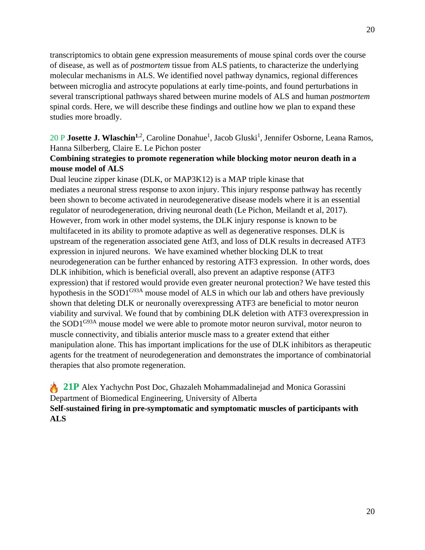transcriptomics to obtain gene expression measurements of mouse spinal cords over the course of disease, as well as of *postmortem* tissue from ALS patients, to characterize the underlying molecular mechanisms in ALS. We identified novel pathway dynamics, regional differences between microglia and astrocyte populations at early time-points, and found perturbations in several transcriptional pathways shared between murine models of ALS and human *postmortem* spinal cords. Here, we will describe these findings and outline how we plan to expand these studies more broadly.

# 20 P **Josette J. Wlaschin<sup>1,2</sup>**, Caroline Donahue<sup>1</sup>, Jacob Gluski<sup>1</sup>, Jennifer Osborne, Leana Ramos, Hanna Silberberg, Claire E. Le Pichon poster

# **Combining strategies to promote regeneration while blocking motor neuron death in a mouse model of ALS**

Dual leucine zipper kinase (DLK, or MAP3K12) is a MAP triple kinase that mediates a neuronal stress response to axon injury. This injury response pathway has recently been shown to become activated in neurodegenerative disease models where it is an essential regulator of neurodegeneration, driving neuronal death (Le Pichon, Meilandt et al, 2017). However, from work in other model systems, the DLK injury response is known to be multifaceted in its ability to promote adaptive as well as degenerative responses. DLK is upstream of the regeneration associated gene Atf3, and loss of DLK results in decreased ATF3 expression in injured neurons. We have examined whether blocking DLK to treat neurodegeneration can be further enhanced by restoring ATF3 expression. In other words, does DLK inhibition, which is beneficial overall, also prevent an adaptive response (ATF3 expression) that if restored would provide even greater neuronal protection? We have tested this hypothesis in the SOD1<sup>G93A</sup> mouse model of ALS in which our lab and others have previously shown that deleting DLK or neuronally overexpressing ATF3 are beneficial to motor neuron viability and survival. We found that by combining DLK deletion with ATF3 overexpression in the SOD1<sup>G93A</sup> mouse model we were able to promote motor neuron survival, motor neuron to muscle connectivity, and tibialis anterior muscle mass to a greater extend that either manipulation alone. This has important implications for the use of DLK inhibitors as therapeutic agents for the treatment of neurodegeneration and demonstrates the importance of combinatorial therapies that also promote regeneration.

**21P** Alex Yachychn Post Doc, Ghazaleh Mohammadalinejad and Monica Gorassini Department of Biomedical Engineering, University of Alberta **Self-sustained firing in pre-symptomatic and symptomatic muscles of participants with ALS**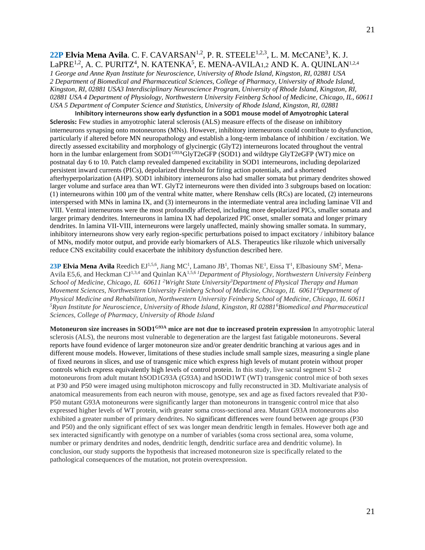### 22P Elvia Mena Avila. C. F. CAVARSAN<sup>1,2</sup>, P. R. STEELE<sup>1,2,3</sup>, L. M. McCANE<sup>3</sup>, K. J. La $\mathrm{PRE}^{1,2}$ , A. C. PURITZ $^4$ , N. KATENKA $^5$ , E. MENA-AVILA1,2 AND K. A. QUINLAN $^{1,2,4}$

*1 George and Anne Ryan Institute for Neuroscience, University of Rhode Island, Kingston, RI, 02881 USA 2 Department of Biomedical and Pharmaceutical Sciences, College of Pharmacy, University of Rhode Island, Kingston, RI, 02881 USA3 Interdisciplinary Neuroscience Program, University of Rhode Island, Kingston, RI, 02881 USA 4 Department of Physiology, Northwestern University Feinberg School of Medicine, Chicago, IL, 60611 USA 5 Department of Computer Science and Statistics, University of Rhode Island, Kingston, RI, 02881* 

**Inhibitory interneurons show early dysfunction in a SOD1 mouse model of Amyotrophic Lateral Sclerosis:** Few studies in amyotrophic lateral sclerosis (ALS) measure effects of the disease on inhibitory interneurons synapsing onto motoneurons (MNs). However, inhibitory interneurons could contribute to dysfunction, particularly if altered before MN neuropathology and establish a long-term imbalance of inhibition / excitation. We directly assessed excitability and morphology of glycinergic (GlyT2) interneurons located throughout the ventral horn in the lumbar enlargement from SOD1<sup>G93A</sup>GlyT2eGFP (SOD1) and wildtype GlyT2eGFP (WT) mice on postnatal day 6 to 10. Patch clamp revealed dampened excitability in SOD1 interneurons, including depolarized persistent inward currents (PICs), depolarized threshold for firing action potentials, and a shortened afterhyperpolarization (AHP). SOD1 inhibitory interneurons also had smaller somata but primary dendrites showed larger volume and surface area than WT. GlyT2 interneurons were then divided into 3 subgroups based on location: (1) interneurons within 100  $\mu$ m of the ventral white matter, where Renshaw cells (RCs) are located, (2) interneurons interspersed with MNs in lamina IX, and (3) interneurons in the intermediate ventral area including laminae VII and VIII. Ventral interneurons were the most profoundly affected, including more depolarized PICs, smaller somata and larger primary dendrites. Interneurons in lamina IX had depolarized PIC onset, smaller somata and longer primary dendrites. In lamina VII-VIII, interneurons were largely unaffected, mainly showing smaller somata. In summary, inhibitory interneurons show very early region-specific perturbations poised to impact excitatory / inhibitory balance of MNs, modify motor output, and provide early biomarkers of ALS. Therapeutics like riluzole which universally reduce CNS excitability could exacerbate the inhibitory dysfunction described here.

23P Elvia Mena Avila Reedich EJ<sup>1,5,6</sup>, Jiang MC<sup>1</sup>, Lamano JB<sup>1</sup>, Thomas NE<sup>1</sup>, Eissa T<sup>1</sup>, Elbasiouny SM<sup>2</sup>, Mena-Avila E5,6, and Heckman CJ1,3,4 and Quinlan KA1,5,6 *<sup>1</sup>Department of Physiology, Northwestern University Feinberg School of Medicine, Chicago, IL 60611 <sup>2</sup>Wright State University<sup>3</sup>Department of Physical Therapy and Human Movement Sciences, Northwestern University Feinberg School of Medicine, Chicago, IL 60611<sup>4</sup>Department of Physical Medicine and Rehabilitation, Northwestern University Feinberg School of Medicine, Chicago, IL 60611 <sup>5</sup>Ryan Institute for Neuroscience, University of Rhode Island, Kingston, RI 02881<sup>6</sup>Biomedical and Pharmaceutical Sciences, College of Pharmacy, University of Rhode Island*

**Motoneuron size increases in SOD1G93A mice are not due to increased protein expression** In amyotrophic lateral sclerosis (ALS), the neurons most vulnerable to degeneration are the largest fast fatigable motoneurons. Several reports have found evidence of larger motoneuron size and/or greater dendritic branching at various ages and in different mouse models. However, limitations of these studies include small sample sizes, measuring a single plane of fixed neurons in slices, and use of transgenic mice which express high levels of mutant protein without proper controls which express equivalently high levels of control protein. In this study, live sacral segment S1-2 motoneurons from adult mutant hSOD1G93A (G93A) and hSOD1WT (WT) transgenic control mice of both sexes at P30 and P50 were imaged using multiphoton microscopy and fully reconstructed in 3D. Multivariate analysis of anatomical measurements from each neuron with mouse, genotype, sex and age as fixed factors revealed that P30- P50 mutant G93A motoneurons were significantly larger than motoneurons in transgenic control mice that also expressed higher levels of WT protein, with greater soma cross-sectional area. Mutant G93A motoneurons also exhibited a greater number of primary dendrites. No significant differences were found between age groups (P30 and P50) and the only significant effect of sex was longer mean dendritic length in females. However both age and sex interacted significantly with genotype on a number of variables (soma cross sectional area, soma volume, number or primary dendrites and nodes, dendritic length, dendritic surface area and dendritic volume). In conclusion, our study supports the hypothesis that increased motoneuron size is specifically related to the pathological consequences of the mutation, not protein overexpression.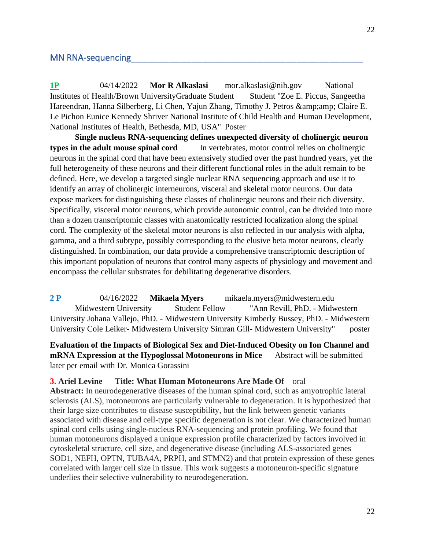### MN RNA-sequencing

**1P** 04/14/2022 **Mor R Alkaslasi** mor.alkaslasi@nih.gov National Institutes of Health/Brown UniversityGraduate Student Student "Zoe E. Piccus, Sangeetha Hareendran, Hanna Silberberg, Li Chen, Yajun Zhang, Timothy J. Petros & amp; amp; Claire E. Le Pichon Eunice Kennedy Shriver National Institute of Child Health and Human Development, National Institutes of Health, Bethesda, MD, USA" Poster

**Single nucleus RNA-sequencing defines unexpected diversity of cholinergic neuron types in the adult mouse spinal cord** In vertebrates, motor control relies on cholinergic neurons in the spinal cord that have been extensively studied over the past hundred years, yet the full heterogeneity of these neurons and their different functional roles in the adult remain to be defined. Here, we develop a targeted single nuclear RNA sequencing approach and use it to identify an array of cholinergic interneurons, visceral and skeletal motor neurons. Our data expose markers for distinguishing these classes of cholinergic neurons and their rich diversity. Specifically, visceral motor neurons, which provide autonomic control, can be divided into more than a dozen transcriptomic classes with anatomically restricted localization along the spinal cord. The complexity of the skeletal motor neurons is also reflected in our analysis with alpha, gamma, and a third subtype, possibly corresponding to the elusive beta motor neurons, clearly distinguished. In combination, our data provide a comprehensive transcriptomic description of this important population of neurons that control many aspects of physiology and movement and encompass the cellular substrates for debilitating degenerative disorders.

**2 P** 04/16/2022 **Mikaela Myers** mikaela.myers@midwestern.edu Midwestern University Student Fellow "Ann Revill, PhD. - Midwestern University Johana Vallejo, PhD. - Midwestern University Kimberly Bussey, PhD. - Midwestern University Cole Leiker- Midwestern University Simran Gill- Midwestern University" poster

# **Evaluation of the Impacts of Biological Sex and Diet-Induced Obesity on Ion Channel and mRNA Expression at the Hypoglossal Motoneurons in Mice** Abstract will be submitted later per email with Dr. Monica Gorassini

**3. Ariel Levine Title: What Human Motoneurons Are Made Of** oral

**Abstract:** In neurodegenerative diseases of the human spinal cord, such as amyotrophic lateral sclerosis (ALS), motoneurons are particularly vulnerable to degeneration. It is hypothesized that their large size contributes to disease susceptibility, but the link between genetic variants associated with disease and cell-type specific degeneration is not clear. We characterized human spinal cord cells using single-nucleus RNA-sequencing and protein profiling. We found that human motoneurons displayed a unique expression profile characterized by factors involved in cytoskeletal structure, cell size, and degenerative disease (including ALS-associated genes SOD1, NEFH, OPTN, TUBA4A, PRPH, and STMN2) and that protein expression of these genes correlated with larger cell size in tissue. This work suggests a motoneuron-specific signature underlies their selective vulnerability to neurodegeneration.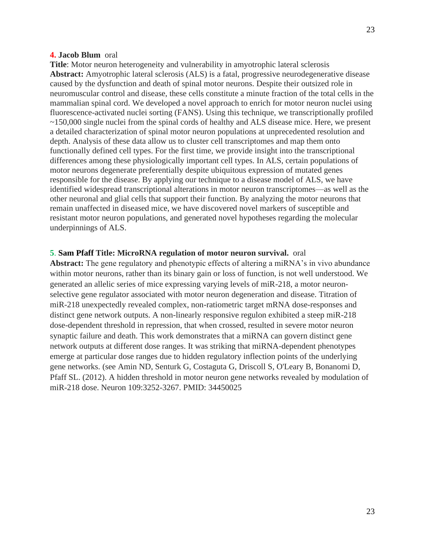### **4. Jacob Blum** oral

**Title**: Motor neuron heterogeneity and vulnerability in amyotrophic lateral sclerosis **Abstract:** Amyotrophic lateral sclerosis (ALS) is a fatal, progressive neurodegenerative disease caused by the dysfunction and death of spinal motor neurons. Despite their outsized role in neuromuscular control and disease, these cells constitute a minute fraction of the total cells in the mammalian spinal cord. We developed a novel approach to enrich for motor neuron nuclei using fluorescence-activated nuclei sorting (FANS). Using this technique, we transcriptionally profiled ~150,000 single nuclei from the spinal cords of healthy and ALS disease mice. Here, we present a detailed characterization of spinal motor neuron populations at unprecedented resolution and depth. Analysis of these data allow us to cluster cell transcriptomes and map them onto functionally defined cell types. For the first time, we provide insight into the transcriptional differences among these physiologically important cell types. In ALS, certain populations of motor neurons degenerate preferentially despite ubiquitous expression of mutated genes responsible for the disease. By applying our technique to a disease model of ALS, we have identified widespread transcriptional alterations in motor neuron transcriptomes—as well as the other neuronal and glial cells that support their function. By analyzing the motor neurons that remain unaffected in diseased mice, we have discovered novel markers of susceptible and resistant motor neuron populations, and generated novel hypotheses regarding the molecular underpinnings of ALS.

#### **5**. **Sam Pfaff Title: MicroRNA regulation of motor neuron survival.** oral

**Abstract:** The gene regulatory and phenotypic effects of altering a miRNA's in vivo abundance within motor neurons, rather than its binary gain or loss of function, is not well understood. We generated an allelic series of mice expressing varying levels of miR-218, a motor neuronselective gene regulator associated with motor neuron degeneration and disease. Titration of miR-218 unexpectedly revealed complex, non-ratiometric target mRNA dose-responses and distinct gene network outputs. A non-linearly responsive regulon exhibited a steep miR-218 dose-dependent threshold in repression, that when crossed, resulted in severe motor neuron synaptic failure and death. This work demonstrates that a miRNA can govern distinct gene network outputs at different dose ranges. It was striking that miRNA-dependent phenotypes emerge at particular dose ranges due to hidden regulatory inflection points of the underlying gene networks. (see Amin ND, Senturk G, Costaguta G, Driscoll S, O'Leary B, Bonanomi D, Pfaff SL. (2012). A hidden threshold in motor neuron gene networks revealed by modulation of miR-218 dose. Neuron 109:3252-3267. PMID: 34450025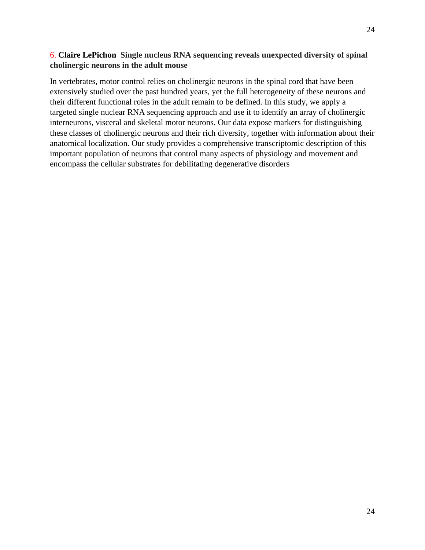# 6. **Claire LePichon Single nucleus RNA sequencing reveals unexpected diversity of spinal cholinergic neurons in the adult mouse**

In vertebrates, motor control relies on cholinergic neurons in the spinal cord that have been extensively studied over the past hundred years, yet the full heterogeneity of these neurons and their different functional roles in the adult remain to be defined. In this study, we apply a targeted single nuclear RNA sequencing approach and use it to identify an array of cholinergic interneurons, visceral and skeletal motor neurons. Our data expose markers for distinguishing these classes of cholinergic neurons and their rich diversity, together with information about their anatomical localization. Our study provides a comprehensive transcriptomic description of this important population of neurons that control many aspects of physiology and movement and encompass the cellular substrates for debilitating degenerative disorders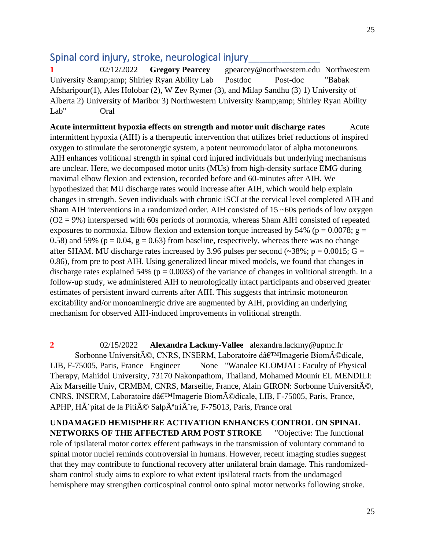# Spinal cord injury, stroke, neurological injury

**1** 02/12/2022 **Gregory Pearcey** gpearcey@northwestern.edu Northwestern University & amp; amp; Shirley Ryan Ability Lab Postdoc Post-doc "Babak Afsharipour(1), Ales Holobar (2), W Zev Rymer (3), and Milap Sandhu (3) 1) University of Alberta 2) University of Maribor 3) Northwestern University & amp; amp; Shirley Ryan Ability Lab" Oral

Acute intermittent hypoxia effects on strength and motor unit discharge rates Acute intermittent hypoxia (AIH) is a therapeutic intervention that utilizes brief reductions of inspired oxygen to stimulate the serotonergic system, a potent neuromodulator of alpha motoneurons. AIH enhances volitional strength in spinal cord injured individuals but underlying mechanisms are unclear. Here, we decomposed motor units (MUs) from high-density surface EMG during maximal elbow flexion and extension, recorded before and 60-minutes after AIH. We hypothesized that MU discharge rates would increase after AIH, which would help explain changes in strength. Seven individuals with chronic iSCI at the cervical level completed AIH and Sham AIH interventions in a randomized order. AIH consisted of 15 ~60s periods of low oxygen  $(O2 = 9\%)$  interspersed with 60s periods of normoxia, whereas Sham AIH consisted of repeated exposures to normoxia. Elbow flexion and extension torque increased by 54% ( $p = 0.0078$ ;  $g =$ 0.58) and 59% ( $p = 0.04$ ,  $g = 0.63$ ) from baseline, respectively, whereas there was no change after SHAM. MU discharge rates increased by 3.96 pulses per second ( $\sim$ 38%; p = 0.0015; G = 0.86), from pre to post AIH. Using generalized linear mixed models, we found that changes in discharge rates explained 54% ( $p = 0.0033$ ) of the variance of changes in volitional strength. In a follow-up study, we administered AIH to neurologically intact participants and observed greater estimates of persistent inward currents after AIH. This suggests that intrinsic motoneuron excitability and/or monoaminergic drive are augmented by AIH, providing an underlying mechanism for observed AIH-induced improvements in volitional strength.

**2** 02/15/2022 **Alexandra Lackmy-Vallee** alexandra.lackmy@upmc.fr Sorbonne Université, CNRS, INSERM, Laboratoire dâ€<sup>™</sup>Imagerie Biomédicale, LIB, F-75005, Paris, France Engineer None "Wanalee KLOMJAI : Faculty of Physical Therapy, Mahidol University, 73170 Nakonpathom, Thailand, Mohamed Mounir EL MENDILI: Aix Marseille Univ, CRMBM, CNRS, Marseille, France, Alain GIRON: Sorbonne Université, CNRS, INSERM, Laboratoire dâ $\varepsilon$ <sup>TM</sup>Imagerie Biom $\tilde{A}$ ©dicale, LIB, F-75005, Paris, France, APHP, Hà pital de la Pitié Salpêtrià re, F-75013, Paris, France oral

**UNDAMAGED HEMISPHERE ACTIVATION ENHANCES CONTROL ON SPINAL NETWORKS OF THE AFFECTED ARM POST STROKE** "Objective: The functional role of ipsilateral motor cortex efferent pathways in the transmission of voluntary command to spinal motor nuclei reminds controversial in humans. However, recent imaging studies suggest that they may contribute to functional recovery after unilateral brain damage. This randomizedsham control study aims to explore to what extent ipsilateral tracts from the undamaged hemisphere may strengthen corticospinal control onto spinal motor networks following stroke.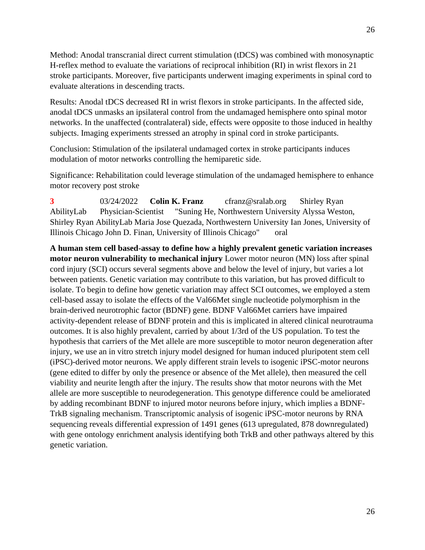Method: Anodal transcranial direct current stimulation (tDCS) was combined with monosynaptic H-reflex method to evaluate the variations of reciprocal inhibition (RI) in wrist flexors in 21 stroke participants. Moreover, five participants underwent imaging experiments in spinal cord to evaluate alterations in descending tracts.

Results: Anodal tDCS decreased RI in wrist flexors in stroke participants. In the affected side, anodal tDCS unmasks an ipsilateral control from the undamaged hemisphere onto spinal motor networks. In the unaffected (contralateral) side, effects were opposite to those induced in healthy subjects. Imaging experiments stressed an atrophy in spinal cord in stroke participants.

Conclusion: Stimulation of the ipsilateral undamaged cortex in stroke participants induces modulation of motor networks controlling the hemiparetic side.

Significance: Rehabilitation could leverage stimulation of the undamaged hemisphere to enhance motor recovery post stroke

**3** 03/24/2022 **Colin K. Franz** cfranz@sralab.org Shirley Ryan AbilityLab Physician-Scientist "Suning He, Northwestern University Alyssa Weston, Shirley Ryan AbilityLab Maria Jose Quezada, Northwestern University Ian Jones, University of Illinois Chicago John D. Finan, University of Illinois Chicago" oral

**A human stem cell based-assay to define how a highly prevalent genetic variation increases motor neuron vulnerability to mechanical injury** Lower motor neuron (MN) loss after spinal cord injury (SCI) occurs several segments above and below the level of injury, but varies a lot between patients. Genetic variation may contribute to this variation, but has proved difficult to isolate. To begin to define how genetic variation may affect SCI outcomes, we employed a stem cell-based assay to isolate the effects of the Val66Met single nucleotide polymorphism in the brain-derived neurotrophic factor (BDNF) gene. BDNF Val66Met carriers have impaired activity-dependent release of BDNF protein and this is implicated in altered clinical neurotrauma outcomes. It is also highly prevalent, carried by about 1/3rd of the US population. To test the hypothesis that carriers of the Met allele are more susceptible to motor neuron degeneration after injury, we use an in vitro stretch injury model designed for human induced pluripotent stem cell (iPSC)-derived motor neurons. We apply different strain levels to isogenic iPSC-motor neurons (gene edited to differ by only the presence or absence of the Met allele), then measured the cell viability and neurite length after the injury. The results show that motor neurons with the Met allele are more susceptible to neurodegeneration. This genotype difference could be ameliorated by adding recombinant BDNF to injured motor neurons before injury, which implies a BDNF-TrkB signaling mechanism. Transcriptomic analysis of isogenic iPSC-motor neurons by RNA sequencing reveals differential expression of 1491 genes (613 upregulated, 878 downregulated) with gene ontology enrichment analysis identifying both TrkB and other pathways altered by this genetic variation.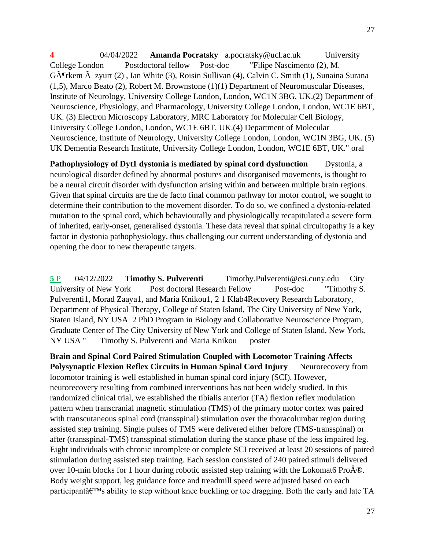**4** 04/04/2022 **Amanda Pocratsky** a.pocratsky@ucl.ac.uk University College London Postdoctoral fellow Post-doc "Filipe Nascimento (2), M. GĶrkem Ä-zyurt (2), Ian White (3), Roisin Sullivan (4), Calvin C. Smith (1), Sunaina Surana (1,5), Marco Beato (2), Robert M. Brownstone (1)(1) Department of Neuromuscular Diseases, Institute of Neurology, University College London, London, WC1N 3BG, UK.(2) Department of Neuroscience, Physiology, and Pharmacology, University College London, London, WC1E 6BT, UK. (3) Electron Microscopy Laboratory, MRC Laboratory for Molecular Cell Biology, University College London, London, WC1E 6BT, UK.(4) Department of Molecular Neuroscience, Institute of Neurology, University College London, London, WC1N 3BG, UK. (5) UK Dementia Research Institute, University College London, London, WC1E 6BT, UK." oral

**Pathophysiology of Dyt1 dystonia is mediated by spinal cord dysfunction** Dystonia, a neurological disorder defined by abnormal postures and disorganised movements, is thought to be a neural circuit disorder with dysfunction arising within and between multiple brain regions. Given that spinal circuits are the de facto final common pathway for motor control, we sought to determine their contribution to the movement disorder. To do so, we confined a dystonia-related mutation to the spinal cord, which behaviourally and physiologically recapitulated a severe form of inherited, early-onset, generalised dystonia. These data reveal that spinal circuitopathy is a key factor in dystonia pathophysiology, thus challenging our current understanding of dystonia and opening the door to new therapeutic targets.

**5** P 04/12/2022 **Timothy S. Pulverenti** Timothy.Pulverenti@csi.cuny.edu City University of New York Post doctoral Research Fellow Post-doc "Timothy S. Pulverenti1, Morad Zaaya1, and Maria Knikou1, 2 1 Klab4Recovery Research Laboratory, Department of Physical Therapy, College of Staten Island, The City University of New York, Staten Island, NY USA 2 PhD Program in Biology and Collaborative Neuroscience Program, Graduate Center of The City University of New York and College of Staten Island, New York, NY USA " Timothy S. Pulverenti and Maria Knikou poster

**Brain and Spinal Cord Paired Stimulation Coupled with Locomotor Training Affects Polysynaptic Flexion Reflex Circuits in Human Spinal Cord Injury** Neurorecovery from locomotor training is well established in human spinal cord injury (SCI). However, neurorecovery resulting from combined interventions has not been widely studied. In this randomized clinical trial, we established the tibialis anterior (TA) flexion reflex modulation pattern when transcranial magnetic stimulation (TMS) of the primary motor cortex was paired with transcutaneous spinal cord (transspinal) stimulation over the thoracolumbar region during assisted step training. Single pulses of TMS were delivered either before (TMS-transspinal) or after (transspinal-TMS) transspinal stimulation during the stance phase of the less impaired leg. Eight individuals with chronic incomplete or complete SCI received at least 20 sessions of paired stimulation during assisted step training. Each session consisted of 240 paired stimuli delivered over 10-min blocks for 1 hour during robotic assisted step training with the Lokomat6 Pro $\hat{A}\&$ . Body weight support, leg guidance force and treadmill speed were adjusted based on each participant $\hat{a} \in T^{M}$ s ability to step without knee buckling or toe dragging. Both the early and late TA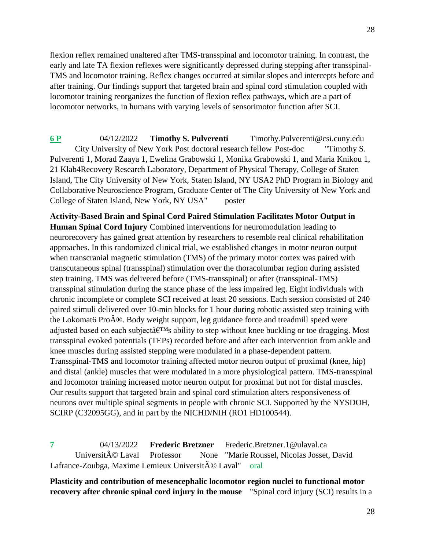flexion reflex remained unaltered after TMS-transspinal and locomotor training. In contrast, the early and late TA flexion reflexes were significantly depressed during stepping after transspinal-TMS and locomotor training. Reflex changes occurred at similar slopes and intercepts before and after training. Our findings support that targeted brain and spinal cord stimulation coupled with locomotor training reorganizes the function of flexion reflex pathways, which are a part of locomotor networks, in humans with varying levels of sensorimotor function after SCI.

**6 P** 04/12/2022 **Timothy S. Pulverenti** Timothy.Pulverenti@csi.cuny.edu City University of New York Post doctoral research fellow Post-doc "Timothy S. Pulverenti 1, Morad Zaaya 1, Ewelina Grabowski 1, Monika Grabowski 1, and Maria Knikou 1, 21 Klab4Recovery Research Laboratory, Department of Physical Therapy, College of Staten Island, The City University of New York, Staten Island, NY USA2 PhD Program in Biology and Collaborative Neuroscience Program, Graduate Center of The City University of New York and College of Staten Island, New York, NY USA" poster

**Activity-Based Brain and Spinal Cord Paired Stimulation Facilitates Motor Output in Human Spinal Cord Injury** Combined interventions for neuromodulation leading to neurorecovery has gained great attention by researchers to resemble real clinical rehabilitation approaches. In this randomized clinical trial, we established changes in motor neuron output when transcranial magnetic stimulation (TMS) of the primary motor cortex was paired with transcutaneous spinal (transspinal) stimulation over the thoracolumbar region during assisted step training. TMS was delivered before (TMS-transspinal) or after (transspinal-TMS) transspinal stimulation during the stance phase of the less impaired leg. Eight individuals with chronic incomplete or complete SCI received at least 20 sessions. Each session consisted of 240 paired stimuli delivered over 10-min blocks for 1 hour during robotic assisted step training with the Lokomat6 Pro $\hat{A}$ ®. Body weight support, leg guidance force and treadmill speed were adjusted based on each subject  $\hat{\mathbf{a}} \in \mathbb{R}^N$  ability to step without knee buckling or toe dragging. Most transspinal evoked potentials (TEPs) recorded before and after each intervention from ankle and knee muscles during assisted stepping were modulated in a phase-dependent pattern. Transspinal-TMS and locomotor training affected motor neuron output of proximal (knee, hip) and distal (ankle) muscles that were modulated in a more physiological pattern. TMS-transspinal and locomotor training increased motor neuron output for proximal but not for distal muscles. Our results support that targeted brain and spinal cord stimulation alters responsiveness of neurons over multiple spinal segments in people with chronic SCI. Supported by the NYSDOH, SCIRP (C32095GG), and in part by the NICHD/NIH (RO1 HD100544).

**7** 04/13/2022 **Frederic Bretzner** Frederic.Bretzner.1@ulaval.ca Université Laval Professor None "Marie Roussel, Nicolas Josset, David Lafrance-Zoubga, Maxime Lemieux Universit© Laval" oral

**Plasticity and contribution of mesencephalic locomotor region nuclei to functional motor recovery after chronic spinal cord injury in the mouse** "Spinal cord injury (SCI) results in a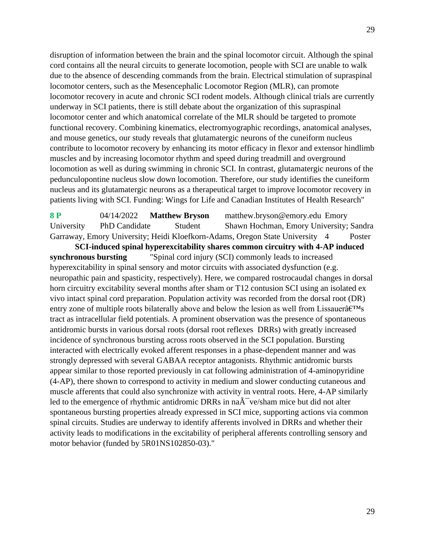disruption of information between the brain and the spinal locomotor circuit. Although the spinal cord contains all the neural circuits to generate locomotion, people with SCI are unable to walk due to the absence of descending commands from the brain. Electrical stimulation of supraspinal locomotor centers, such as the Mesencephalic Locomotor Region (MLR), can promote locomotor recovery in acute and chronic SCI rodent models. Although clinical trials are currently underway in SCI patients, there is still debate about the organization of this supraspinal locomotor center and which anatomical correlate of the MLR should be targeted to promote functional recovery. Combining kinematics, electromyographic recordings, anatomical analyses, and mouse genetics, our study reveals that glutamatergic neurons of the cuneiform nucleus contribute to locomotor recovery by enhancing its motor efficacy in flexor and extensor hindlimb muscles and by increasing locomotor rhythm and speed during treadmill and overground locomotion as well as during swimming in chronic SCI. In contrast, glutamatergic neurons of the pedunculopontine nucleus slow down locomotion. Therefore, our study identifies the cuneiform nucleus and its glutamatergic neurons as a therapeutical target to improve locomotor recovery in patients living with SCI. Funding: Wings for Life and Canadian Institutes of Health Research"

**8 P** 04/14/2022 **Matthew Bryson** matthew.bryson@emory.edu Emory University PhD Candidate Student Shawn Hochman, Emory University; Sandra Garraway, Emory University; Heidi Kloefkorn-Adams, Oregon State University 4 Poster

**SCI-induced spinal hyperexcitability shares common circuitry with 4-AP induced synchronous bursting** "Spinal cord injury (SCI) commonly leads to increased hyperexcitability in spinal sensory and motor circuits with associated dysfunction (e.g. neuropathic pain and spasticity, respectively). Here, we compared rostrocaudal changes in dorsal horn circuitry excitability several months after sham or T12 contusion SCI using an isolated ex vivo intact spinal cord preparation. Population activity was recorded from the dorsal root (DR) entry zone of multiple roots bilaterally above and below the lesion as well from Lissauer $\hat{a}\in$ <sup>TM</sup>s tract as intracellular field potentials. A prominent observation was the presence of spontaneous antidromic bursts in various dorsal roots (dorsal root reflexes DRRs) with greatly increased incidence of synchronous bursting across roots observed in the SCI population. Bursting interacted with electrically evoked afferent responses in a phase-dependent manner and was strongly depressed with several GABAA receptor antagonists. Rhythmic antidromic bursts appear similar to those reported previously in cat following administration of 4-aminopyridine (4-AP), there shown to correspond to activity in medium and slower conducting cutaneous and muscle afferents that could also synchronize with activity in ventral roots. Here, 4-AP similarly led to the emergence of rhythmic antidromic DRRs in na $\tilde{A}$ <sup>-</sup> ve/sham mice but did not alter spontaneous bursting properties already expressed in SCI mice, supporting actions via common spinal circuits. Studies are underway to identify afferents involved in DRRs and whether their activity leads to modifications in the excitability of peripheral afferents controlling sensory and motor behavior (funded by 5R01NS102850-03)."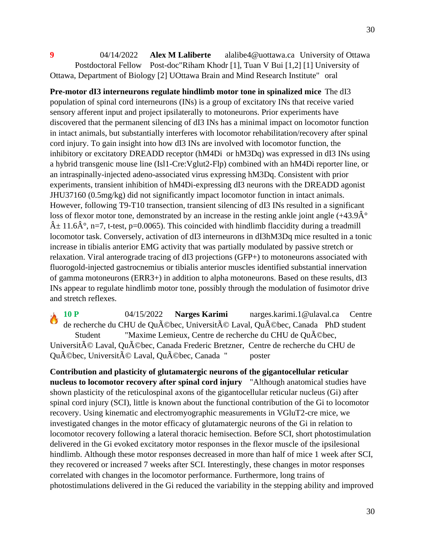**9** 04/14/2022 **Alex M Laliberte** alalibe4@uottawa.ca University of Ottawa Postdoctoral Fellow Post-doc"Riham Khodr [1], Tuan V Bui [1,2] [1] University of Ottawa, Department of Biology [2] UOttawa Brain and Mind Research Institute" oral

**Pre-motor dI3 interneurons regulate hindlimb motor tone in spinalized mice** The dI3 population of spinal cord interneurons (INs) is a group of excitatory INs that receive varied sensory afferent input and project ipsilaterally to motoneurons. Prior experiments have discovered that the permanent silencing of dI3 INs has a minimal impact on locomotor function in intact animals, but substantially interferes with locomotor rehabilitation/recovery after spinal cord injury. To gain insight into how dI3 INs are involved with locomotor function, the inhibitory or excitatory DREADD receptor (hM4Di or hM3Dq) was expressed in dI3 INs using a hybrid transgenic mouse line (Isl1-Cre:Vglut2-Flp) combined with an hM4Di reporter line, or an intraspinally-injected adeno-associated virus expressing hM3Dq. Consistent with prior experiments, transient inhibition of hM4Di-expressing dI3 neurons with the DREADD agonist JHU37160 (0.5mg/kg) did not significantly impact locomotor function in intact animals. However, following T9-T10 transection, transient silencing of dI3 INs resulted in a significant loss of flexor motor tone, demonstrated by an increase in the resting ankle joint angle  $(+43.9\text{\AA}^{\circ})$  $\hat{A}$  ± 11.6 $\hat{A}$ °, n=7, t-test, p=0.0065). This coincided with hindlimb flaccidity during a treadmill locomotor task. Conversely, activation of dI3 interneurons in dI3hM3Dq mice resulted in a tonic increase in tibialis anterior EMG activity that was partially modulated by passive stretch or relaxation. Viral anterograde tracing of dI3 projections (GFP+) to motoneurons associated with fluorogold-injected gastrocnemius or tibialis anterior muscles identified substantial innervation of gamma motoneurons (ERR3+) in addition to alpha motoneurons. Based on these results, dI3 INs appear to regulate hindlimb motor tone, possibly through the modulation of fusimotor drive and stretch reflexes.

**10 P** 04/15/2022 **Narges Karimi** narges.karimi.1@ulaval.ca Centre de recherche du CHU de Québec, Université Laval, Québec, Canada PhD student Student "Maxime Lemieux, Centre de recherche du CHU de Qu©bec, Université Laval, Québec, Canada Frederic Bretzner, Centre de recherche du CHU de Québec, Université Laval, Québec, Canada " poster

**Contribution and plasticity of glutamatergic neurons of the gigantocellular reticular nucleus to locomotor recovery after spinal cord injury** "Although anatomical studies have shown plasticity of the reticulospinal axons of the gigantocellular reticular nucleus (Gi) after spinal cord injury (SCI), little is known about the functional contribution of the Gi to locomotor recovery. Using kinematic and electromyographic measurements in VGluT2-cre mice, we investigated changes in the motor efficacy of glutamatergic neurons of the Gi in relation to locomotor recovery following a lateral thoracic hemisection. Before SCI, short photostimulation delivered in the Gi evoked excitatory motor responses in the flexor muscle of the ipsilesional hindlimb. Although these motor responses decreased in more than half of mice 1 week after SCI, they recovered or increased 7 weeks after SCI. Interestingly, these changes in motor responses correlated with changes in the locomotor performance. Furthermore, long trains of photostimulations delivered in the Gi reduced the variability in the stepping ability and improved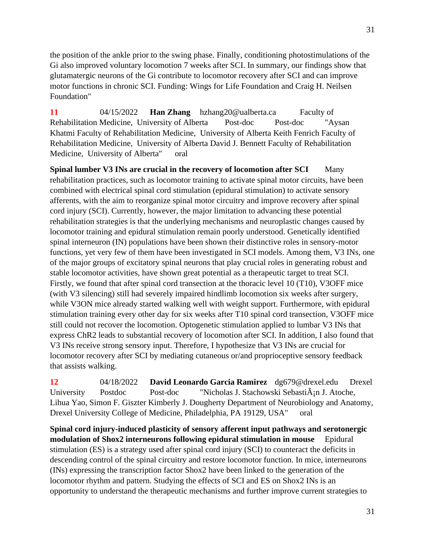the position of the ankle prior to the swing phase. Finally, conditioning photostimulations of the Gi also improved voluntary locomotion 7 weeks after SCI. In summary, our findings show that glutamatergic neurons of the Gi contribute to locomotor recovery after SCI and can improve motor functions in chronic SCI. Funding: Wings for Life Foundation and Craig H. Neilsen Foundation"

**11** 04/15/2022 **Han Zhang** hzhang20@ualberta.ca Faculty of Rehabilitation Medicine, University of Alberta Post-doc Post-doc "Aysan Khatmi Faculty of Rehabilitation Medicine, University of Alberta Keith Fenrich Faculty of Rehabilitation Medicine, University of Alberta David J. Bennett Faculty of Rehabilitation Medicine, University of Alberta" oral

**Spinal lumber V3 INs are crucial in the recovery of locomotion after SCI** Many rehabilitation practices, such as locomotor training to activate spinal motor circuits, have been combined with electrical spinal cord stimulation (epidural stimulation) to activate sensory afferents, with the aim to reorganize spinal motor circuitry and improve recovery after spinal cord injury (SCI). Currently, however, the major limitation to advancing these potential rehabilitation strategies is that the underlying mechanisms and neuroplastic changes caused by locomotor training and epidural stimulation remain poorly understood. Genetically identified spinal interneuron (IN) populations have been shown their distinctive roles in sensory-motor functions, yet very few of them have been investigated in SCI models. Among them, V3 INs, one of the major groups of excitatory spinal neurons that play crucial roles in generating robust and stable locomotor activities, have shown great potential as a therapeutic target to treat SCI. Firstly, we found that after spinal cord transection at the thoracic level 10 (T10), V3OFF mice (with V3 silencing) still had severely impaired hindlimb locomotion six weeks after surgery, while V3ON mice already started walking well with weight support. Furthermore, with epidural stimulation training every other day for six weeks after T10 spinal cord transection, V3OFF mice still could not recover the locomotion. Optogenetic stimulation applied to lumbar V3 INs that express ChR2 leads to substantial recovery of locomotion after SCI. In addition, I also found that V3 INs receive strong sensory input. Therefore, I hypothesize that V3 INs are crucial for locomotor recovery after SCI by mediating cutaneous or/and proprioceptive sensory feedback that assists walking.

**12** 04/18/2022 **David Leonardo Garcia Ramirez** dg679@drexel.edu Drexel University Postdoc Post-doc "Nicholas J. Stachowski Sebasti $\tilde{A}$ in J. Atoche, Lihua Yao, Simon F. Giszter Kimberly J. Dougherty Department of Neurobiology and Anatomy, Drexel University College of Medicine, Philadelphia, PA 19129, USA" oral

**Spinal cord injury-induced plasticity of sensory afferent input pathways and serotonergic modulation of Shox2 interneurons following epidural stimulation in mouse** Epidural stimulation (ES) is a strategy used after spinal cord injury (SCI) to counteract the deficits in descending control of the spinal circuitry and restore locomotor function. In mice, interneurons (INs) expressing the transcription factor Shox2 have been linked to the generation of the locomotor rhythm and pattern. Studying the effects of SCI and ES on Shox2 INs is an opportunity to understand the therapeutic mechanisms and further improve current strategies to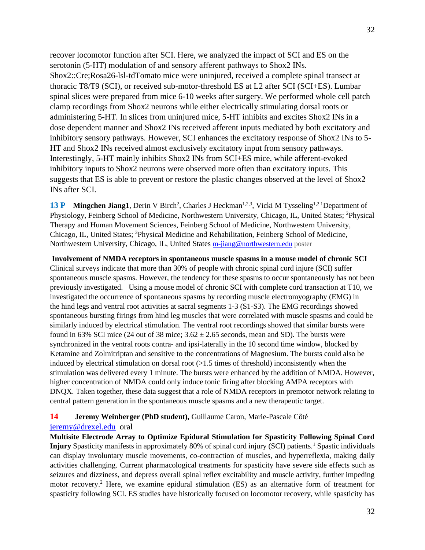recover locomotor function after SCI. Here, we analyzed the impact of SCI and ES on the serotonin (5-HT) modulation of and sensory afferent pathways to Shox2 INs. Shox2::Cre;Rosa26-lsl-tdTomato mice were uninjured, received a complete spinal transect at thoracic T8/T9 (SCI), or received sub-motor-threshold ES at L2 after SCI (SCI+ES). Lumbar spinal slices were prepared from mice 6-10 weeks after surgery. We performed whole cell patch clamp recordings from Shox2 neurons while either electrically stimulating dorsal roots or administering 5-HT. In slices from uninjured mice, 5-HT inhibits and excites Shox2 INs in a dose dependent manner and Shox2 INs received afferent inputs mediated by both excitatory and inhibitory sensory pathways. However, SCI enhances the excitatory response of Shox2 INs to 5- HT and Shox2 INs received almost exclusively excitatory input from sensory pathways. Interestingly, 5-HT mainly inhibits Shox2 INs from SCI+ES mice, while afferent-evoked inhibitory inputs to Shox2 neurons were observed more often than excitatory inputs. This suggests that ES is able to prevent or restore the plastic changes observed at the level of Shox2 INs after SCI.

13 P Mingchen Jiang1, Derin V Birch<sup>2</sup>, Charles J Heckman<sup>1,2,3</sup>, Vicki M Tysseling<sup>1,21</sup>Department of Physiology, Feinberg School of Medicine, Northwestern University, Chicago, IL, United States; <sup>2</sup>Physical Therapy and Human Movement Sciences, Feinberg School of Medicine, Northwestern University, Chicago, IL, United States; <sup>3</sup>Physical Medicine and Rehabilitation, Feinberg School of Medicine, Northwestern University, Chicago, IL, United States [m-jiang@northwestern.edu](mailto:m-jiang@northwestern.edu) poster

**Involvement of NMDA receptors in spontaneous muscle spasms in a mouse model of chronic SCI** Clinical surveys indicate that more than 30% of people with chronic spinal cord injure (SCI) suffer spontaneous muscle spasms. However, the tendency for these spasms to occur spontaneously has not been previously investigated. Using a mouse model of chronic SCI with complete cord transaction at T10, we investigated the occurrence of spontaneous spasms by recording muscle electromyography (EMG) in the hind legs and ventral root activities at sacral segments 1-3 (S1-S3). The EMG recordings showed spontaneous bursting firings from hind leg muscles that were correlated with muscle spasms and could be similarly induced by electrical stimulation. The ventral root recordings showed that similar bursts were found in 63% SCI mice (24 out of 38 mice;  $3.62 \pm 2.65$  seconds, mean and SD). The bursts were synchronized in the ventral roots contra- and ipsi-laterally in the 10 second time window, blocked by Ketamine and Zolmitriptan and sensitive to the concentrations of Magnesium. The bursts could also be induced by electrical stimulation on dorsal root (>1.5 times of threshold) inconsistently when the stimulation was delivered every 1 minute. The bursts were enhanced by the addition of NMDA. However, higher concentration of NMDA could only induce tonic firing after blocking AMPA receptors with DNQX. Taken together, these data suggest that a role of NMDA receptors in premotor network relating to central pattern generation in the spontaneous muscle spasms and a new therapeutic target.

### **14 Jeremy Weinberger (PhD student),** Guillaume Caron, Marie-Pascale Côté

#### [jeremy@drexel.edu](mailto:jeremy@drexel.edu) oral

**Multisite Electrode Array to Optimize Epidural Stimulation for Spasticity Following Spinal Cord Injury** Spasticity manifests in approximately 80% of spinal cord injury (SCI) patients.<sup>1</sup> Spastic individuals can display involuntary muscle movements, co-contraction of muscles, and hyperreflexia, making daily activities challenging. Current pharmacological treatments for spasticity have severe side effects such as seizures and dizziness, and depress overall spinal reflex excitability and muscle activity, further impeding motor recovery.<sup>2</sup> Here, we examine epidural stimulation (ES) as an alternative form of treatment for spasticity following SCI. ES studies have historically focused on locomotor recovery, while spasticity has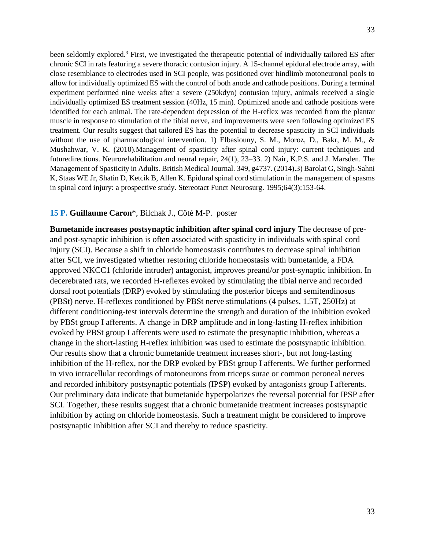been seldomly explored.<sup>3</sup> First, we investigated the therapeutic potential of individually tailored ES after chronic SCI in rats featuring a severe thoracic contusion injury. A 15-channel epidural electrode array, with close resemblance to electrodes used in SCI people, was positioned over hindlimb motoneuronal pools to allow for individually optimized ES with the control of both anode and cathode positions. During a terminal experiment performed nine weeks after a severe (250kdyn) contusion injury, animals received a single individually optimized ES treatment session (40Hz, 15 min). Optimized anode and cathode positions were identified for each animal. The rate-dependent depression of the H-reflex was recorded from the plantar muscle in response to stimulation of the tibial nerve, and improvements were seen following optimized ES treatment. Our results suggest that tailored ES has the potential to decrease spasticity in SCI individuals without the use of pharmacological intervention. 1) Elbasiouny, S. M., Moroz, D., Bakr, M. M., & Mushahwar, V. K. (2010).Management of spasticity after spinal cord injury: current techniques and futuredirections. Neurorehabilitation and neural repair, 24(1), 23–33. 2) Nair, K.P.S. and J. Marsden. The Management of Spasticity in Adults. British Medical Journal. 349, g4737. (2014).3) Barolat G, Singh-Sahni K, Staas WE Jr, Shatin D, Ketcik B, Allen K. Epidural spinal cord stimulation in the management of spasms in spinal cord injury: a prospective study. Stereotact Funct Neurosurg. 1995;64(3):153-64.

### **15 P. Guillaume Caron**\*, Bilchak J., Côté M-P. poster

**Bumetanide increases postsynaptic inhibition after spinal cord injury** The decrease of preand post-synaptic inhibition is often associated with spasticity in individuals with spinal cord injury (SCI). Because a shift in chloride homeostasis contributes to decrease spinal inhibition after SCI, we investigated whether restoring chloride homeostasis with bumetanide, a FDA approved NKCC1 (chloride intruder) antagonist, improves preand/or post-synaptic inhibition. In decerebrated rats, we recorded H-reflexes evoked by stimulating the tibial nerve and recorded dorsal root potentials (DRP) evoked by stimulating the posterior biceps and semitendinosus (PBSt) nerve. H-reflexes conditioned by PBSt nerve stimulations (4 pulses, 1.5T, 250Hz) at different conditioning-test intervals determine the strength and duration of the inhibition evoked by PBSt group I afferents. A change in DRP amplitude and in long-lasting H-reflex inhibition evoked by PBSt group I afferents were used to estimate the presynaptic inhibition, whereas a change in the short-lasting H-reflex inhibition was used to estimate the postsynaptic inhibition. Our results show that a chronic bumetanide treatment increases short-, but not long-lasting inhibition of the H-reflex, nor the DRP evoked by PBSt group I afferents. We further performed in vivo intracellular recordings of motoneurons from triceps surae or common peroneal nerves and recorded inhibitory postsynaptic potentials (IPSP) evoked by antagonists group I afferents. Our preliminary data indicate that bumetanide hyperpolarizes the reversal potential for IPSP after SCI. Together, these results suggest that a chronic bumetanide treatment increases postsynaptic inhibition by acting on chloride homeostasis. Such a treatment might be considered to improve postsynaptic inhibition after SCI and thereby to reduce spasticity.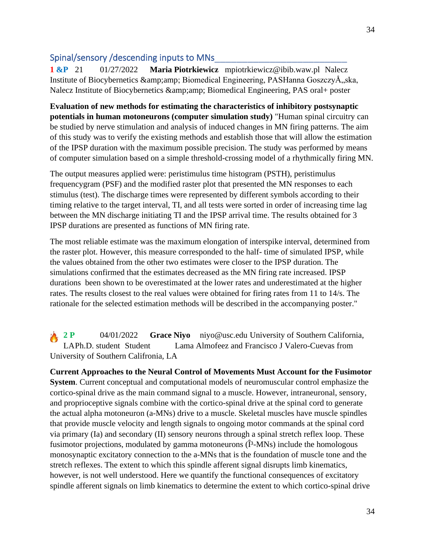## Spinal/sensory /descending inputs to MNs\_\_\_\_\_\_\_\_\_\_\_\_\_\_\_\_\_\_\_\_\_\_\_\_

**1 &P** 21 01/27/2022 **Maria Piotrkiewicz** mpiotrkiewicz@ibib.waw.pl Nalecz Institute of Biocybernetics & amp; amp; Biomedical Engineering, PASHanna GoszczyÅ, ska, Nalecz Institute of Biocybernetics & amp; amp; Biomedical Engineering, PAS oral+ poster

**Evaluation of new methods for estimating the characteristics of inhibitory postsynaptic potentials in human motoneurons (computer simulation study)** "Human spinal circuitry can be studied by nerve stimulation and analysis of induced changes in MN firing patterns. The aim of this study was to verify the existing methods and establish those that will allow the estimation of the IPSP duration with the maximum possible precision. The study was performed by means of computer simulation based on a simple threshold-crossing model of a rhythmically firing MN.

The output measures applied were: peristimulus time histogram (PSTH), peristimulus frequencygram (PSF) and the modified raster plot that presented the MN responses to each stimulus (test). The discharge times were represented by different symbols according to their timing relative to the target interval, TI, and all tests were sorted in order of increasing time lag between the MN discharge initiating TI and the IPSP arrival time. The results obtained for 3 IPSP durations are presented as functions of MN firing rate.

The most reliable estimate was the maximum elongation of interspike interval, determined from the raster plot. However, this measure corresponded to the half- time of simulated IPSP, while the values obtained from the other two estimates were closer to the IPSP duration. The simulations confirmed that the estimates decreased as the MN firing rate increased. IPSP durations been shown to be overestimated at the lower rates and underestimated at the higher rates. The results closest to the real values were obtained for firing rates from 11 to 14/s. The rationale for the selected estimation methods will be described in the accompanying poster."

**2 P** 04/01/2022 **Grace Niyo** niyo@usc.edu University of Southern California, LAPh.D. student Student Lama Almofeez and Francisco J Valero-Cuevas from University of Southern Califronia, LA

**Current Approaches to the Neural Control of Movements Must Account for the Fusimotor System**. Current conceptual and computational models of neuromuscular control emphasize the cortico-spinal drive as the main command signal to a muscle. However, intraneuronal, sensory, and proprioceptive signals combine with the cortico-spinal drive at the spinal cord to generate the actual alpha motoneuron (a-MNs) drive to a muscle. Skeletal muscles have muscle spindles that provide muscle velocity and length signals to ongoing motor commands at the spinal cord via primary (Ia) and secondary (II) sensory neurons through a spinal stretch reflex loop. These fusimotor projections, modulated by gamma motoneurons  $(\hat{I}^3$ -MNs) include the homologous monosynaptic excitatory connection to the a-MNs that is the foundation of muscle tone and the stretch reflexes. The extent to which this spindle afferent signal disrupts limb kinematics, however, is not well understood. Here we quantify the functional consequences of excitatory spindle afferent signals on limb kinematics to determine the extent to which cortico-spinal drive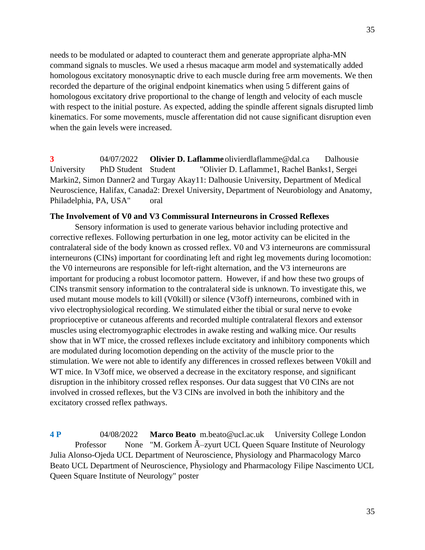needs to be modulated or adapted to counteract them and generate appropriate alpha-MN command signals to muscles. We used a rhesus macaque arm model and systematically added homologous excitatory monosynaptic drive to each muscle during free arm movements. We then recorded the departure of the original endpoint kinematics when using 5 different gains of homologous excitatory drive proportional to the change of length and velocity of each muscle with respect to the initial posture. As expected, adding the spindle afferent signals disrupted limb kinematics. For some movements, muscle afferentation did not cause significant disruption even when the gain levels were increased.

**3** 04/07/2022 **Olivier D. Laflamme** olivierdlaflamme@dal.ca Dalhousie University PhD Student Student "Olivier D. Laflamme1, Rachel Banks1, Sergei Markin2, Simon Danner2 and Turgay Akay11: Dalhousie University, Department of Medical Neuroscience, Halifax, Canada2: Drexel University, Department of Neurobiology and Anatomy, Philadelphia, PA, USA" oral

### **The Involvement of V0 and V3 Commissural Interneurons in Crossed Reflexes**

Sensory information is used to generate various behavior including protective and corrective reflexes. Following perturbation in one leg, motor activity can be elicited in the contralateral side of the body known as crossed reflex. V0 and V3 interneurons are commissural interneurons (CINs) important for coordinating left and right leg movements during locomotion: the V0 interneurons are responsible for left-right alternation, and the V3 interneurons are important for producing a robust locomotor pattern. However, if and how these two groups of CINs transmit sensory information to the contralateral side is unknown. To investigate this, we used mutant mouse models to kill (V0kill) or silence (V3off) interneurons, combined with in vivo electrophysiological recording. We stimulated either the tibial or sural nerve to evoke proprioceptive or cutaneous afferents and recorded multiple contralateral flexors and extensor muscles using electromyographic electrodes in awake resting and walking mice. Our results show that in WT mice, the crossed reflexes include excitatory and inhibitory components which are modulated during locomotion depending on the activity of the muscle prior to the stimulation. We were not able to identify any differences in crossed reflexes between V0kill and WT mice. In V3off mice, we observed a decrease in the excitatory response, and significant disruption in the inhibitory crossed reflex responses. Our data suggest that V0 CINs are not involved in crossed reflexes, but the V3 CINs are involved in both the inhibitory and the excitatory crossed reflex pathways.

**4 P** 04/08/2022 **Marco Beato** m.beato@ucl.ac.uk University College London Professor None "M. Gorkem  $\tilde{A}$ -zyurt UCL Queen Square Institute of Neurology Julia Alonso-Ojeda UCL Department of Neuroscience, Physiology and Pharmacology Marco Beato UCL Department of Neuroscience, Physiology and Pharmacology Filipe Nascimento UCL Queen Square Institute of Neurology" poster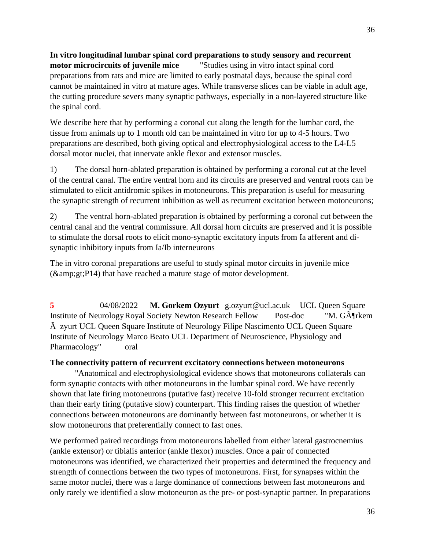**In vitro longitudinal lumbar spinal cord preparations to study sensory and recurrent motor microcircuits of juvenile mice** "Studies using in vitro intact spinal cord preparations from rats and mice are limited to early postnatal days, because the spinal cord cannot be maintained in vitro at mature ages. While transverse slices can be viable in adult age, the cutting procedure severs many synaptic pathways, especially in a non-layered structure like the spinal cord.

We describe here that by performing a coronal cut along the length for the lumbar cord, the tissue from animals up to 1 month old can be maintained in vitro for up to 4-5 hours. Two preparations are described, both giving optical and electrophysiological access to the L4-L5 dorsal motor nuclei, that innervate ankle flexor and extensor muscles.

1) The dorsal horn-ablated preparation is obtained by performing a coronal cut at the level of the central canal. The entire ventral horn and its circuits are preserved and ventral roots can be stimulated to elicit antidromic spikes in motoneurons. This preparation is useful for measuring the synaptic strength of recurrent inhibition as well as recurrent excitation between motoneurons;

2) The ventral horn-ablated preparation is obtained by performing a coronal cut between the central canal and the ventral commissure. All dorsal horn circuits are preserved and it is possible to stimulate the dorsal roots to elicit mono-synaptic excitatory inputs from Ia afferent and disynaptic inhibitory inputs from Ia/Ib interneurons

The in vitro coronal preparations are useful to study spinal motor circuits in juvenile mice  $(kamp;;p14)$  that have reached a mature stage of motor development.

**5** 04/08/2022 **M. Gorkem Ozyurt** g.ozyurt@ucl.ac.uk UCL Queen Square Institute of Neurology Royal Society Newton Research Fellow Post-doc "M. G $\tilde{A}$ Trkem  $\tilde{A}$ -zyurt UCL Queen Square Institute of Neurology Filipe Nascimento UCL Queen Square Institute of Neurology Marco Beato UCL Department of Neuroscience, Physiology and Pharmacology" oral

# **The connectivity pattern of recurrent excitatory connections between motoneurons**

"Anatomical and electrophysiological evidence shows that motoneurons collaterals can form synaptic contacts with other motoneurons in the lumbar spinal cord. We have recently shown that late firing motoneurons (putative fast) receive 10-fold stronger recurrent excitation than their early firing (putative slow) counterpart. This finding raises the question of whether connections between motoneurons are dominantly between fast motoneurons, or whether it is slow motoneurons that preferentially connect to fast ones.

We performed paired recordings from motoneurons labelled from either lateral gastrocnemius (ankle extensor) or tibialis anterior (ankle flexor) muscles. Once a pair of connected motoneurons was identified, we characterized their properties and determined the frequency and strength of connections between the two types of motoneurons. First, for synapses within the same motor nuclei, there was a large dominance of connections between fast motoneurons and only rarely we identified a slow motoneuron as the pre- or post-synaptic partner. In preparations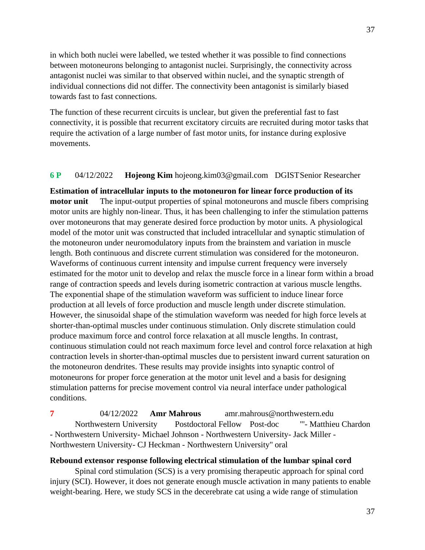in which both nuclei were labelled, we tested whether it was possible to find connections between motoneurons belonging to antagonist nuclei. Surprisingly, the connectivity across antagonist nuclei was similar to that observed within nuclei, and the synaptic strength of individual connections did not differ. The connectivity been antagonist is similarly biased towards fast to fast connections.

The function of these recurrent circuits is unclear, but given the preferential fast to fast connectivity, it is possible that recurrent excitatory circuits are recruited during motor tasks that require the activation of a large number of fast motor units, for instance during explosive movements.

### **6 P** 04/12/2022 **Hojeong Kim** hojeong.kim03@gmail.com DGISTSenior Researcher

**Estimation of intracellular inputs to the motoneuron for linear force production of its motor unit** The input-output properties of spinal motoneurons and muscle fibers comprising motor units are highly non-linear. Thus, it has been challenging to infer the stimulation patterns over motoneurons that may generate desired force production by motor units. A physiological model of the motor unit was constructed that included intracellular and synaptic stimulation of the motoneuron under neuromodulatory inputs from the brainstem and variation in muscle length. Both continuous and discrete current stimulation was considered for the motoneuron. Waveforms of continuous current intensity and impulse current frequency were inversely estimated for the motor unit to develop and relax the muscle force in a linear form within a broad range of contraction speeds and levels during isometric contraction at various muscle lengths. The exponential shape of the stimulation waveform was sufficient to induce linear force production at all levels of force production and muscle length under discrete stimulation. However, the sinusoidal shape of the stimulation waveform was needed for high force levels at shorter-than-optimal muscles under continuous stimulation. Only discrete stimulation could produce maximum force and control force relaxation at all muscle lengths. In contrast, continuous stimulation could not reach maximum force level and control force relaxation at high contraction levels in shorter-than-optimal muscles due to persistent inward current saturation on the motoneuron dendrites. These results may provide insights into synaptic control of motoneurons for proper force generation at the motor unit level and a basis for designing stimulation patterns for precise movement control via neural interface under pathological conditions.

**7** 04/12/2022 **Amr Mahrous** amr.mahrous@northwestern.edu Northwestern University Postdoctoral Fellow Post-doc "'- Matthieu Chardon - Northwestern University- Michael Johnson - Northwestern University- Jack Miller - Northwestern University- CJ Heckman - Northwestern University" oral

#### **Rebound extensor response following electrical stimulation of the lumbar spinal cord**

Spinal cord stimulation (SCS) is a very promising therapeutic approach for spinal cord injury (SCI). However, it does not generate enough muscle activation in many patients to enable weight-bearing. Here, we study SCS in the decerebrate cat using a wide range of stimulation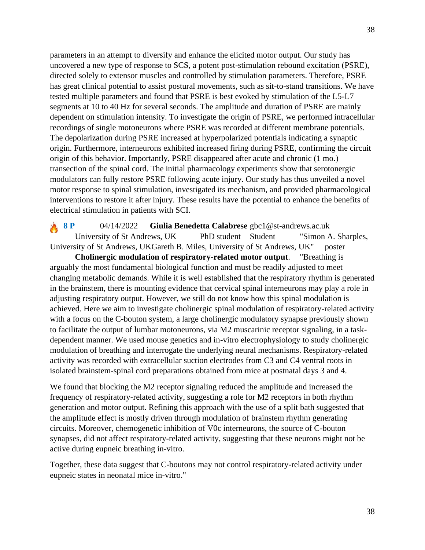parameters in an attempt to diversify and enhance the elicited motor output. Our study has uncovered a new type of response to SCS, a potent post-stimulation rebound excitation (PSRE), directed solely to extensor muscles and controlled by stimulation parameters. Therefore, PSRE has great clinical potential to assist postural movements, such as sit-to-stand transitions. We have tested multiple parameters and found that PSRE is best evoked by stimulation of the L5-L7 segments at 10 to 40 Hz for several seconds. The amplitude and duration of PSRE are mainly dependent on stimulation intensity. To investigate the origin of PSRE, we performed intracellular recordings of single motoneurons where PSRE was recorded at different membrane potentials. The depolarization during PSRE increased at hyperpolarized potentials indicating a synaptic origin. Furthermore, interneurons exhibited increased firing during PSRE, confirming the circuit origin of this behavior. Importantly, PSRE disappeared after acute and chronic (1 mo.) transection of the spinal cord. The initial pharmacology experiments show that serotonergic modulators can fully restore PSRE following acute injury. Our study has thus unveiled a novel motor response to spinal stimulation, investigated its mechanism, and provided pharmacological interventions to restore it after injury. These results have the potential to enhance the benefits of electrical stimulation in patients with SCI.

**8 P** 04/14/2022 **Giulia Benedetta Calabrese** gbc1@st-andrews.ac.uk University of St Andrews, UK PhD student Student "Simon A. Sharples, University of St Andrews, UKGareth B. Miles, University of St Andrews, UK" poster

**Cholinergic modulation of respiratory-related motor output**. "Breathing is arguably the most fundamental biological function and must be readily adjusted to meet changing metabolic demands. While it is well established that the respiratory rhythm is generated in the brainstem, there is mounting evidence that cervical spinal interneurons may play a role in adjusting respiratory output. However, we still do not know how this spinal modulation is achieved. Here we aim to investigate cholinergic spinal modulation of respiratory-related activity with a focus on the C-bouton system, a large cholinergic modulatory synapse previously shown to facilitate the output of lumbar motoneurons, via M2 muscarinic receptor signaling, in a taskdependent manner. We used mouse genetics and in-vitro electrophysiology to study cholinergic modulation of breathing and interrogate the underlying neural mechanisms. Respiratory-related activity was recorded with extracellular suction electrodes from C3 and C4 ventral roots in isolated brainstem-spinal cord preparations obtained from mice at postnatal days 3 and 4.

We found that blocking the M2 receptor signaling reduced the amplitude and increased the frequency of respiratory-related activity, suggesting a role for M2 receptors in both rhythm generation and motor output. Refining this approach with the use of a split bath suggested that the amplitude effect is mostly driven through modulation of brainstem rhythm generating circuits. Moreover, chemogenetic inhibition of V0c interneurons, the source of C-bouton synapses, did not affect respiratory-related activity, suggesting that these neurons might not be active during eupneic breathing in-vitro.

Together, these data suggest that C-boutons may not control respiratory-related activity under eupneic states in neonatal mice in-vitro."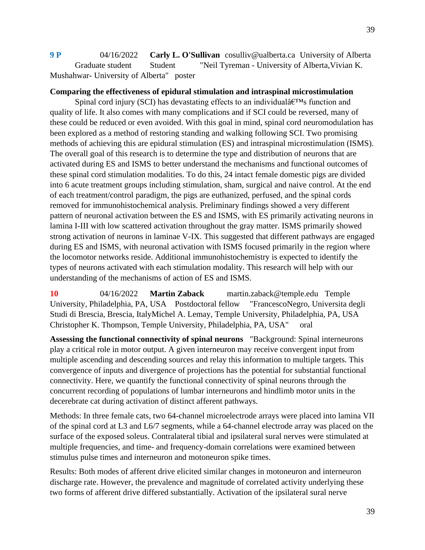**9 P** 04/16/2022 **Carly L. O'Sullivan** cosulliv@ualberta.ca University of Alberta Graduate student Student "Neil Tyreman - University of Alberta, Vivian K. Mushahwar- University of Alberta" poster

### **Comparing the effectiveness of epidural stimulation and intraspinal microstimulation**

Spinal cord injury (SCI) has devastating effects to an individual  $\hat{\theta}^{\text{TMs}}$  function and quality of life. It also comes with many complications and if SCI could be reversed, many of these could be reduced or even avoided. With this goal in mind, spinal cord neuromodulation has been explored as a method of restoring standing and walking following SCI. Two promising methods of achieving this are epidural stimulation (ES) and intraspinal microstimulation (ISMS). The overall goal of this research is to determine the type and distribution of neurons that are activated during ES and ISMS to better understand the mechanisms and functional outcomes of these spinal cord stimulation modalities. To do this, 24 intact female domestic pigs are divided into 6 acute treatment groups including stimulation, sham, surgical and naive control. At the end of each treatment/control paradigm, the pigs are euthanized, perfused, and the spinal cords removed for immunohistochemical analysis. Preliminary findings showed a very different pattern of neuronal activation between the ES and ISMS, with ES primarily activating neurons in lamina I-III with low scattered activation throughout the gray matter. ISMS primarily showed strong activation of neurons in laminae V-IX. This suggested that different pathways are engaged during ES and ISMS, with neuronal activation with ISMS focused primarily in the region where the locomotor networks reside. Additional immunohistochemistry is expected to identify the types of neurons activated with each stimulation modality. This research will help with our understanding of the mechanisms of action of ES and ISMS.

**10** 04/16/2022 **Martin Zaback** martin.zaback@temple.edu Temple University, Philadelphia, PA, USA Postdoctoral fellow "FrancescoNegro, Universita degli Studi di Brescia, Brescia, ItalyMichel A. Lemay, Temple University, Philadelphia, PA, USA Christopher K. Thompson, Temple University, Philadelphia, PA, USA" oral

**Assessing the functional connectivity of spinal neurons** "Background: Spinal interneurons play a critical role in motor output. A given interneuron may receive convergent input from multiple ascending and descending sources and relay this information to multiple targets. This convergence of inputs and divergence of projections has the potential for substantial functional connectivity. Here, we quantify the functional connectivity of spinal neurons through the concurrent recording of populations of lumbar interneurons and hindlimb motor units in the decerebrate cat during activation of distinct afferent pathways.

Methods: In three female cats, two 64-channel microelectrode arrays were placed into lamina VII of the spinal cord at L3 and L6/7 segments, while a 64-channel electrode array was placed on the surface of the exposed soleus. Contralateral tibial and ipsilateral sural nerves were stimulated at multiple frequencies, and time- and frequency-domain correlations were examined between stimulus pulse times and interneuron and motoneuron spike times.

Results: Both modes of afferent drive elicited similar changes in motoneuron and interneuron discharge rate. However, the prevalence and magnitude of correlated activity underlying these two forms of afferent drive differed substantially. Activation of the ipsilateral sural nerve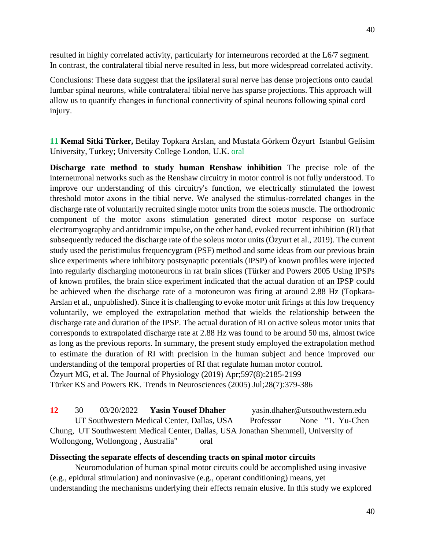resulted in highly correlated activity, particularly for interneurons recorded at the L6/7 segment. In contrast, the contralateral tibial nerve resulted in less, but more widespread correlated activity.

Conclusions: These data suggest that the ipsilateral sural nerve has dense projections onto caudal lumbar spinal neurons, while contralateral tibial nerve has sparse projections. This approach will allow us to quantify changes in functional connectivity of spinal neurons following spinal cord injury.

**11 Kemal Sitki Türker,** Betilay Topkara Arslan, and Mustafa Görkem Özyurt Istanbul Gelisim University, Turkey; University College London, U.K. oral

**Discharge rate method to study human Renshaw inhibition** The precise role of the interneuronal networks such as the Renshaw circuitry in motor control is not fully understood. To improve our understanding of this circuitry's function, we electrically stimulated the lowest threshold motor axons in the tibial nerve. We analysed the stimulus-correlated changes in the discharge rate of voluntarily recruited single motor units from the soleus muscle. The orthodromic component of the motor axons stimulation generated direct motor response on surface electromyography and antidromic impulse, on the other hand, evoked recurrent inhibition (RI) that subsequently reduced the discharge rate of the soleus motor units (Özyurt et al., 2019). The current study used the peristimulus frequencygram (PSF) method and some ideas from our previous brain slice experiments where inhibitory postsynaptic potentials (IPSP) of known profiles were injected into regularly discharging motoneurons in rat brain slices (Türker and Powers 2005 Using IPSPs of known profiles, the brain slice experiment indicated that the actual duration of an IPSP could be achieved when the discharge rate of a motoneuron was firing at around 2.88 Hz (Topkara-Arslan et al., unpublished). Since it is challenging to evoke motor unit firings at this low frequency voluntarily, we employed the extrapolation method that wields the relationship between the discharge rate and duration of the IPSP. The actual duration of RI on active soleus motor units that corresponds to extrapolated discharge rate at 2.88 Hz was found to be around 50 ms, almost twice as long as the previous reports. In summary, the present study employed the extrapolation method to estimate the duration of RI with precision in the human subject and hence improved our understanding of the temporal properties of RI that regulate human motor control. Özyurt MG, et al. The Journal of Physiology (2019) Apr;597(8):2185-2199 Türker KS and Powers RK. Trends in Neurosciences (2005) Jul;28(7):379-386

**12** 30 03/20/2022 **Yasin Yousef Dhaher** yasin.dhaher@utsouthwestern.edu UT Southwestern Medical Center, Dallas, USA Professor None "1. Yu-Chen Chung, UT Southwestern Medical Center, Dallas, USA Jonathan Shemmell, University of Wollongong, Wollongong, Australia" oral

#### **Dissecting the separate effects of descending tracts on spinal motor circuits**

Neuromodulation of human spinal motor circuits could be accomplished using invasive (e.g., epidural stimulation) and noninvasive (e.g., operant conditioning) means, yet understanding the mechanisms underlying their effects remain elusive. In this study we explored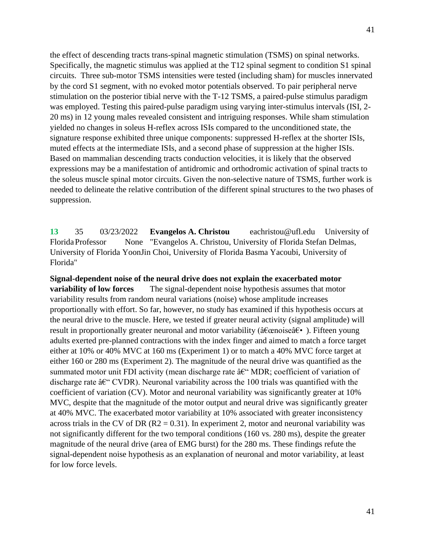the effect of descending tracts trans-spinal magnetic stimulation (TSMS) on spinal networks. Specifically, the magnetic stimulus was applied at the T12 spinal segment to condition S1 spinal circuits. Three sub-motor TSMS intensities were tested (including sham) for muscles innervated by the cord S1 segment, with no evoked motor potentials observed. To pair peripheral nerve stimulation on the posterior tibial nerve with the T-12 TSMS, a paired-pulse stimulus paradigm was employed. Testing this paired-pulse paradigm using varying inter-stimulus intervals (ISI, 2- 20 ms) in 12 young males revealed consistent and intriguing responses. While sham stimulation yielded no changes in soleus H-reflex across ISIs compared to the unconditioned state, the signature response exhibited three unique components: suppressed H-reflex at the shorter ISIs, muted effects at the intermediate ISIs, and a second phase of suppression at the higher ISIs. Based on mammalian descending tracts conduction velocities, it is likely that the observed expressions may be a manifestation of antidromic and orthodromic activation of spinal tracts to the soleus muscle spinal motor circuits. Given the non-selective nature of TSMS, further work is needed to delineate the relative contribution of the different spinal structures to the two phases of suppression.

**13** 35 03/23/2022 **Evangelos A. Christou** eachristou@ufl.edu University of FloridaProfessor None "Evangelos A. Christou, University of Florida Stefan Delmas, University of Florida YoonJin Choi, University of Florida Basma Yacoubi, University of Florida"

**Signal-dependent noise of the neural drive does not explain the exacerbated motor variability of low forces** The signal-dependent noise hypothesis assumes that motor variability results from random neural variations (noise) whose amplitude increases proportionally with effort. So far, however, no study has examined if this hypothesis occurs at the neural drive to the muscle. Here, we tested if greater neural activity (signal amplitude) will result in proportionally greater neuronal and motor variability ( $\hat{a} \in \hat{a} \in \hat{a}$ ). Fifteen young adults exerted pre-planned contractions with the index finger and aimed to match a force target either at 10% or 40% MVC at 160 ms (Experiment 1) or to match a 40% MVC force target at either 160 or 280 ms (Experiment 2). The magnitude of the neural drive was quantified as the summated motor unit FDI activity (mean discharge rate  $\hat{a}\hat{\epsilon}$ " MDR; coefficient of variation of discharge rate  $\hat{a} \in CVDR$ ). Neuronal variability across the 100 trials was quantified with the coefficient of variation (CV). Motor and neuronal variability was significantly greater at 10% MVC, despite that the magnitude of the motor output and neural drive was significantly greater at 40% MVC. The exacerbated motor variability at 10% associated with greater inconsistency across trials in the CV of DR ( $R2 = 0.31$ ). In experiment 2, motor and neuronal variability was not significantly different for the two temporal conditions (160 vs. 280 ms), despite the greater magnitude of the neural drive (area of EMG burst) for the 280 ms. These findings refute the signal-dependent noise hypothesis as an explanation of neuronal and motor variability, at least for low force levels.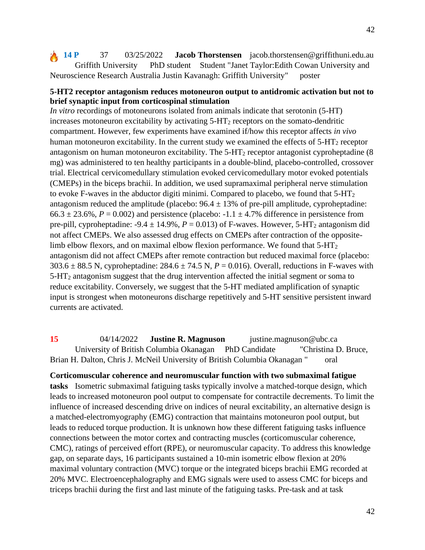**14 P** 37 03/25/2022 **Jacob Thorstensen** jacob.thorstensen@griffithuni.edu.au Griffith University PhD student Student "Janet Taylor:Edith Cowan University and Neuroscience Research Australia Justin Kavanagh: Griffith University" poster

### **5-HT2 receptor antagonism reduces motoneuron output to antidromic activation but not to brief synaptic input from corticospinal stimulation**

*In vitro* recordings of motoneurons isolated from animals indicate that serotonin (5-HT) increases motoneuron excitability by activating  $5 - HT_2$  receptors on the somato-dendritic compartment. However, few experiments have examined if/how this receptor affects *in vivo* human motoneuron excitability. In the current study we examined the effects of 5-HT<sub>2</sub> receptor antagonism on human motoneuron excitability. The  $5-\text{HT}_2$  receptor antagonist cyproheptadine (8) mg) was administered to ten healthy participants in a double-blind, placebo-controlled, crossover trial. Electrical cervicomedullary stimulation evoked cervicomedullary motor evoked potentials (CMEPs) in the biceps brachii. In addition, we used supramaximal peripheral nerve stimulation to evoke F-waves in the abductor digiti minimi. Compared to placebo, we found that  $5-HT<sub>2</sub>$ antagonism reduced the amplitude (placebo:  $96.4 \pm 13\%$  of pre-pill amplitude, cyproheptadine:  $66.3 \pm 23.6$ %,  $P = 0.002$ ) and persistence (placebo: -1.1  $\pm$  4.7% difference in persistence from pre-pill, cyproheptadine:  $-9.4 \pm 14.9\%$ ,  $P = 0.013$ ) of F-waves. However, 5-HT<sub>2</sub> antagonism did not affect CMEPs. We also assessed drug effects on CMEPs after contraction of the oppositelimb elbow flexors, and on maximal elbow flexion performance. We found that  $5-\text{HT}_2$ antagonism did not affect CMEPs after remote contraction but reduced maximal force (placebo: 303.6  $\pm$  88.5 N, cyproheptadine: 284.6  $\pm$  74.5 N, *P* = 0.016). Overall, reductions in F-waves with 5-HT<sup>2</sup> antagonism suggest that the drug intervention affected the initial segment or soma to reduce excitability. Conversely, we suggest that the 5-HT mediated amplification of synaptic input is strongest when motoneurons discharge repetitively and 5-HT sensitive persistent inward currents are activated.

**15** 04/14/2022 **Justine R. Magnuson** justine.magnuson@ubc.ca University of British Columbia Okanagan PhD Candidate "Christina D. Bruce, Brian H. Dalton, Chris J. McNeil University of British Columbia Okanagan " oral

**Corticomuscular coherence and neuromuscular function with two submaximal fatigue tasks** Isometric submaximal fatiguing tasks typically involve a matched-torque design, which leads to increased motoneuron pool output to compensate for contractile decrements. To limit the influence of increased descending drive on indices of neural excitability, an alternative design is a matched-electromyography (EMG) contraction that maintains motoneuron pool output, but leads to reduced torque production. It is unknown how these different fatiguing tasks influence connections between the motor cortex and contracting muscles (corticomuscular coherence, CMC), ratings of perceived effort (RPE), or neuromuscular capacity. To address this knowledge gap, on separate days, 16 participants sustained a 10-min isometric elbow flexion at 20% maximal voluntary contraction (MVC) torque or the integrated biceps brachii EMG recorded at 20% MVC. Electroencephalography and EMG signals were used to assess CMC for biceps and triceps brachii during the first and last minute of the fatiguing tasks. Pre-task and at task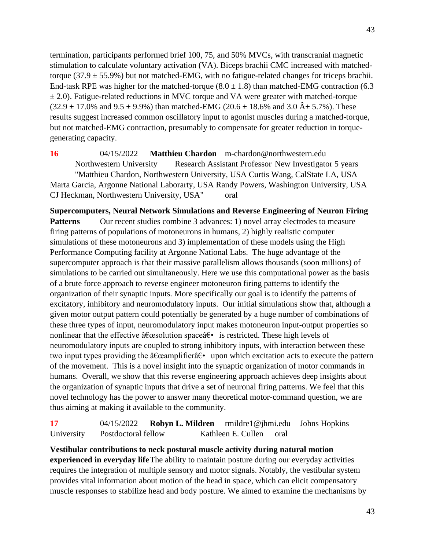termination, participants performed brief 100, 75, and 50% MVCs, with transcranial magnetic stimulation to calculate voluntary activation (VA). Biceps brachii CMC increased with matchedtorque  $(37.9 \pm 55.9\%)$  but not matched-EMG, with no fatigue-related changes for triceps brachii. End-task RPE was higher for the matched-torque  $(8.0 \pm 1.8)$  than matched-EMG contraction (6.3)  $\pm$  2.0). Fatigue-related reductions in MVC torque and VA were greater with matched-torque  $(32.9 \pm 17.0\%$  and  $9.5 \pm 9.9\%)$  than matched-EMG (20.6  $\pm$  18.6% and 3.0  $\hat{A} \pm 5.7\%$ ). These results suggest increased common oscillatory input to agonist muscles during a matched-torque, but not matched-EMG contraction, presumably to compensate for greater reduction in torquegenerating capacity.

**16** 04/15/2022 **Matthieu Chardon** m-chardon@northwestern.edu Northwestern University Research Assistant Professor New Investigator 5 years "Matthieu Chardon, Northwestern University, USA Curtis Wang, CalState LA, USA Marta Garcia, Argonne National Laborarty, USA Randy Powers, Washington University, USA CJ Heckman, Northwestern University, USA" oral

**Supercomputers, Neural Network Simulations and Reverse Engineering of Neuron Firing Patterns** Our recent studies combine 3 advances: 1) novel array electrodes to measure firing patterns of populations of motoneurons in humans, 2) highly realistic computer simulations of these motoneurons and 3) implementation of these models using the High Performance Computing facility at Argonne National Labs. The huge advantage of the supercomputer approach is that their massive parallelism allows thousands (soon millions) of simulations to be carried out simultaneously. Here we use this computational power as the basis of a brute force approach to reverse engineer motoneuron firing patterns to identify the organization of their synaptic inputs. More specifically our goal is to identify the patterns of excitatory, inhibitory and neuromodulatory inputs. Our initial simulations show that, although a given motor output pattern could potentially be generated by a huge number of combinations of these three types of input, neuromodulatory input makes motoneuron input-output properties so nonlinear that the effective  $\hat{a}$  Ecessolution space $\hat{a}$  is restricted. These high levels of neuromodulatory inputs are coupled to strong inhibitory inputs, with interaction between these two input types providing the  $\hat{a} \in \hat{c}$  amplifier $\hat{a} \in \hat{c}$  upon which excitation acts to execute the pattern of the movement. This is a novel insight into the synaptic organization of motor commands in humans. Overall, we show that this reverse engineering approach achieves deep insights about the organization of synaptic inputs that drive a set of neuronal firing patterns. We feel that this novel technology has the power to answer many theoretical motor-command question, we are thus aiming at making it available to the community.

**17** 04/15/2022 **Robyn L. Mildren** rmildre1@jhmi.edu Johns Hopkins University Postdoctoral fellow Kathleen E. Cullen oral

**Vestibular contributions to neck postural muscle activity during natural motion experienced in everyday life**The ability to maintain posture during our everyday activities requires the integration of multiple sensory and motor signals. Notably, the vestibular system provides vital information about motion of the head in space, which can elicit compensatory muscle responses to stabilize head and body posture. We aimed to examine the mechanisms by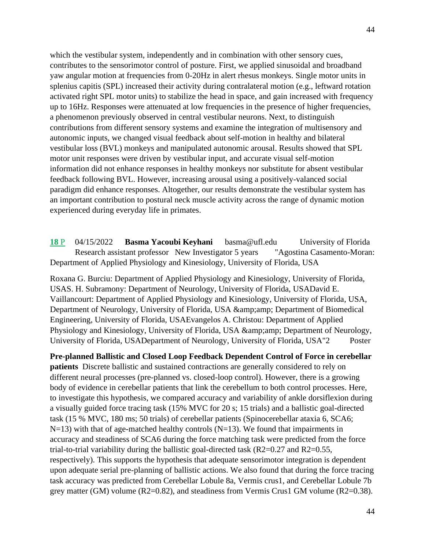which the vestibular system, independently and in combination with other sensory cues, contributes to the sensorimotor control of posture. First, we applied sinusoidal and broadband yaw angular motion at frequencies from 0-20Hz in alert rhesus monkeys. Single motor units in splenius capitis (SPL) increased their activity during contralateral motion (e.g., leftward rotation activated right SPL motor units) to stabilize the head in space, and gain increased with frequency up to 16Hz. Responses were attenuated at low frequencies in the presence of higher frequencies, a phenomenon previously observed in central vestibular neurons. Next, to distinguish contributions from different sensory systems and examine the integration of multisensory and autonomic inputs, we changed visual feedback about self-motion in healthy and bilateral vestibular loss (BVL) monkeys and manipulated autonomic arousal. Results showed that SPL motor unit responses were driven by vestibular input, and accurate visual self-motion information did not enhance responses in healthy monkeys nor substitute for absent vestibular feedback following BVL. However, increasing arousal using a positively-valanced social paradigm did enhance responses. Altogether, our results demonstrate the vestibular system has an important contribution to postural neck muscle activity across the range of dynamic motion experienced during everyday life in primates.

**18** P 04/15/2022 **Basma Yacoubi Keyhani** basma@ufl.edu University of Florida Research assistant professor New Investigator 5 years "Agostina Casamento-Moran: Department of Applied Physiology and Kinesiology, University of Florida, USA

Roxana G. Burciu: Department of Applied Physiology and Kinesiology, University of Florida, USAS. H. Subramony: Department of Neurology, University of Florida, USADavid E. Vaillancourt: Department of Applied Physiology and Kinesiology, University of Florida, USA, Department of Neurology, University of Florida, USA & amp; amp; Department of Biomedical Engineering, University of Florida, USAEvangelos A. Christou: Department of Applied Physiology and Kinesiology, University of Florida, USA & amp; amp; Department of Neurology, University of Florida, USADepartment of Neurology, University of Florida, USA"2 Poster

**Pre-planned Ballistic and Closed Loop Feedback Dependent Control of Force in cerebellar patients** Discrete ballistic and sustained contractions are generally considered to rely on different neural processes (pre-planned vs. closed-loop control). However, there is a growing body of evidence in cerebellar patients that link the cerebellum to both control processes. Here, to investigate this hypothesis, we compared accuracy and variability of ankle dorsiflexion during a visually guided force tracing task (15% MVC for 20 s; 15 trials) and a ballistic goal-directed task (15 % MVC, 180 ms; 50 trials) of cerebellar patients (Spinocerebellar ataxia 6, SCA6;  $N=13$ ) with that of age-matched healthy controls ( $N=13$ ). We found that impairments in accuracy and steadiness of SCA6 during the force matching task were predicted from the force trial-to-trial variability during the ballistic goal-directed task  $(R2=0.27$  and  $R2=0.55$ , respectively). This supports the hypothesis that adequate sensorimotor integration is dependent upon adequate serial pre-planning of ballistic actions. We also found that during the force tracing task accuracy was predicted from Cerebellar Lobule 8a, Vermis crus1, and Cerebellar Lobule 7b grey matter (GM) volume  $(R2=0.82)$ , and steadiness from Vermis Crus1 GM volume  $(R2=0.38)$ .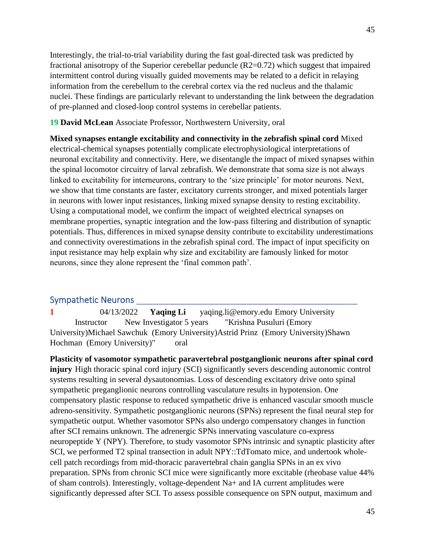Interestingly, the trial-to-trial variability during the fast goal-directed task was predicted by fractional anisotropy of the Superior cerebellar peduncle (R2=0.72) which suggest that impaired intermittent control during visually guided movements may be related to a deficit in relaying information from the cerebellum to the cerebral cortex via the red nucleus and the thalamic nuclei. These findings are particularly relevant to understanding the link between the degradation of pre-planned and closed-loop control systems in cerebellar patients.

#### **19 David McLean** Associate Professor, Northwestern University, oral

**Mixed synapses entangle excitability and connectivity in the zebrafish spinal cord** Mixed electrical-chemical synapses potentially complicate electrophysiological interpretations of neuronal excitability and connectivity. Here, we disentangle the impact of mixed synapses within the spinal locomotor circuitry of larval zebrafish. We demonstrate that soma size is not always linked to excitability for interneurons, contrary to the 'size principle' for motor neurons. Next, we show that time constants are faster, excitatory currents stronger, and mixed potentials larger in neurons with lower input resistances, linking mixed synapse density to resting excitability. Using a computational model, we confirm the impact of weighted electrical synapses on membrane properties, synaptic integration and the low-pass filtering and distribution of synaptic potentials. Thus, differences in mixed synapse density contribute to excitability underestimations and connectivity overestimations in the zebrafish spinal cord. The impact of input specificity on input resistance may help explain why size and excitability are famously linked for motor neurons, since they alone represent the 'final common path'.

#### Sympathetic Neurons

**1** 04/13/2022 **Yaqing Li** yaqing.li@emory.edu Emory University Instructor New Investigator 5 years "Krishna Pusuluri (Emory University)Michael Sawchuk (Emory University)Astrid Prinz (Emory University)Shawn Hochman (Emory University)" oral

**Plasticity of vasomotor sympathetic paravertebral postganglionic neurons after spinal cord injury** High thoracic spinal cord injury (SCI) significantly severs descending autonomic control systems resulting in several dysautonomias. Loss of descending excitatory drive onto spinal sympathetic preganglionic neurons controlling vasculature results in hypotension. One compensatory plastic response to reduced sympathetic drive is enhanced vascular smooth muscle adreno-sensitivity. Sympathetic postganglionic neurons (SPNs) represent the final neural step for sympathetic output. Whether vasomotor SPNs also undergo compensatory changes in function after SCI remains unknown. The adrenergic SPNs innervating vasculature co-express neuropeptide Y (NPY). Therefore, to study vasomotor SPNs intrinsic and synaptic plasticity after SCI, we performed T2 spinal transection in adult NPY::TdTomato mice, and undertook wholecell patch recordings from mid-thoracic paravertebral chain ganglia SPNs in an ex vivo preparation. SPNs from chronic SCI mice were significantly more excitable (rheobase value 44% of sham controls). Interestingly, voltage-dependent Na+ and IA current amplitudes were significantly depressed after SCI. To assess possible consequence on SPN output, maximum and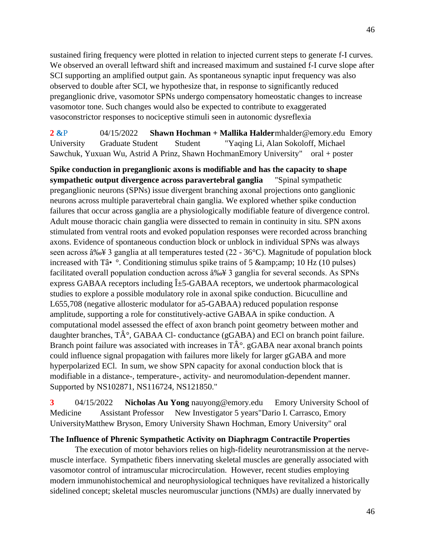sustained firing frequency were plotted in relation to injected current steps to generate f-I curves. We observed an overall leftward shift and increased maximum and sustained f-I curve slope after SCI supporting an amplified output gain. As spontaneous synaptic input frequency was also observed to double after SCI, we hypothesize that, in response to significantly reduced preganglionic drive, vasomotor SPNs undergo compensatory homeostatic changes to increase vasomotor tone. Such changes would also be expected to contribute to exaggerated vasoconstrictor responses to nociceptive stimuli seen in autonomic dysreflexia

**2 &**P 04/15/2022 **Shawn Hochman + Mallika Halder**mhalder@emory.edu Emory University Graduate Student Student "Yaqing Li, Alan Sokoloff, Michael Sawchuk, Yuxuan Wu, Astrid A Prinz, Shawn HochmanEmory University" oral + poster

**Spike conduction in preganglionic axons is modifiable and has the capacity to shape sympathetic output divergence across paravertebral ganglia** "Spinal sympathetic preganglionic neurons (SPNs) issue divergent branching axonal projections onto ganglionic neurons across multiple paravertebral chain ganglia. We explored whether spike conduction failures that occur across ganglia are a physiologically modifiable feature of divergence control. Adult mouse thoracic chain ganglia were dissected to remain in continuity in situ. SPN axons stimulated from ventral roots and evoked population responses were recorded across branching axons. Evidence of spontaneous conduction block or unblock in individual SPNs was always seen across  $\hat{a} \times \hat{a}$  3 ganglia at all temperatures tested (22 - 36°C). Magnitude of population block increased with Tâ•  $\degree$ . Conditioning stimulus spike trains of 5 & amp; amp; 10 Hz (10 pulses) facilitated overall population conduction across  $\hat{a} \& 3$  ganglia for several seconds. As SPNs express GABAA receptors including  $\hat{I}$  +5-GABAA receptors, we undertook pharmacological studies to explore a possible modulatory role in axonal spike conduction. Bicuculline and L655,708 (negative allosteric modulator for a5-GABAA) reduced population response amplitude, supporting a role for constitutively-active GABAA in spike conduction. A computational model assessed the effect of axon branch point geometry between mother and daughter branches,  $T\hat{A}^{\circ}$ , GABAA Cl- conductance (gGABA) and ECl on branch point failure. Branch point failure was associated with increases in  $T\hat{A}^{\circ}$ . gGABA near axonal branch points could influence signal propagation with failures more likely for larger gGABA and more hyperpolarized ECl. In sum, we show SPN capacity for axonal conduction block that is modifiable in a distance-, temperature-, activity- and neuromodulation-dependent manner. Supported by NS102871, NS116724, NS121850."

**3** 04/15/2022 **Nicholas Au Yong** nauyong@emory.edu Emory University School of Medicine Assistant Professor New Investigator 5 years"Dario I. Carrasco, Emory UniversityMatthew Bryson, Emory University Shawn Hochman, Emory University" oral

### **The Influence of Phrenic Sympathetic Activity on Diaphragm Contractile Properties**

The execution of motor behaviors relies on high-fidelity neurotransmission at the nervemuscle interface. Sympathetic fibers innervating skeletal muscles are generally associated with vasomotor control of intramuscular microcirculation. However, recent studies employing modern immunohistochemical and neurophysiological techniques have revitalized a historically sidelined concept; skeletal muscles neuromuscular junctions (NMJs) are dually innervated by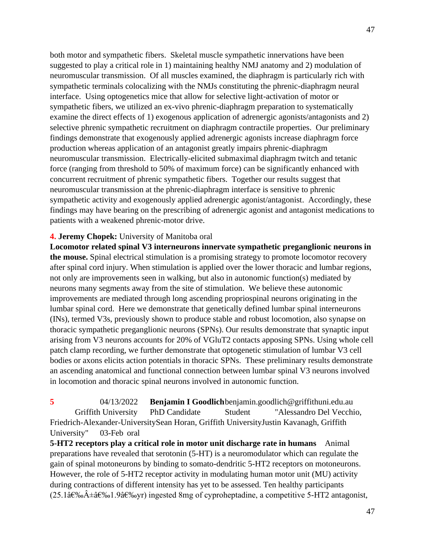both motor and sympathetic fibers. Skeletal muscle sympathetic innervations have been suggested to play a critical role in 1) maintaining healthy NMJ anatomy and 2) modulation of neuromuscular transmission. Of all muscles examined, the diaphragm is particularly rich with sympathetic terminals colocalizing with the NMJs constituting the phrenic-diaphragm neural interface. Using optogenetics mice that allow for selective light-activation of motor or sympathetic fibers, we utilized an ex-vivo phrenic-diaphragm preparation to systematically examine the direct effects of 1) exogenous application of adrenergic agonists/antagonists and 2) selective phrenic sympathetic recruitment on diaphragm contractile properties. Our preliminary findings demonstrate that exogenously applied adrenergic agonists increase diaphragm force production whereas application of an antagonist greatly impairs phrenic-diaphragm neuromuscular transmission. Electrically-elicited submaximal diaphragm twitch and tetanic force (ranging from threshold to 50% of maximum force) can be significantly enhanced with concurrent recruitment of phrenic sympathetic fibers. Together our results suggest that neuromuscular transmission at the phrenic-diaphragm interface is sensitive to phrenic sympathetic activity and exogenously applied adrenergic agonist/antagonist. Accordingly, these findings may have bearing on the prescribing of adrenergic agonist and antagonist medications to patients with a weakened phrenic-motor drive.

#### **4. Jeremy Chopek:** University of Manitoba oral

**Locomotor related spinal V3 interneurons innervate sympathetic preganglionic neurons in the mouse.** Spinal electrical stimulation is a promising strategy to promote locomotor recovery after spinal cord injury. When stimulation is applied over the lower thoracic and lumbar regions, not only are improvements seen in walking, but also in autonomic function(s) mediated by neurons many segments away from the site of stimulation. We believe these autonomic improvements are mediated through long ascending propriospinal neurons originating in the lumbar spinal cord. Here we demonstrate that genetically defined lumbar spinal interneurons (INs), termed V3s, previously shown to produce stable and robust locomotion, also synapse on thoracic sympathetic preganglionic neurons (SPNs). Our results demonstrate that synaptic input arising from V3 neurons accounts for 20% of VGluT2 contacts apposing SPNs. Using whole cell patch clamp recording, we further demonstrate that optogenetic stimulation of lumbar V3 cell bodies or axons elicits action potentials in thoracic SPNs. These preliminary results demonstrate an ascending anatomical and functional connection between lumbar spinal V3 neurons involved in locomotion and thoracic spinal neurons involved in autonomic function.

**5** 04/13/2022 **Benjamin I Goodlich**benjamin.goodlich@griffithuni.edu.au Griffith University PhD Candidate Student "Alessandro Del Vecchio, Friedrich-Alexander-UniversitySean Horan, Griffith UniversityJustin Kavanagh, Griffith University" 03-Feb oral

**5-HT2 receptors play a critical role in motor unit discharge rate in humans** Animal preparations have revealed that serotonin (5-HT) is a neuromodulator which can regulate the gain of spinal motoneurons by binding to somato-dendritic 5-HT2 receptors on motoneurons. However, the role of 5-HT2 receptor activity in modulating human motor unit (MU) activity during contractions of different intensity has yet to be assessed. Ten healthy participants  $(25.1â€%^{\circ}A \pm \hat{a}€%^{\circ}1.9â€%$  ingested 8mg of cyproheptadine, a competitive 5-HT2 antagonist,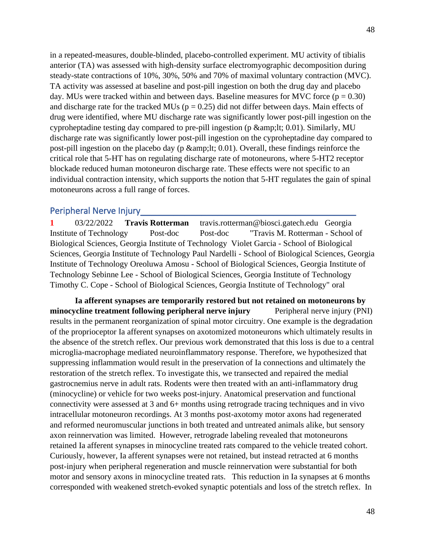in a repeated-measures, double-blinded, placebo-controlled experiment. MU activity of tibialis anterior (TA) was assessed with high-density surface electromyographic decomposition during steady-state contractions of 10%, 30%, 50% and 70% of maximal voluntary contraction (MVC). TA activity was assessed at baseline and post-pill ingestion on both the drug day and placebo day. MUs were tracked within and between days. Baseline measures for MVC force ( $p = 0.30$ ) and discharge rate for the tracked MUs ( $p = 0.25$ ) did not differ between days. Main effects of drug were identified, where MU discharge rate was significantly lower post-pill ingestion on the cyproheptadine testing day compared to pre-pill ingestion (p  $\&;lt; 0.01$ ). Similarly, MU discharge rate was significantly lower post-pill ingestion on the cyproheptadine day compared to post-pill ingestion on the placebo day ( $p$  & amp; lt; 0.01). Overall, these findings reinforce the critical role that 5-HT has on regulating discharge rate of motoneurons, where 5-HT2 receptor blockade reduced human motoneuron discharge rate. These effects were not specific to an individual contraction intensity, which supports the notion that 5-HT regulates the gain of spinal motoneurons across a full range of forces.

# Peripheral Nerve Injury\_\_\_\_\_\_\_\_\_\_\_\_\_\_\_\_\_\_\_\_\_\_\_\_\_\_\_\_\_\_\_\_\_\_\_\_\_\_\_

**1** 03/22/2022 **Travis Rotterman** travis.rotterman@biosci.gatech.edu Georgia Institute of Technology Post-doc Post-doc "Travis M. Rotterman - School of Biological Sciences, Georgia Institute of Technology Violet Garcia - School of Biological Sciences, Georgia Institute of Technology Paul Nardelli - School of Biological Sciences, Georgia Institute of Technology Oreoluwa Amosu - School of Biological Sciences, Georgia Institute of Technology Sebinne Lee - School of Biological Sciences, Georgia Institute of Technology Timothy C. Cope - School of Biological Sciences, Georgia Institute of Technology" oral

**Ia afferent synapses are temporarily restored but not retained on motoneurons by minocycline treatment following peripheral nerve injury** Peripheral nerve injury (PNI) results in the permanent reorganization of spinal motor circuitry. One example is the degradation of the proprioceptor Ia afferent synapses on axotomized motoneurons which ultimately results in the absence of the stretch reflex. Our previous work demonstrated that this loss is due to a central microglia-macrophage mediated neuroinflammatory response. Therefore, we hypothesized that suppressing inflammation would result in the preservation of Ia connections and ultimately the restoration of the stretch reflex. To investigate this, we transected and repaired the medial gastrocnemius nerve in adult rats. Rodents were then treated with an anti-inflammatory drug (minocycline) or vehicle for two weeks post-injury. Anatomical preservation and functional connectivity were assessed at 3 and 6+ months using retrograde tracing techniques and in vivo intracellular motoneuron recordings. At 3 months post-axotomy motor axons had regenerated and reformed neuromuscular junctions in both treated and untreated animals alike, but sensory axon reinnervation was limited. However, retrograde labeling revealed that motoneurons retained Ia afferent synapses in minocycline treated rats compared to the vehicle treated cohort. Curiously, however, Ia afferent synapses were not retained, but instead retracted at 6 months post-injury when peripheral regeneration and muscle reinnervation were substantial for both motor and sensory axons in minocycline treated rats. This reduction in Ia synapses at 6 months corresponded with weakened stretch-evoked synaptic potentials and loss of the stretch reflex. In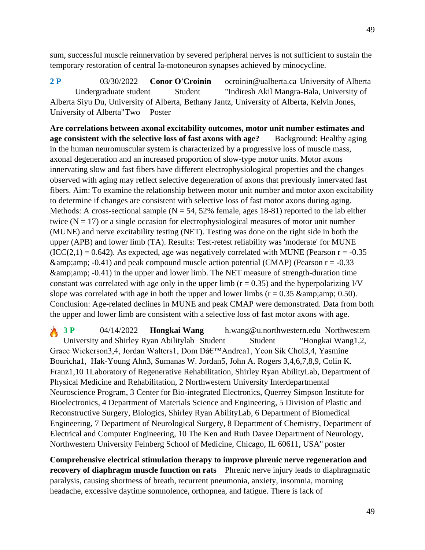49

sum, successful muscle reinnervation by severed peripheral nerves is not sufficient to sustain the temporary restoration of central Ia-motoneuron synapses achieved by minocycline.

**2 P** 03/30/2022 **Conor O'Croinin** ocroinin@ualberta.ca University of Alberta Undergraduate student Student "Indiresh Akil Mangra-Bala, University of Alberta Siyu Du, University of Alberta, Bethany Jantz, University of Alberta, Kelvin Jones, University of Alberta"Two Poster

**Are correlations between axonal excitability outcomes, motor unit number estimates and age consistent with the selective loss of fast axons with age?** Background: Healthy aging in the human neuromuscular system is characterized by a progressive loss of muscle mass, axonal degeneration and an increased proportion of slow-type motor units. Motor axons innervating slow and fast fibers have different electrophysiological properties and the changes observed with aging may reflect selective degeneration of axons that previously innervated fast fibers. Aim: To examine the relationship between motor unit number and motor axon excitability to determine if changes are consistent with selective loss of fast motor axons during aging. Methods: A cross-sectional sample ( $N = 54$ , 52% female, ages 18-81) reported to the lab either twice  $(N = 17)$  or a single occasion for electrophysiological measures of motor unit number (MUNE) and nerve excitability testing (NET). Testing was done on the right side in both the upper (APB) and lower limb (TA). Results: Test-retest reliability was 'moderate' for MUNE  $(ICC(2,1) = 0.642)$ . As expected, age was negatively correlated with MUNE (Pearson r = -0.35)  $\&$ amp; amp; -0.41) and peak compound muscle action potential (CMAP) (Pearson r = -0.33)  $\&--0.41$ ) in the upper and lower limb. The NET measure of strength-duration time constant was correlated with age only in the upper limb ( $r = 0.35$ ) and the hyperpolarizing I/V slope was correlated with age in both the upper and lower limbs  $(r = 0.35 \text{ \&0.50}).$ Conclusion: Age-related declines in MUNE and peak CMAP were demonstrated. Data from both the upper and lower limb are consistent with a selective loss of fast motor axons with age.

**3 P** 04/14/2022 **Hongkai Wang** h.wang@u.northwestern.edu Northwestern University and Shirley Ryan Abilitylab Student Student "Hongkai Wang1,2, Grace Wickerson3,4, Jordan Walters1, Dom Dâ€<sup>™</sup>Andrea1, Yeon Sik Choi3,4, Yasmine Bouricha1, Hak-Young Ahn3, Sumanas W. Jordan5, John A. Rogers 3,4,6,7,8,9, Colin K. Franz1,10 1Laboratory of Regenerative Rehabilitation, Shirley Ryan AbilityLab, Department of Physical Medicine and Rehabilitation, 2 Northwestern University Interdepartmental Neuroscience Program, 3 Center for Bio-integrated Electronics, Querrey Simpson Institute for Bioelectronics, 4 Department of Materials Science and Engineering, 5 Division of Plastic and Reconstructive Surgery, Biologics, Shirley Ryan AbilityLab, 6 Department of Biomedical Engineering, 7 Department of Neurological Surgery, 8 Department of Chemistry, Department of Electrical and Computer Engineering, 10 The Ken and Ruth Davee Department of Neurology, Northwestern University Feinberg School of Medicine, Chicago, IL 60611, USA" poster

**Comprehensive electrical stimulation therapy to improve phrenic nerve regeneration and recovery of diaphragm muscle function on rats** Phrenic nerve injury leads to diaphragmatic paralysis, causing shortness of breath, recurrent pneumonia, anxiety, insomnia, morning headache, excessive daytime somnolence, orthopnea, and fatigue. There is lack of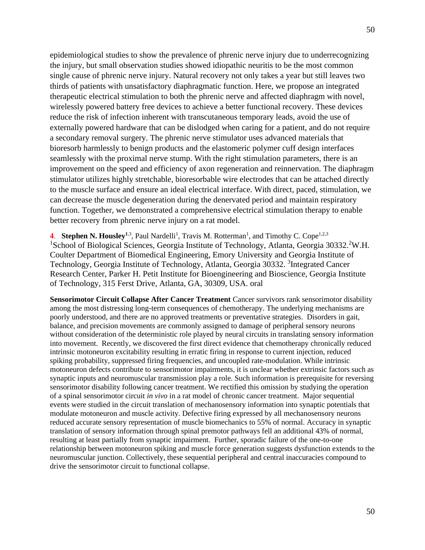epidemiological studies to show the prevalence of phrenic nerve injury due to underrecognizing the injury, but small observation studies showed idiopathic neuritis to be the most common single cause of phrenic nerve injury. Natural recovery not only takes a year but still leaves two thirds of patients with unsatisfactory diaphragmatic function. Here, we propose an integrated therapeutic electrical stimulation to both the phrenic nerve and affected diaphragm with novel, wirelessly powered battery free devices to achieve a better functional recovery. These devices reduce the risk of infection inherent with transcutaneous temporary leads, avoid the use of externally powered hardware that can be dislodged when caring for a patient, and do not require a secondary removal surgery. The phrenic nerve stimulator uses advanced materials that bioresorb harmlessly to benign products and the elastomeric polymer cuff design interfaces seamlessly with the proximal nerve stump. With the right stimulation parameters, there is an improvement on the speed and efficiency of axon regeneration and reinnervation. The diaphragm stimulator utilizes highly stretchable, bioresorbable wire electrodes that can be attached directly to the muscle surface and ensure an ideal electrical interface. With direct, paced, stimulation, we can decrease the muscle degeneration during the denervated period and maintain respiratory function. Together, we demonstrated a comprehensive electrical stimulation therapy to enable better recovery from phrenic nerve injury on a rat model.

4. Stephen N. Housley<sup>1,3</sup>, Paul Nardelli<sup>1</sup>, Travis M. Rotterman<sup>1</sup>, and Timothy C. Cope<sup>1,2,3</sup> <sup>1</sup>School of Biological Sciences, Georgia Institute of Technology, Atlanta, Georgia 30332.<sup>2</sup>W.H. Coulter Department of Biomedical Engineering, Emory University and Georgia Institute of Technology, Georgia Institute of Technology, Atlanta, Georgia 30332. <sup>3</sup>Integrated Cancer Research Center, Parker H. Petit Institute for Bioengineering and Bioscience, Georgia Institute of Technology, 315 Ferst Drive, Atlanta, GA, 30309, USA. oral

**Sensorimotor Circuit Collapse After Cancer Treatment** Cancer survivors rank sensorimotor disability among the most distressing long-term consequences of chemotherapy. The underlying mechanisms are poorly understood, and there are no approved treatments or preventative strategies. Disorders in gait, balance, and precision movements are commonly assigned to damage of peripheral sensory neurons without consideration of the deterministic role played by neural circuits in translating sensory information into movement. Recently, we discovered the first direct evidence that chemotherapy chronically reduced intrinsic motoneuron excitability resulting in erratic firing in response to current injection, reduced spiking probability, suppressed firing frequencies, and uncoupled rate-modulation. While intrinsic motoneuron defects contribute to sensorimotor impairments, it is unclear whether extrinsic factors such as synaptic inputs and neuromuscular transmission play a role. Such information is prerequisite for reversing sensorimotor disability following cancer treatment. We rectified this omission by studying the operation of a spinal sensorimotor circuit *in vivo* in a rat model of chronic cancer treatment. Major sequential events were studied in the circuit translation of mechanosensory information into synaptic potentials that modulate motoneuron and muscle activity. Defective firing expressed by all mechanosensory neurons reduced accurate sensory representation of muscle biomechanics to 55% of normal. Accuracy in synaptic translation of sensory information through spinal premotor pathways fell an additional 43% of normal, resulting at least partially from synaptic impairment. Further, sporadic failure of the one-to-one relationship between motoneuron spiking and muscle force generation suggests dysfunction extends to the neuromuscular junction. Collectively, these sequential peripheral and central inaccuracies compound to drive the sensorimotor circuit to functional collapse.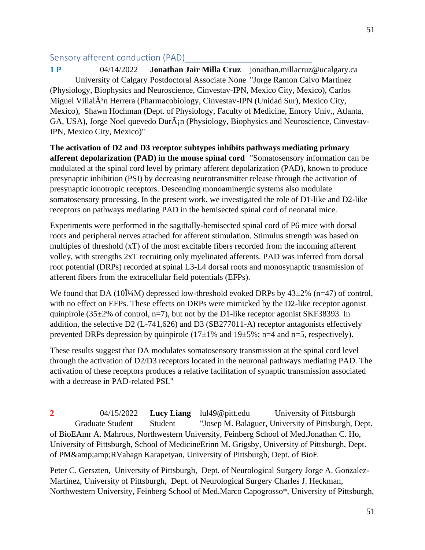### Sensory afferent conduction (PAD)

**1 P** 04/14/2022 **Jonathan Jair Milla Cruz** jonathan.millacruz@ucalgary.ca University of Calgary Postdoctoral Associate None "Jorge Ramon Calvo Martinez (Physiology, Biophysics and Neuroscience, Cinvestav-IPN, Mexico City, Mexico), Carlos Miguel Villal $\tilde{A}^3$ n Herrera (Pharmacobiology, Cinvestav-IPN (Unidad Sur), Mexico City, Mexico), Shawn Hochman (Dept. of Physiology, Faculty of Medicine, Emory Univ., Atlanta, GA, USA), Jorge Noel quevedo Dur $\tilde{A}$ <sub>i</sub>n (Physiology, Biophysics and Neuroscience, Cinvestav-IPN, Mexico City, Mexico)"

**The activation of D2 and D3 receptor subtypes inhibits pathways mediating primary afferent depolarization (PAD) in the mouse spinal cord** "Somatosensory information can be modulated at the spinal cord level by primary afferent depolarization (PAD), known to produce presynaptic inhibition (PSI) by decreasing neurotransmitter release through the activation of presynaptic ionotropic receptors. Descending monoaminergic systems also modulate somatosensory processing. In the present work, we investigated the role of D1-like and D2-like receptors on pathways mediating PAD in the hemisected spinal cord of neonatal mice.

Experiments were performed in the sagittally-hemisected spinal cord of P6 mice with dorsal roots and peripheral nerves attached for afferent stimulation. Stimulus strength was based on multiples of threshold (xT) of the most excitable fibers recorded from the incoming afferent volley, with strengths 2xT recruiting only myelinated afferents. PAD was inferred from dorsal root potential (DRPs) recorded at spinal L3-L4 dorsal roots and monosynaptic transmission of afferent fibers from the extracellular field potentials (EFPs).

We found that DA (10 $\hat{I}$ <sup>4</sup>M) depressed low-threshold evoked DRPs by  $43\pm2\%$  (n=47) of control, with no effect on EFPs. These effects on DRPs were mimicked by the D2-like receptor agonist quinpirole (35 $\pm$ 2% of control, n=7), but not by the D1-like receptor agonist SKF38393. In addition, the selective D2 (L-741,626) and D3 (SB277011-A) receptor antagonists effectively prevented DRPs depression by quinpirole  $(17\pm1\%$  and  $19\pm5\%$ ; n=4 and n=5, respectively).

These results suggest that DA modulates somatosensory transmission at the spinal cord level through the activation of D2/D3 receptors located in the neuronal pathways mediating PAD. The activation of these receptors produces a relative facilitation of synaptic transmission associated with a decrease in PAD-related PSI."

**2** 04/15/2022 **Lucy Liang** lul49@pitt.edu University of Pittsburgh Graduate Student Student "Josep M. Balaguer, University of Pittsburgh, Dept. of BioEAmr A. Mahrous, Northwestern University, Feinberg School of Med.Jonathan C. Ho, University of Pittsburgh, School of MedicineErinn M. Grigsby, University of Pittsburgh, Dept. of PM&RVahagn Karapetyan, University of Pittsburgh, Dept. of BioE

Peter C. Gerszten, University of Pittsburgh, Dept. of Neurological Surgery Jorge A. Gonzalez-Martinez, University of Pittsburgh, Dept. of Neurological Surgery Charles J. Heckman, Northwestern University, Feinberg School of Med.Marco Capogrosso\*, University of Pittsburgh,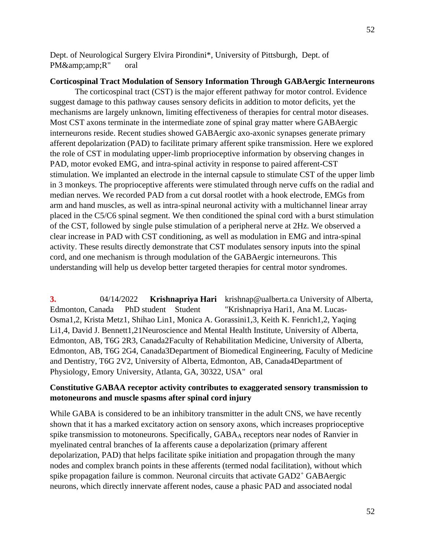Dept. of Neurological Surgery Elvira Pirondini\*, University of Pittsburgh, Dept. of PM&R" oral

### **Corticospinal Tract Modulation of Sensory Information Through GABAergic Interneurons**

The corticospinal tract (CST) is the major efferent pathway for motor control. Evidence suggest damage to this pathway causes sensory deficits in addition to motor deficits, yet the mechanisms are largely unknown, limiting effectiveness of therapies for central motor diseases. Most CST axons terminate in the intermediate zone of spinal gray matter where GABAergic interneurons reside. Recent studies showed GABAergic axo-axonic synapses generate primary afferent depolarization (PAD) to facilitate primary afferent spike transmission. Here we explored the role of CST in modulating upper-limb proprioceptive information by observing changes in PAD, motor evoked EMG, and intra-spinal activity in response to paired afferent-CST stimulation. We implanted an electrode in the internal capsule to stimulate CST of the upper limb in 3 monkeys. The proprioceptive afferents were stimulated through nerve cuffs on the radial and median nerves. We recorded PAD from a cut dorsal rootlet with a hook electrode, EMGs from arm and hand muscles, as well as intra-spinal neuronal activity with a multichannel linear array placed in the C5/C6 spinal segment. We then conditioned the spinal cord with a burst stimulation of the CST, followed by single pulse stimulation of a peripheral nerve at 2Hz. We observed a clear increase in PAD with CST conditioning, as well as modulation in EMG and intra-spinal activity. These results directly demonstrate that CST modulates sensory inputs into the spinal cord, and one mechanism is through modulation of the GABAergic interneurons. This understanding will help us develop better targeted therapies for central motor syndromes.

**3.** 04/14/2022 **Krishnapriya Hari** krishnap@ualberta.ca University of Alberta, Edmonton, Canada PhD student Student "Krishnapriya Hari1, Ana M. Lucas-Osma1,2, Krista Metz1, Shihao Lin1, Monica A. Gorassini1,3, Keith K. Fenrich1,2, Yaqing Li1,4, David J. Bennett1,21Neuroscience and Mental Health Institute, University of Alberta, Edmonton, AB, T6G 2R3, Canada2Faculty of Rehabilitation Medicine, University of Alberta, Edmonton, AB, T6G 2G4, Canada3Department of Biomedical Engineering, Faculty of Medicine and Dentistry, T6G 2V2, University of Alberta, Edmonton, AB, Canada4Department of Physiology, Emory University, Atlanta, GA, 30322, USA" oral

### **Constitutive GABAA receptor activity contributes to exaggerated sensory transmission to motoneurons and muscle spasms after spinal cord injury**

While GABA is considered to be an inhibitory transmitter in the adult CNS, we have recently shown that it has a marked excitatory action on sensory axons, which increases proprioceptive spike transmission to motoneurons. Specifically, GABA<sup>A</sup> receptors near nodes of Ranvier in myelinated central branches of Ia afferents cause a depolarization (primary afferent depolarization, PAD) that helps facilitate spike initiation and propagation through the many nodes and complex branch points in these afferents (termed nodal facilitation), without which spike propagation failure is common. Neuronal circuits that activate GAD2<sup>+</sup> GABAergic neurons, which directly innervate afferent nodes, cause a phasic PAD and associated nodal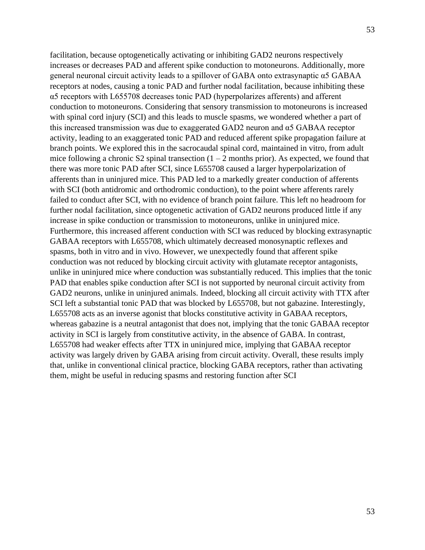facilitation, because optogenetically activating or inhibiting GAD2 neurons respectively increases or decreases PAD and afferent spike conduction to motoneurons. Additionally, more general neuronal circuit activity leads to a spillover of GABA onto extrasynaptic α5 GABAA receptors at nodes, causing a tonic PAD and further nodal facilitation, because inhibiting these α5 receptors with L655708 decreases tonic PAD (hyperpolarizes afferents) and afferent conduction to motoneurons. Considering that sensory transmission to motoneurons is increased with spinal cord injury (SCI) and this leads to muscle spasms, we wondered whether a part of this increased transmission was due to exaggerated GAD2 neuron and α5 GABAA receptor activity, leading to an exaggerated tonic PAD and reduced afferent spike propagation failure at branch points. We explored this in the sacrocaudal spinal cord, maintained in vitro, from adult mice following a chronic S2 spinal transection  $(1 – 2$  months prior). As expected, we found that there was more tonic PAD after SCI, since L655708 caused a larger hyperpolarization of afferents than in uninjured mice. This PAD led to a markedly greater conduction of afferents with SCI (both antidromic and orthodromic conduction), to the point where afferents rarely failed to conduct after SCI, with no evidence of branch point failure. This left no headroom for further nodal facilitation, since optogenetic activation of GAD2 neurons produced little if any increase in spike conduction or transmission to motoneurons, unlike in uninjured mice. Furthermore, this increased afferent conduction with SCI was reduced by blocking extrasynaptic GABAA receptors with L655708, which ultimately decreased monosynaptic reflexes and spasms, both in vitro and in vivo. However, we unexpectedly found that afferent spike conduction was not reduced by blocking circuit activity with glutamate receptor antagonists, unlike in uninjured mice where conduction was substantially reduced. This implies that the tonic PAD that enables spike conduction after SCI is not supported by neuronal circuit activity from GAD2 neurons, unlike in uninjured animals. Indeed, blocking all circuit activity with TTX after SCI left a substantial tonic PAD that was blocked by L655708, but not gabazine. Interestingly, L655708 acts as an inverse agonist that blocks constitutive activity in GABAA receptors, whereas gabazine is a neutral antagonist that does not, implying that the tonic GABAA receptor activity in SCI is largely from constitutive activity, in the absence of GABA. In contrast, L655708 had weaker effects after TTX in uninjured mice, implying that GABAA receptor activity was largely driven by GABA arising from circuit activity. Overall, these results imply that, unlike in conventional clinical practice, blocking GABA receptors, rather than activating them, might be useful in reducing spasms and restoring function after SCI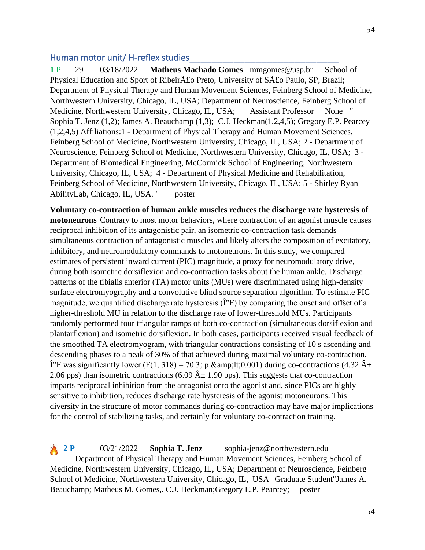### Human motor unit/ H-reflex studies

**1** P 29 03/18/2022 **Matheus Machado Gomes** mmgomes@usp.br School of Physical Education and Sport of Ribeir $\tilde{A}$ £o Preto, University of S $\tilde{A}$ £o Paulo, SP, Brazil; Department of Physical Therapy and Human Movement Sciences, Feinberg School of Medicine, Northwestern University, Chicago, IL, USA; Department of Neuroscience, Feinberg School of Medicine, Northwestern University, Chicago, IL, USA; Assistant Professor None " Sophia T. Jenz (1,2); James A. Beauchamp (1,3); C.J. Heckman(1,2,4,5); Gregory E.P. Pearcey (1,2,4,5) Affiliations:1 - Department of Physical Therapy and Human Movement Sciences, Feinberg School of Medicine, Northwestern University, Chicago, IL, USA; 2 - Department of Neuroscience, Feinberg School of Medicine, Northwestern University, Chicago, IL, USA; 3 - Department of Biomedical Engineering, McCormick School of Engineering, Northwestern University, Chicago, IL, USA; 4 - Department of Physical Medicine and Rehabilitation, Feinberg School of Medicine, Northwestern University, Chicago, IL, USA; 5 - Shirley Ryan AbilityLab, Chicago, IL, USA. " poster

**Voluntary co-contraction of human ankle muscles reduces the discharge rate hysteresis of motoneurons** Contrary to most motor behaviors, where contraction of an agonist muscle causes reciprocal inhibition of its antagonistic pair, an isometric co-contraction task demands simultaneous contraction of antagonistic muscles and likely alters the composition of excitatory, inhibitory, and neuromodulatory commands to motoneurons. In this study, we compared estimates of persistent inward current (PIC) magnitude, a proxy for neuromodulatory drive, during both isometric dorsiflexion and co-contraction tasks about the human ankle. Discharge patterns of the tibialis anterior (TA) motor units (MUs) were discriminated using high-density surface electromyography and a convolutive blind source separation algorithm. To estimate PIC magnitude, we quantified discharge rate hysteresis  $(\hat{\mathbf{l}}^{\prime\prime}\mathbf{F})$  by comparing the onset and offset of a higher-threshold MU in relation to the discharge rate of lower-threshold MUs. Participants randomly performed four triangular ramps of both co-contraction (simultaneous dorsiflexion and plantarflexion) and isometric dorsiflexion. In both cases, participants received visual feedback of the smoothed TA electromyogram, with triangular contractions consisting of 10 s ascending and descending phases to a peak of 30% of that achieved during maximal voluntary co-contraction. <sup>T</sup>. The was significantly lower (F(1, 318) = 70.3; p &amp;lt;0.001) during co-contractions (4.32  $\hat{A}$  ± 2.06 pps) than isometric contractions (6.09  $\hat{A} \pm 1.90$  pps). This suggests that co-contraction imparts reciprocal inhibition from the antagonist onto the agonist and, since PICs are highly sensitive to inhibition, reduces discharge rate hysteresis of the agonist motoneurons. This diversity in the structure of motor commands during co-contraction may have major implications for the control of stabilizing tasks, and certainly for voluntary co-contraction training.

**2 P** 03/21/2022 **Sophia T. Jenz** sophia-jenz@northwestern.edu Department of Physical Therapy and Human Movement Sciences, Feinberg School of Medicine, Northwestern University, Chicago, IL, USA; Department of Neuroscience, Feinberg School of Medicine, Northwestern University, Chicago, IL, USA Graduate Student"James A. Beauchamp; Matheus M. Gomes,. C.J. Heckman;Gregory E.P. Pearcey; poster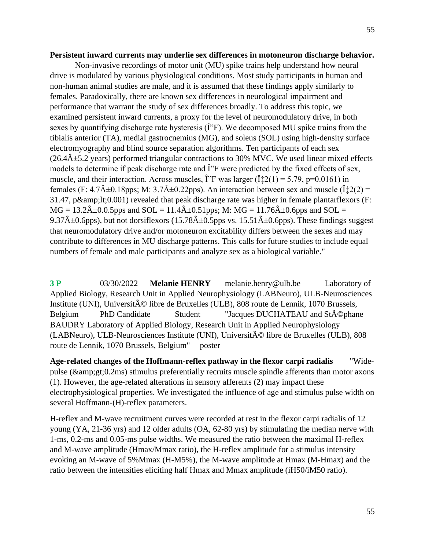#### **Persistent inward currents may underlie sex differences in motoneuron discharge behavior.**

Non-invasive recordings of motor unit (MU) spike trains help understand how neural drive is modulated by various physiological conditions. Most study participants in human and non-human animal studies are male, and it is assumed that these findings apply similarly to females. Paradoxically, there are known sex differences in neurological impairment and performance that warrant the study of sex differences broadly. To address this topic, we examined persistent inward currents, a proxy for the level of neuromodulatory drive, in both sexes by quantifying discharge rate hysteresis  $(\hat{I}^{\prime\prime}F)$ . We decomposed MU spike trains from the tibialis anterior (TA), medial gastrocnemius (MG), and soleus (SOL) using high-density surface electromyography and blind source separation algorithms. Ten participants of each sex  $(26.4\text{\AA} \pm 5.2 \text{ years})$  performed triangular contractions to 30% MVC. We used linear mixed effects models to determine if peak discharge rate and  $\hat{I}$ "F were predicted by the fixed effects of sex, muscle, and their interaction. Across muscles,  $\hat{i}$ <sup>\*</sup>F was larger ( $\hat{i}$  $\hat{i}$ 2(1) = 5.79, p=0.0161) in females (F:  $4.7\hat{A} \pm 0.18$ pps; M:  $3.7\hat{A} \pm 0.22$ pps). An interaction between sex and muscle ( $\ddot{\mathbf{i}} \ddot{\mathbf{i}} 2(2)$  = 31.47, p $\&1:10.001$ ) revealed that peak discharge rate was higher in female plantarflexors (F:  $MG = 13.2\hat{A} \pm 0.0.5$ pps and  $SOL = 11.4\hat{A} \pm 0.51$ pps; M:  $MG = 11.76\hat{A} \pm 0.6$ pps and  $SOL =$ 9.37 $\hat{A}$ ±0.6pps), but not dorsiflexors (15.78 $\hat{A}$ ±0.5pps vs. 15.51 $\hat{A}$ ±0.6pps). These findings suggest that neuromodulatory drive and/or motoneuron excitability differs between the sexes and may contribute to differences in MU discharge patterns. This calls for future studies to include equal numbers of female and male participants and analyze sex as a biological variable."

**3 P** 03/30/2022 **Melanie HENRY** melanie.henry@ulb.be Laboratory of Applied Biology, Research Unit in Applied Neurophysiology (LABNeuro), ULB-Neurosciences Institute (UNI), Universit $\tilde{A} \odot$  libre de Bruxelles (ULB), 808 route de Lennik, 1070 Brussels, Belgium PhD Candidate Student "Jacques DUCHATEAU and St $\tilde{A}$ ©phane BAUDRY Laboratory of Applied Biology, Research Unit in Applied Neurophysiology  $(LABNeuro)$ , ULB-Neurosciences Institute (UNI), Universit $\tilde{A} \odot$  libre de Bruxelles (ULB), 808 route de Lennik, 1070 Brussels, Belgium" poster

**Age-related changes of the Hoffmann-reflex pathway in the flexor carpi radialis** "Widepulse ( $\&igt 0.2ms$ ) stimulus preferentially recruits muscle spindle afferents than motor axons (1). However, the age-related alterations in sensory afferents (2) may impact these electrophysiological properties. We investigated the influence of age and stimulus pulse width on several Hoffmann-(H)-reflex parameters.

H-reflex and M-wave recruitment curves were recorded at rest in the flexor carpi radialis of 12 young (YA, 21-36 yrs) and 12 older adults (OA, 62-80 yrs) by stimulating the median nerve with 1-ms, 0.2-ms and 0.05-ms pulse widths. We measured the ratio between the maximal H-reflex and M-wave amplitude (Hmax/Mmax ratio), the H-reflex amplitude for a stimulus intensity evoking an M-wave of 5%Mmax (H-M5%), the M-wave amplitude at Hmax (M-Hmax) and the ratio between the intensities eliciting half Hmax and Mmax amplitude (iH50/iM50 ratio).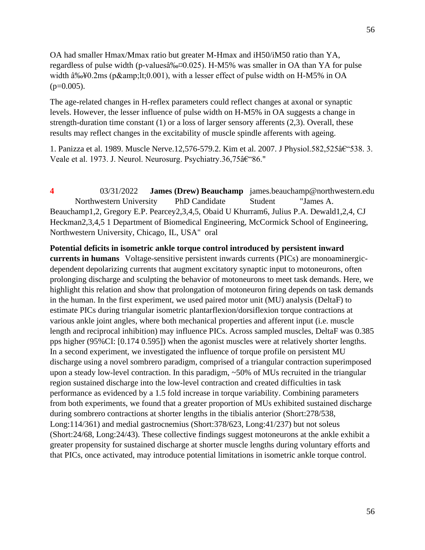OA had smaller Hmax/Mmax ratio but greater M-Hmax and iH50/iM50 ratio than YA, regardless of pulse width (p-values $\hat{a}\%0.025$ ). H-M5% was smaller in OA than YA for pulse width  $\hat{a}\%$ +0.2ms (p<0.001), with a lesser effect of pulse width on H-M5% in OA  $(p=0.005)$ .

The age-related changes in H-reflex parameters could reflect changes at axonal or synaptic levels. However, the lesser influence of pulse width on H-M5% in OA suggests a change in strength-duration time constant (1) or a loss of larger sensory afferents (2,3). Overall, these results may reflect changes in the excitability of muscle spindle afferents with ageing.

1. Panizza et al. 1989. Muscle Nerve.12,576-579.2. Kim et al. 2007. J Physiol.582,525–538. 3. Veale et al. 1973. J. Neurol. Neurosurg. Psychiatry.36,75 $\hat{a} \in \mathcal{C}^*$ 86."

**4** 03/31/2022 **James (Drew) Beauchamp** james.beauchamp@northwestern.edu Northwestern University PhD Candidate Student "James A. Beauchamp1,2, Gregory E.P. Pearcey2,3,4,5, Obaid U Khurram6, Julius P.A. Dewald1,2,4, CJ Heckman2,3,4,5 1 Department of Biomedical Engineering, McCormick School of Engineering, Northwestern University, Chicago, IL, USA" oral

**Potential deficits in isometric ankle torque control introduced by persistent inward currents in humans** Voltage-sensitive persistent inwards currents (PICs) are monoaminergicdependent depolarizing currents that augment excitatory synaptic input to motoneurons, often prolonging discharge and sculpting the behavior of motoneurons to meet task demands. Here, we highlight this relation and show that prolongation of motoneuron firing depends on task demands in the human. In the first experiment, we used paired motor unit (MU) analysis (DeltaF) to estimate PICs during triangular isometric plantarflexion/dorsiflexion torque contractions at various ankle joint angles, where both mechanical properties and afferent input (i.e. muscle length and reciprocal inhibition) may influence PICs. Across sampled muscles, DeltaF was 0.385 pps higher (95%CI: [0.174 0.595]) when the agonist muscles were at relatively shorter lengths. In a second experiment, we investigated the influence of torque profile on persistent MU discharge using a novel sombrero paradigm, comprised of a triangular contraction superimposed upon a steady low-level contraction. In this paradigm, ~50% of MUs recruited in the triangular region sustained discharge into the low-level contraction and created difficulties in task performance as evidenced by a 1.5 fold increase in torque variability. Combining parameters from both experiments, we found that a greater proportion of MUs exhibited sustained discharge during sombrero contractions at shorter lengths in the tibialis anterior (Short:278/538, Long:114/361) and medial gastrocnemius (Short:378/623, Long:41/237) but not soleus (Short:24/68, Long:24/43). These collective findings suggest motoneurons at the ankle exhibit a greater propensity for sustained discharge at shorter muscle lengths during voluntary efforts and that PICs, once activated, may introduce potential limitations in isometric ankle torque control.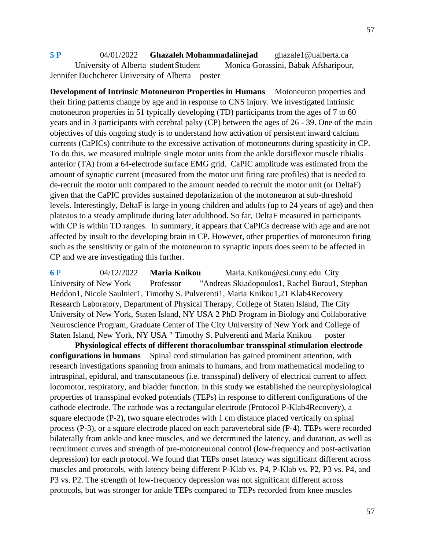**5 P** 04/01/2022 **Ghazaleh Mohammadalinejad** ghazale1@ualberta.ca University of Alberta student Student Monica Gorassini, Babak Afsharipour, Jennifer Duchcherer University of Alberta poster

**Development of Intrinsic Motoneuron Properties in Humans** Motoneuron properties and their firing patterns change by age and in response to CNS injury. We investigated intrinsic motoneuron properties in 51 typically developing (TD) participants from the ages of 7 to 60 years and in 3 participants with cerebral palsy (CP) between the ages of 26 - 39. One of the main objectives of this ongoing study is to understand how activation of persistent inward calcium currents (CaPICs) contribute to the excessive activation of motoneurons during spasticity in CP. To do this, we measured multiple single motor units from the ankle dorsiflexor muscle tibialis anterior (TA) from a 64-electrode surface EMG grid. CaPIC amplitude was estimated from the amount of synaptic current (measured from the motor unit firing rate profiles) that is needed to de-recruit the motor unit compared to the amount needed to recruit the motor unit (or DeltaF) given that the CaPIC provides sustained depolarization of the motoneuron at sub-threshold levels. Interestingly, DeltaF is large in young children and adults (up to 24 years of age) and then plateaus to a steady amplitude during later adulthood. So far, DeltaF measured in participants with CP is within TD ranges. In summary, it appears that CaPICs decrease with age and are not affected by insult to the developing brain in CP. However, other properties of motoneuron firing such as the sensitivity or gain of the motoneuron to synaptic inputs does seem to be affected in CP and we are investigating this further.

**6** P 04/12/2022 **Maria Knikou** Maria.Knikou@csi.cuny.edu City University of New York Professor "Andreas Skiadopoulos1, Rachel Burau1, Stephan Heddon1, Nicole Saulnier1, Timothy S. Pulverenti1, Maria Knikou1,21 Klab4Recovery Research Laboratory, Department of Physical Therapy, College of Staten Island, The City University of New York, Staten Island, NY USA 2 PhD Program in Biology and Collaborative Neuroscience Program, Graduate Center of The City University of New York and College of Staten Island, New York, NY USA " Timothy S. Pulverenti and Maria Knikou poster

**Physiological effects of different thoracolumbar transspinal stimulation electrode configurations in humans** Spinal cord stimulation has gained prominent attention, with research investigations spanning from animals to humans, and from mathematical modeling to intraspinal, epidural, and transcutaneous (i.e. transspinal) delivery of electrical current to affect locomotor, respiratory, and bladder function. In this study we established the neurophysiological properties of transspinal evoked potentials (TEPs) in response to different configurations of the cathode electrode. The cathode was a rectangular electrode (Protocol P-Klab4Recovery), a square electrode (P-2), two square electrodes with 1 cm distance placed vertically on spinal process (P-3), or a square electrode placed on each paravertebral side (P-4). TEPs were recorded bilaterally from ankle and knee muscles, and we determined the latency, and duration, as well as recruitment curves and strength of pre-motoneuronal control (low-frequency and post-activation depression) for each protocol. We found that TEPs onset latency was significant different across muscles and protocols, with latency being different P-Klab vs. P4, P-Klab vs. P2, P3 vs. P4, and P3 vs. P2. The strength of low-frequency depression was not significant different across protocols, but was stronger for ankle TEPs compared to TEPs recorded from knee muscles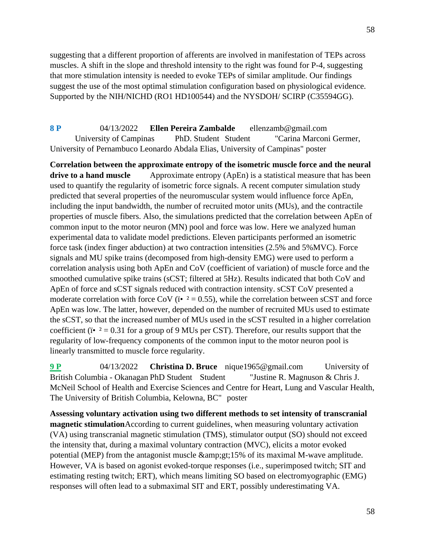suggesting that a different proportion of afferents are involved in manifestation of TEPs across muscles. A shift in the slope and threshold intensity to the right was found for P-4, suggesting that more stimulation intensity is needed to evoke TEPs of similar amplitude. Our findings suggest the use of the most optimal stimulation configuration based on physiological evidence. Supported by the NIH/NICHD (RO1 HD100544) and the NYSDOH/ SCIRP (C35594GG).

**8 P** 04/13/2022 **Ellen Pereira Zambalde** ellenzamb@gmail.com University of Campinas PhD. Student Student "Carina Marconi Germer, University of Pernambuco Leonardo Abdala Elias, University of Campinas" poster

**Correlation between the approximate entropy of the isometric muscle force and the neural drive to a hand muscle** Approximate entropy (ApEn) is a statistical measure that has been used to quantify the regularity of isometric force signals. A recent computer simulation study predicted that several properties of the neuromuscular system would influence force ApEn, including the input bandwidth, the number of recruited motor units (MUs), and the contractile properties of muscle fibers. Also, the simulations predicted that the correlation between ApEn of common input to the motor neuron (MN) pool and force was low. Here we analyzed human experimental data to validate model predictions. Eleven participants performed an isometric force task (index finger abduction) at two contraction intensities (2.5% and 5%MVC). Force signals and MU spike trains (decomposed from high-density EMG) were used to perform a correlation analysis using both ApEn and CoV (coefficient of variation) of muscle force and the smoothed cumulative spike trains (sCST; filtered at 5Hz). Results indicated that both CoV and ApEn of force and sCST signals reduced with contraction intensity. sCST CoV presented a moderate correlation with force CoV ( $\ddot{\textbf{i}}$  = 0.55), while the correlation between sCST and force ApEn was low. The latter, however, depended on the number of recruited MUs used to estimate the sCST, so that the increased number of MUs used in the sCST resulted in a higher correlation coefficient ( $i^{\bullet}$  = 0.31 for a group of 9 MUs per CST). Therefore, our results support that the regularity of low-frequency components of the common input to the motor neuron pool is linearly transmitted to muscle force regularity.

**9 P** 04/13/2022 **Christina D. Bruce** nique1965@gmail.com University of British Columbia - Okanagan PhD Student Student "Justine R. Magnuson & Chris J. McNeil School of Health and Exercise Sciences and Centre for Heart, Lung and Vascular Health, The University of British Columbia, Kelowna, BC" poster

**Assessing voluntary activation using two different methods to set intensity of transcranial magnetic stimulation**According to current guidelines, when measuring voluntary activation (VA) using transcranial magnetic stimulation (TMS), stimulator output (SO) should not exceed the intensity that, during a maximal voluntary contraction (MVC), elicits a motor evoked potential (MEP) from the antagonist muscle  $\&g(t;15\%)$  of its maximal M-wave amplitude. However, VA is based on agonist evoked-torque responses (i.e., superimposed twitch; SIT and estimating resting twitch; ERT), which means limiting SO based on electromyographic (EMG) responses will often lead to a submaximal SIT and ERT, possibly underestimating VA.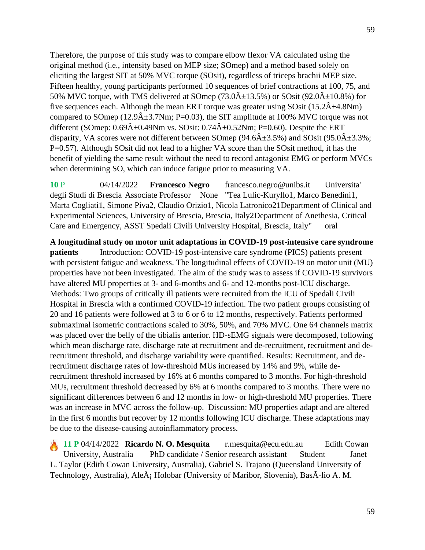Therefore, the purpose of this study was to compare elbow flexor VA calculated using the original method (i.e., intensity based on MEP size; SOmep) and a method based solely on eliciting the largest SIT at 50% MVC torque (SOsit), regardless of triceps brachii MEP size. Fifteen healthy, young participants performed 10 sequences of brief contractions at 100, 75, and 50% MVC torque, with TMS delivered at SOmep (73.0 $\hat{A} \pm 13.5$ %) or SOsit (92.0 $\hat{A} \pm 10.8$ %) for five sequences each. Although the mean ERT torque was greater using SOsit  $(15.2\hat{A} \pm 4.8Nm)$ compared to SOmep (12.9 $\hat{A}$ ±3.7Nm; P=0.03), the SIT amplitude at 100% MVC torque was not different (SOmep:  $0.69\text{\AA} \pm 0.49\text{Nm}$  vs. SOsit:  $0.74\text{\AA} \pm 0.52\text{Nm}$ ; P=0.60). Despite the ERT disparity, VA scores were not different between SOmep ( $94.6\hat{A} \pm 3.5\%$ ) and SOsit ( $95.0\hat{A} \pm 3.3\%$ ; P=0.57). Although SOsit did not lead to a higher VA score than the SOsit method, it has the

benefit of yielding the same result without the need to record antagonist EMG or perform MVCs when determining SO, which can induce fatigue prior to measuring VA.

**10** P 04/14/2022 **Francesco Negro** francesco.negro@unibs.it Universita' degli Studi di Brescia Associate Professor None "Tea Lulic-Kuryllo1, Marco Benedini1, Marta Cogliati1, Simone Piva2, Claudio Orizio1, Nicola Latronico21Department of Clinical and Experimental Sciences, University of Brescia, Brescia, Italy2Department of Anethesia, Critical Care and Emergency, ASST Spedali Civili University Hospital, Brescia, Italy" oral

**A longitudinal study on motor unit adaptations in COVID-19 post-intensive care syndrome patients** Introduction: COVID-19 post-intensive care syndrome (PICS) patients present with persistent fatigue and weakness. The longitudinal effects of COVID-19 on motor unit (MU) properties have not been investigated. The aim of the study was to assess if COVID-19 survivors have altered MU properties at 3- and 6-months and 6- and 12-months post-ICU discharge. Methods: Two groups of critically ill patients were recruited from the ICU of Spedali Civili Hospital in Brescia with a confirmed COVID-19 infection. The two patient groups consisting of 20 and 16 patients were followed at 3 to 6 or 6 to 12 months, respectively. Patients performed submaximal isometric contractions scaled to 30%, 50%, and 70% MVC. One 64 channels matrix was placed over the belly of the tibialis anterior. HD-sEMG signals were decomposed, following which mean discharge rate, discharge rate at recruitment and de-recruitment, recruitment and derecruitment threshold, and discharge variability were quantified. Results: Recruitment, and derecruitment discharge rates of low-threshold MUs increased by 14% and 9%, while derecruitment threshold increased by 16% at 6 months compared to 3 months. For high-threshold MUs, recruitment threshold decreased by 6% at 6 months compared to 3 months. There were no significant differences between 6 and 12 months in low- or high-threshold MU properties. There was an increase in MVC across the follow-up. Discussion: MU properties adapt and are altered in the first 6 months but recover by 12 months following ICU discharge. These adaptations may be due to the disease-causing autoinflammatory process.

**11 P** 04/14/2022 **Ricardo N. O. Mesquita** r.mesquita@ecu.edu.au Edith Cowan University, Australia PhD candidate / Senior research assistant Student Janet L. Taylor (Edith Cowan University, Australia), Gabriel S. Trajano (Queensland University of Technology, Australia), AleÅ¡ Holobar (University of Maribor, Slovenia), BasÃ-lio A. M.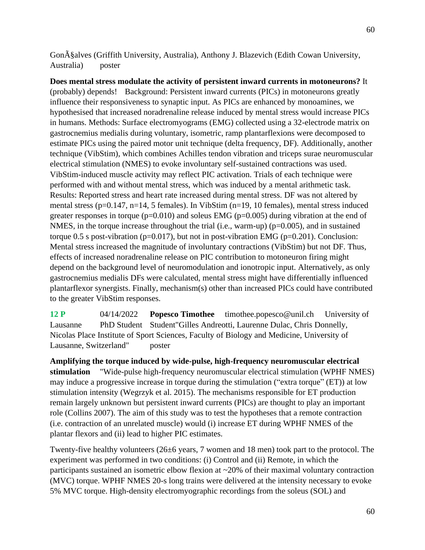Gon $\tilde{A}$ §alves (Griffith University, Australia), Anthony J. Blazevich (Edith Cowan University, Australia) poster

**Does mental stress modulate the activity of persistent inward currents in motoneurons?** It (probably) depends! Background: Persistent inward currents (PICs) in motoneurons greatly influence their responsiveness to synaptic input. As PICs are enhanced by monoamines, we hypothesised that increased noradrenaline release induced by mental stress would increase PICs in humans. Methods: Surface electromyograms (EMG) collected using a 32-electrode matrix on gastrocnemius medialis during voluntary, isometric, ramp plantarflexions were decomposed to estimate PICs using the paired motor unit technique (delta frequency, DF). Additionally, another technique (VibStim), which combines Achilles tendon vibration and triceps surae neuromuscular electrical stimulation (NMES) to evoke involuntary self-sustained contractions was used. VibStim-induced muscle activity may reflect PIC activation. Trials of each technique were performed with and without mental stress, which was induced by a mental arithmetic task. Results: Reported stress and heart rate increased during mental stress. DF was not altered by mental stress (p=0.147, n=14, 5 females). In VibStim (n=19, 10 females), mental stress induced greater responses in torque ( $p=0.010$ ) and soleus EMG ( $p=0.005$ ) during vibration at the end of NMES, in the torque increase throughout the trial (i.e., warm-up) ( $p=0.005$ ), and in sustained torque  $0.5$  s post-vibration (p=0.017), but not in post-vibration EMG (p=0.201). Conclusion: Mental stress increased the magnitude of involuntary contractions (VibStim) but not DF. Thus, effects of increased noradrenaline release on PIC contribution to motoneuron firing might depend on the background level of neuromodulation and ionotropic input. Alternatively, as only gastrocnemius medialis DFs were calculated, mental stress might have differentially influenced plantarflexor synergists. Finally, mechanism(s) other than increased PICs could have contributed to the greater VibStim responses.

**12 P** 04/14/2022 **Popesco Timothee** timothee.popesco@unil.ch University of Lausanne PhD Student Student"Gilles Andreotti, Laurenne Dulac, Chris Donnelly, Nicolas Place Institute of Sport Sciences, Faculty of Biology and Medicine, University of Lausanne, Switzerland" poster

**Amplifying the torque induced by wide-pulse, high-frequency neuromuscular electrical stimulation** "Wide-pulse high-frequency neuromuscular electrical stimulation (WPHF NMES) may induce a progressive increase in torque during the stimulation ("extra torque" (ET)) at low stimulation intensity (Wegrzyk et al. 2015). The mechanisms responsible for ET production remain largely unknown but persistent inward currents (PICs) are thought to play an important role (Collins 2007). The aim of this study was to test the hypotheses that a remote contraction (i.e. contraction of an unrelated muscle) would (i) increase ET during WPHF NMES of the plantar flexors and (ii) lead to higher PIC estimates.

Twenty-five healthy volunteers (26±6 years, 7 women and 18 men) took part to the protocol. The experiment was performed in two conditions: (i) Control and (ii) Remote, in which the participants sustained an isometric elbow flexion at ~20% of their maximal voluntary contraction (MVC) torque. WPHF NMES 20-s long trains were delivered at the intensity necessary to evoke 5% MVC torque. High-density electromyographic recordings from the soleus (SOL) and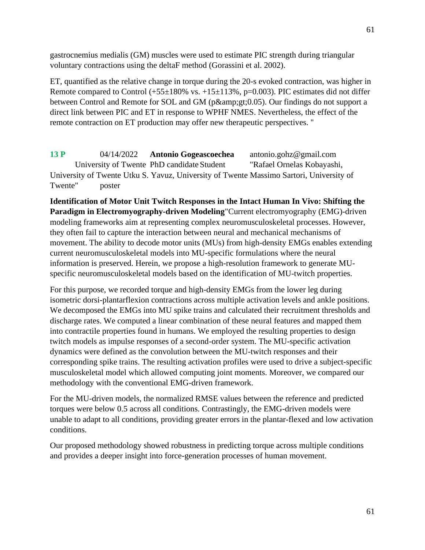gastrocnemius medialis (GM) muscles were used to estimate PIC strength during triangular voluntary contractions using the deltaF method (Gorassini et al. 2002).

ET, quantified as the relative change in torque during the 20-s evoked contraction, was higher in Remote compared to Control  $(+55\pm180\%$  vs.  $+15\pm113\%$ , p=0.003). PIC estimates did not differ between Control and Remote for SOL and GM (p>0.05). Our findings do not support a direct link between PIC and ET in response to WPHF NMES. Nevertheless, the effect of the remote contraction on ET production may offer new therapeutic perspectives. "

**13 P** 04/14/2022 **Antonio Gogeascoechea** antonio.gohz@gmail.com University of Twente PhD candidate Student "Rafael Ornelas Kobayashi, University of Twente Utku S. Yavuz, University of Twente Massimo Sartori, University of Twente" poster

**Identification of Motor Unit Twitch Responses in the Intact Human In Vivo: Shifting the Paradigm in Electromyography-driven Modeling**"Current electromyography (EMG)-driven modeling frameworks aim at representing complex neuromusculoskeletal processes. However, they often fail to capture the interaction between neural and mechanical mechanisms of movement. The ability to decode motor units (MUs) from high-density EMGs enables extending current neuromusculoskeletal models into MU-specific formulations where the neural information is preserved. Herein, we propose a high-resolution framework to generate MUspecific neuromusculoskeletal models based on the identification of MU-twitch properties.

For this purpose, we recorded torque and high-density EMGs from the lower leg during isometric dorsi-plantarflexion contractions across multiple activation levels and ankle positions. We decomposed the EMGs into MU spike trains and calculated their recruitment thresholds and discharge rates. We computed a linear combination of these neural features and mapped them into contractile properties found in humans. We employed the resulting properties to design twitch models as impulse responses of a second-order system. The MU-specific activation dynamics were defined as the convolution between the MU-twitch responses and their corresponding spike trains. The resulting activation profiles were used to drive a subject-specific musculoskeletal model which allowed computing joint moments. Moreover, we compared our methodology with the conventional EMG-driven framework.

For the MU-driven models, the normalized RMSE values between the reference and predicted torques were below 0.5 across all conditions. Contrastingly, the EMG-driven models were unable to adapt to all conditions, providing greater errors in the plantar-flexed and low activation conditions.

Our proposed methodology showed robustness in predicting torque across multiple conditions and provides a deeper insight into force-generation processes of human movement.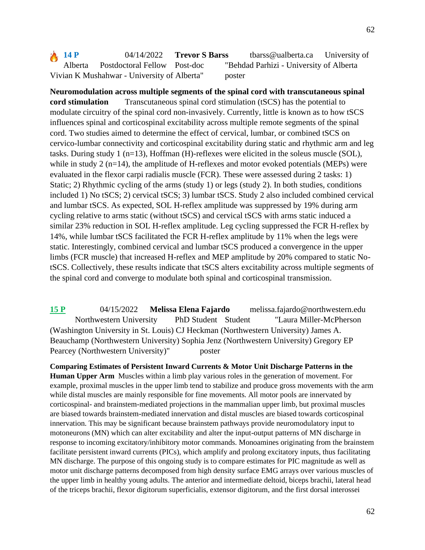**Neuromodulation across multiple segments of the spinal cord with transcutaneous spinal cord stimulation** Transcutaneous spinal cord stimulation (tSCS) has the potential to modulate circuitry of the spinal cord non-invasively. Currently, little is known as to how tSCS influences spinal and corticospinal excitability across multiple remote segments of the spinal cord. Two studies aimed to determine the effect of cervical, lumbar, or combined tSCS on cervico-lumbar connectivity and corticospinal excitability during static and rhythmic arm and leg tasks. During study 1 (n=13), Hoffman (H)-reflexes were elicited in the soleus muscle (SOL), while in study 2 (n=14), the amplitude of H-reflexes and motor evoked potentials (MEPs) were evaluated in the flexor carpi radialis muscle (FCR). These were assessed during 2 tasks: 1) Static; 2) Rhythmic cycling of the arms (study 1) or legs (study 2). In both studies, conditions included 1) No tSCS; 2) cervical tSCS; 3) lumbar tSCS. Study 2 also included combined cervical and lumbar tSCS. As expected, SOL H-reflex amplitude was suppressed by 19% during arm cycling relative to arms static (without tSCS) and cervical tSCS with arms static induced a similar 23% reduction in SOL H-reflex amplitude. Leg cycling suppressed the FCR H-reflex by 14%, while lumbar tSCS facilitated the FCR H-reflex amplitude by 11% when the legs were static. Interestingly, combined cervical and lumbar tSCS produced a convergence in the upper limbs (FCR muscle) that increased H-reflex and MEP amplitude by 20% compared to static NotSCS. Collectively, these results indicate that tSCS alters excitability across multiple segments of the spinal cord and converge to modulate both spinal and corticospinal transmission.

**15 P** 04/15/2022 **Melissa Elena Fajardo** melissa.fajardo@northwestern.edu Northwestern University PhD Student Student "Laura Miller-McPherson (Washington University in St. Louis) CJ Heckman (Northwestern University) James A. Beauchamp (Northwestern University) Sophia Jenz (Northwestern University) Gregory EP Pearcey (Northwestern University)" poster

**Comparing Estimates of Persistent Inward Currents & Motor Unit Discharge Patterns in the Human Upper Arm** Muscles within a limb play various roles in the generation of movement. For example, proximal muscles in the upper limb tend to stabilize and produce gross movements with the arm while distal muscles are mainly responsible for fine movements. All motor pools are innervated by corticospinal- and brainstem-mediated projections in the mammalian upper limb, but proximal muscles are biased towards brainstem-mediated innervation and distal muscles are biased towards corticospinal innervation. This may be significant because brainstem pathways provide neuromodulatory input to motoneurons (MN) which can alter excitability and alter the input-output patterns of MN discharge in response to incoming excitatory/inhibitory motor commands. Monoamines originating from the brainstem facilitate persistent inward currents (PICs), which amplify and prolong excitatory inputs, thus facilitating MN discharge. The purpose of this ongoing study is to compare estimates for PIC magnitude as well as motor unit discharge patterns decomposed from high density surface EMG arrays over various muscles of the upper limb in healthy young adults. The anterior and intermediate deltoid, biceps brachii, lateral head of the triceps brachii, flexor digitorum superficialis, extensor digitorum, and the first dorsal interossei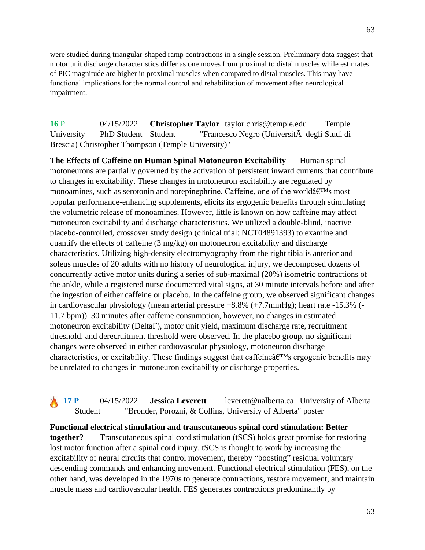were studied during triangular-shaped ramp contractions in a single session. Preliminary data suggest that motor unit discharge characteristics differ as one moves from proximal to distal muscles while estimates of PIC magnitude are higher in proximal muscles when compared to distal muscles. This may have functional implications for the normal control and rehabilitation of movement after neurological impairment.

**16** P 04/15/2022 **Christopher Taylor** taylor.chris@temple.edu Temple University PhD Student Student "Francesco Negro (UniversitÃ degli Studi di Brescia) Christopher Thompson (Temple University)"

**The Effects of Caffeine on Human Spinal Motoneuron Excitability** Human spinal motoneurons are partially governed by the activation of persistent inward currents that contribute to changes in excitability. These changes in motoneuron excitability are regulated by monoamines, such as serotonin and norepinephrine. Caffeine, one of the world $\hat{a} \in \mathbb{N}$  most popular performance-enhancing supplements, elicits its ergogenic benefits through stimulating the volumetric release of monoamines. However, little is known on how caffeine may affect motoneuron excitability and discharge characteristics. We utilized a double-blind, inactive placebo-controlled, crossover study design (clinical trial: NCT04891393) to examine and quantify the effects of caffeine (3 mg/kg) on motoneuron excitability and discharge characteristics. Utilizing high-density electromyography from the right tibialis anterior and soleus muscles of 20 adults with no history of neurological injury, we decomposed dozens of concurrently active motor units during a series of sub-maximal (20%) isometric contractions of the ankle, while a registered nurse documented vital signs, at 30 minute intervals before and after the ingestion of either caffeine or placebo. In the caffeine group, we observed significant changes in cardiovascular physiology (mean arterial pressure +8.8% (+7.7mmHg); heart rate -15.3% (- 11.7 bpm)) 30 minutes after caffeine consumption, however, no changes in estimated motoneuron excitability (DeltaF), motor unit yield, maximum discharge rate, recruitment threshold, and derecruitment threshold were observed. In the placebo group, no significant changes were observed in either cardiovascular physiology, motoneuron discharge characteristics, or excitability. These findings suggest that caffeine  $\hat{\alpha} \in \mathbb{R}^N$ s ergogenic benefits may be unrelated to changes in motoneuron excitability or discharge properties.

**17 P** 04/15/2022 **Jessica Leverett** leverett@ualberta.ca University of Alberta Student "Bronder, Porozni, & Collins, University of Alberta" poster

**Functional electrical stimulation and transcutaneous spinal cord stimulation: Better together?** Transcutaneous spinal cord stimulation (tSCS) holds great promise for restoring lost motor function after a spinal cord injury. tSCS is thought to work by increasing the excitability of neural circuits that control movement, thereby "boosting" residual voluntary descending commands and enhancing movement. Functional electrical stimulation (FES), on the other hand, was developed in the 1970s to generate contractions, restore movement, and maintain muscle mass and cardiovascular health. FES generates contractions predominantly by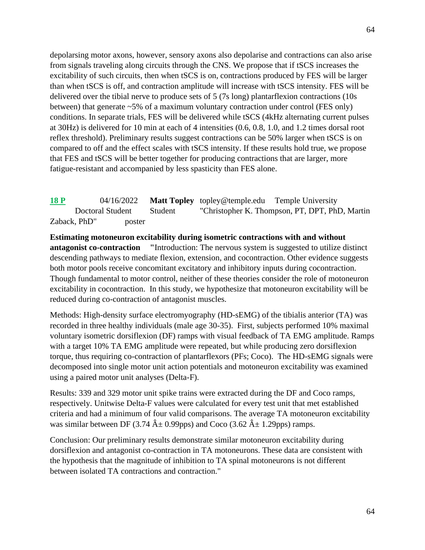depolarsing motor axons, however, sensory axons also depolarise and contractions can also arise from signals traveling along circuits through the CNS. We propose that if tSCS increases the excitability of such circuits, then when tSCS is on, contractions produced by FES will be larger than when tSCS is off, and contraction amplitude will increase with tSCS intensity. FES will be delivered over the tibial nerve to produce sets of 5 (7s long) plantarflexion contractions (10s between) that generate ~5% of a maximum voluntary contraction under control (FES only) conditions. In separate trials, FES will be delivered while tSCS (4kHz alternating current pulses at 30Hz) is delivered for 10 min at each of 4 intensities (0.6, 0.8, 1.0, and 1.2 times dorsal root reflex threshold). Preliminary results suggest contractions can be 50% larger when tSCS is on compared to off and the effect scales with tSCS intensity. If these results hold true, we propose that FES and tSCS will be better together for producing contractions that are larger, more fatigue-resistant and accompanied by less spasticity than FES alone.

**18 P** 04/16/2022 **Matt Topley** topley@temple.edu Temple University Doctoral Student Student "Christopher K. Thompson, PT, DPT, PhD, Martin Zaback, PhD" poster

**Estimating motoneuron excitability during isometric contractions with and without antagonist co-contraction** "Introduction: The nervous system is suggested to utilize distinct descending pathways to mediate flexion, extension, and cocontraction. Other evidence suggests both motor pools receive concomitant excitatory and inhibitory inputs during cocontraction. Though fundamental to motor control, neither of these theories consider the role of motoneuron excitability in cocontraction. In this study, we hypothesize that motoneuron excitability will be reduced during co-contraction of antagonist muscles.

Methods: High-density surface electromyography (HD-sEMG) of the tibialis anterior (TA) was recorded in three healthy individuals (male age 30-35). First, subjects performed 10% maximal voluntary isometric dorsiflexion (DF) ramps with visual feedback of TA EMG amplitude. Ramps with a target 10% TA EMG amplitude were repeated, but while producing zero dorsiflexion torque, thus requiring co-contraction of plantarflexors (PFs; Coco). The HD-sEMG signals were decomposed into single motor unit action potentials and motoneuron excitability was examined using a paired motor unit analyses (Delta-F).

Results: 339 and 329 motor unit spike trains were extracted during the DF and Coco ramps, respectively. Unitwise Delta-F values were calculated for every test unit that met established criteria and had a minimum of four valid comparisons. The average TA motoneuron excitability was similar between DF (3.74  $\hat{A} \pm 0.99$ pps) and Coco (3.62  $\hat{A} \pm 1.29$ pps) ramps.

Conclusion: Our preliminary results demonstrate similar motoneuron excitability during dorsiflexion and antagonist co-contraction in TA motoneurons. These data are consistent with the hypothesis that the magnitude of inhibition to TA spinal motoneurons is not different between isolated TA contractions and contraction."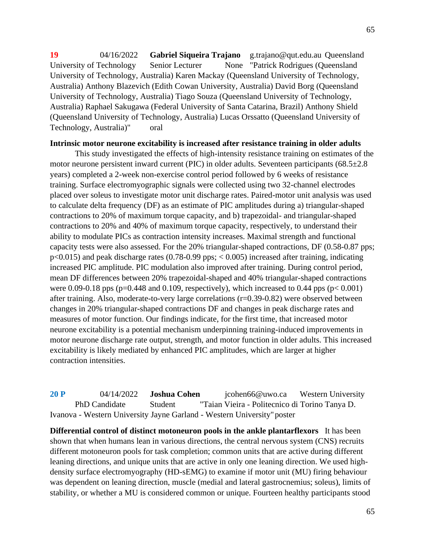65

**19** 04/16/2022 **Gabriel Siqueira Trajano** g.trajano@qut.edu.au Queensland University of Technology Senior Lecturer None "Patrick Rodrigues (Queensland University of Technology, Australia) Karen Mackay (Queensland University of Technology, Australia) Anthony Blazevich (Edith Cowan University, Australia) David Borg (Queensland University of Technology, Australia) Tiago Souza (Queensland University of Technology, Australia) Raphael Sakugawa (Federal University of Santa Catarina, Brazil) Anthony Shield (Queensland University of Technology, Australia) Lucas Orssatto (Queensland University of Technology, Australia)" oral

### **Intrinsic motor neurone excitability is increased after resistance training in older adults**

This study investigated the effects of high-intensity resistance training on estimates of the motor neurone persistent inward current (PIC) in older adults. Seventeen participants (68.5±2.8 years) completed a 2-week non-exercise control period followed by 6 weeks of resistance training. Surface electromyographic signals were collected using two 32-channel electrodes placed over soleus to investigate motor unit discharge rates. Paired-motor unit analysis was used to calculate delta frequency (DF) as an estimate of PIC amplitudes during a) triangular-shaped contractions to 20% of maximum torque capacity, and b) trapezoidal- and triangular-shaped contractions to 20% and 40% of maximum torque capacity, respectively, to understand their ability to modulate PICs as contraction intensity increases. Maximal strength and functional capacity tests were also assessed. For the 20% triangular-shaped contractions, DF (0.58-0.87 pps; p<0.015) and peak discharge rates (0.78-0.99 pps; < 0.005) increased after training, indicating increased PIC amplitude. PIC modulation also improved after training. During control period, mean DF differences between 20% trapezoidal-shaped and 40% triangular-shaped contractions were 0.09-0.18 pps ( $p=0.448$  and 0.109, respectively), which increased to 0.44 pps ( $p< 0.001$ ) after training. Also, moderate-to-very large correlations (r=0.39-0.82) were observed between changes in 20% triangular-shaped contractions DF and changes in peak discharge rates and measures of motor function. Our findings indicate, for the first time, that increased motor neurone excitability is a potential mechanism underpinning training-induced improvements in motor neurone discharge rate output, strength, and motor function in older adults. This increased excitability is likely mediated by enhanced PIC amplitudes, which are larger at higher contraction intensities.

**20 P** 04/14/2022 **Joshua Cohen** jcohen66@uwo.ca Western University PhD Candidate Student "Taian Vieira - Politecnico di Torino Tanya D. Ivanova - Western University Jayne Garland - Western University"poster

**Differential control of distinct motoneuron pools in the ankle plantarflexors** It has been shown that when humans lean in various directions, the central nervous system (CNS) recruits different motoneuron pools for task completion; common units that are active during different leaning directions, and unique units that are active in only one leaning direction. We used highdensity surface electromyography (HD-sEMG) to examine if motor unit (MU) firing behaviour was dependent on leaning direction, muscle (medial and lateral gastrocnemius; soleus), limits of stability, or whether a MU is considered common or unique. Fourteen healthy participants stood